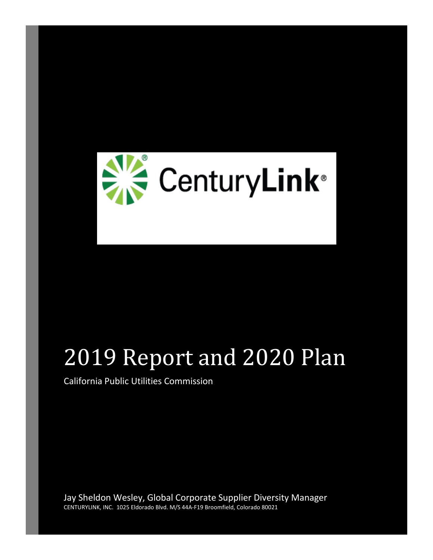

# 2019 Report and 2020 Plan

California Public Utilities Commission

Jay Sheldon Wesley, Global Corporate Supplier Diversity Manager CENTURYLINK, INC. 1025 Eldorado Blvd. M/S 44A-F19 Broomfield, Colorado 80021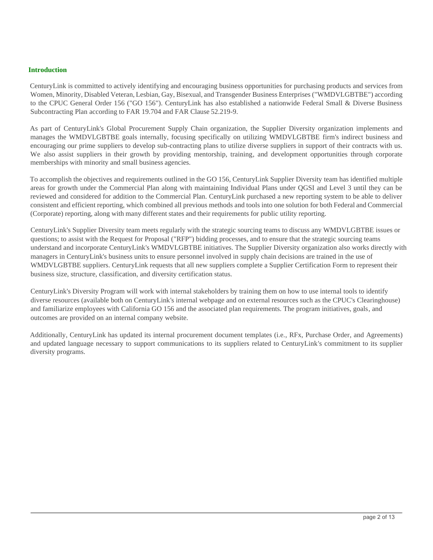#### **Introduction**

CenturyLink is committed to actively identifying and encouraging business opportunities for purchasing products and services from Women, Minority, Disabled Veteran, Lesbian, Gay, Bisexual, and Transgender Business Enterprises ("WMDVLGBTBE") according to the CPUC General Order 156 ("GO 156"). CenturyLink has also established a nationwide Federal Small & Diverse Business Subcontracting Plan according to FAR 19.704 and FAR Clause 52.219-9.

As part of CenturyLink's Global Procurement Supply Chain organization, the Supplier Diversity organization implements and manages the WMDVLGBTBE goals internally, focusing specifically on utilizing WMDVLGBTBE firm's indirect business and encouraging our prime suppliers to develop sub-contracting plans to utilize diverse suppliers in support of their contracts with us. We also assist suppliers in their growth by providing mentorship, training, and development opportunities through corporate memberships with minority and small business agencies.

To accomplish the objectives and requirements outlined in the GO 156, CenturyLink Supplier Diversity team has identified multiple areas for growth under the Commercial Plan along with maintaining Individual Plans under QGSI and Level 3 until they can be reviewed and considered for addition to the Commercial Plan. CenturyLink purchased a new reporting system to be able to deliver consistent and efficient reporting, which combined all previous methods and tools into one solution for both Federal and Commercial (Corporate) reporting, along with many different states and their requirements for public utility reporting.

CenturyLink's Supplier Diversity team meets regularly with the strategic sourcing teams to discuss any WMDVLGBTBE issues or questions; to assist with the Request for Proposal ("RFP") bidding processes, and to ensure that the strategic sourcing teams understand and incorporate CenturyLink's WMDVLGBTBE initiatives. The Supplier Diversity organization also works directly with managers in CenturyLink's business units to ensure personnel involved in supply chain decisions are trained in the use of WMDVLGBTBE suppliers. CenturyLink requests that all new suppliers complete a Supplier Certification Form to represent their business size, structure, classification, and diversity certification status.

CenturyLink's Diversity Program will work with internal stakeholders by training them on how to use internal tools to identify diverse resources (available both on CenturyLink's internal webpage and on external resources such as the CPUC's Clearinghouse) and familiarize employees with California GO 156 and the associated plan requirements. The program initiatives, goals, and outcomes are provided on an internal company website.

Additionally, CenturyLink has updated its internal procurement document templates (i.e., RFx, Purchase Order, and Agreements) and updated language necessary to support communications to its suppliers related to CenturyLink's commitment to its supplier diversity programs.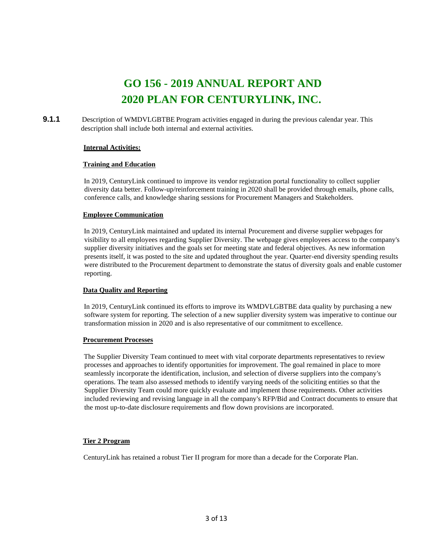# **GO 156 - 2019 ANNUAL REPORT AND 2020 PLAN FOR CENTURYLINK, INC.**

**9.1.1** Description of WMDVLGBTBE Program activities engaged in during the previous calendar year. This description shall include both internal and external activities.

#### **Internal Activities:**

#### **Training and Education**

In 2019, CenturyLink continued to improve its vendor registration portal functionality to collect supplier diversity data better. Follow-up/reinforcement training in 2020 shall be provided through emails, phone calls, conference calls, and knowledge sharing sessions for Procurement Managers and Stakeholders.

#### **Employee Communication**

In 2019, CenturyLink maintained and updated its internal Procurement and diverse supplier webpages for visibility to all employees regarding Supplier Diversity. The webpage gives employees access to the company's supplier diversity initiatives and the goals set for meeting state and federal objectives. As new information presents itself, it was posted to the site and updated throughout the year. Quarter-end diversity spending results were distributed to the Procurement department to demonstrate the status of diversity goals and enable customer reporting.

#### **Data Quality and Reporting**

In 2019, CenturyLink continued its efforts to improve its WMDVLGBTBE data quality by purchasing a new software system for reporting. The selection of a new supplier diversity system was imperative to continue our transformation mission in 2020 and is also representative of our commitment to excellence.

#### **Procurement Processes**

The Supplier Diversity Team continued to meet with vital corporate departments representatives to review processes and approaches to identify opportunities for improvement. The goal remained in place to more seamlessly incorporate the identification, inclusion, and selection of diverse suppliers into the company's operations. The team also assessed methods to identify varying needs of the soliciting entities so that the Supplier Diversity Team could more quickly evaluate and implement those requirements. Other activities included reviewing and revising language in all the company's RFP/Bid and Contract documents to ensure that the most up-to-date disclosure requirements and flow down provisions are incorporated.

#### **Tier 2 Program**

CenturyLink has retained a robust Tier II program for more than a decade for the Corporate Plan.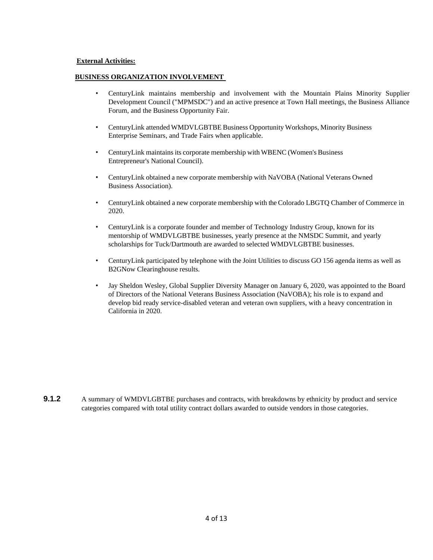#### **External Activities:**

#### **BUSINESS ORGANIZATION INVOLVEMENT**

- CenturyLink maintains membership and involvement with the Mountain Plains Minority Supplier Development Council ("MPMSDC") and an active presence at Town Hall meetings, the Business Alliance Forum, and the Business Opportunity Fair.
- CenturyLink attended WMDVLGBTBE Business Opportunity Workshops, Minority Business Enterprise Seminars, and Trade Fairs when applicable.
- CenturyLink maintainsits corporate membership with WBENC (Women's Business Entrepreneur's National Council).
- CenturyLink obtained a new corporate membership with NaVOBA (National Veterans Owned Business Association).
- CenturyLink obtained a new corporate membership with the Colorado LBGTQ Chamber of Commerce in 2020.
- CenturyLink is a corporate founder and member of Technology Industry Group, known for its mentorship of WMDVLGBTBE businesses, yearly presence at the NMSDC Summit, and yearly scholarships for Tuck/Dartmouth are awarded to selected WMDVLGBTBE businesses.
- CenturyLink participated by telephone with the Joint Utilities to discuss GO 156 agenda items as well as B2GNow Clearinghouse results.
- Jay Sheldon Wesley, Global Supplier Diversity Manager on January 6, 2020, was appointed to the Board of Directors of the National Veterans Business Association (NaVOBA); his role is to expand and develop bid ready service-disabled veteran and veteran own suppliers, with a heavy concentration in California in 2020.

**9.1.2** A summary of WMDVLGBTBE purchases and contracts, with breakdowns by ethnicity by product and service categories compared with total utility contract dollars awarded to outside vendors in those categories.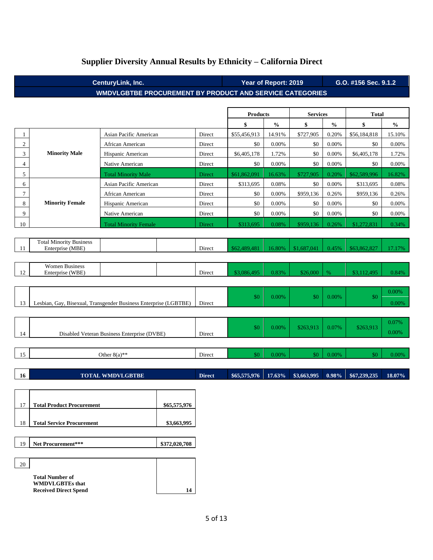| CenturyLink, Inc.<br><b>WMDVLGBTBE PROCUREMENT BY PRODUCT AND SERVICE CATEGORIES</b> |                                                                  |                                             |             |               | Year of Report: 2019<br>G.O. #156 Sec. 9.1.2 |                                    |                 |               |              |               |
|--------------------------------------------------------------------------------------|------------------------------------------------------------------|---------------------------------------------|-------------|---------------|----------------------------------------------|------------------------------------|-----------------|---------------|--------------|---------------|
|                                                                                      |                                                                  |                                             |             |               |                                              |                                    |                 |               |              |               |
|                                                                                      |                                                                  |                                             |             |               | <b>Products</b>                              |                                    | <b>Services</b> |               | Total        |               |
|                                                                                      |                                                                  |                                             |             |               | \$                                           | $\mathbf{0}_{\mathbf{0}}^{\prime}$ | \$              | $\frac{0}{0}$ | \$           | $\frac{0}{0}$ |
| 1                                                                                    |                                                                  | Asian Pacific American                      |             | Direct        | \$55,456,913                                 | 14.91%                             | \$727,905       | 0.20%         | \$56,184,818 | 15.10%        |
| $\mathbf{2}$                                                                         |                                                                  | African American                            |             | Direct        | \$0                                          | 0.00%                              | \$0             | 0.00%         | \$0          | 0.00%         |
| 3                                                                                    | <b>Minority Male</b>                                             | Hispanic American                           |             | Direct        | \$6,405,178                                  | 1.72%                              | \$0             | 0.00%         | \$6,405,178  | 1.72%         |
| $\overline{4}$                                                                       |                                                                  | Native American                             |             | Direct        | \$0                                          | 0.00%                              | \$0             | 0.00%         | \$0          | 0.00%         |
| 5                                                                                    |                                                                  | <b>Total Minority Male</b>                  |             | Direct        | \$61,862,091                                 | 16.63%                             | \$727,905       | 0.20%         | \$62,589,996 | 16.82%        |
| 6                                                                                    |                                                                  | Asian Pacific American                      |             | Direct        | \$313,695                                    | $0.08\%$                           | \$0             | 0.00%         | \$313,695    | 0.08%         |
| 7                                                                                    |                                                                  | African American                            |             | Direct        | \$0                                          | $0.00\%$                           | \$959,136       | 0.26%         | \$959,136    | 0.26%         |
| 8                                                                                    | <b>Minority Female</b>                                           | Hispanic American                           |             | Direct        | \$0                                          | 0.00%                              | \$0             | 0.00%         | \$0          | 0.00%         |
| 9                                                                                    |                                                                  | Native American                             |             | Direct        | \$0                                          | 0.00%                              | \$0             | 0.00%         | \$0          | 0.00%         |
| 10                                                                                   |                                                                  | <b>Total Minority Female</b>                |             | Direct        | \$313,695                                    | 0.08%                              | \$959,136       | 0.26%         | \$1,272,831  | 0.34%         |
|                                                                                      |                                                                  |                                             |             |               |                                              |                                    |                 |               |              |               |
|                                                                                      | <b>Total Minority Business</b>                                   |                                             |             |               |                                              |                                    |                 |               |              |               |
| 11                                                                                   | Enterprise (MBE)                                                 |                                             |             | Direct        | \$62,489,481                                 | 16.80%                             | \$1,687,041     | 0.45%         | \$63,862,827 | 17.17%        |
|                                                                                      | <b>Women Business</b>                                            |                                             |             |               |                                              |                                    |                 |               |              |               |
| 12                                                                                   | Enterprise (WBE)                                                 |                                             |             | Direct        | \$3,086,495                                  | 0.83%                              | \$26,000        | %             | \$3,112,495  | 0.84%         |
|                                                                                      |                                                                  |                                             |             |               |                                              |                                    |                 |               |              |               |
|                                                                                      |                                                                  |                                             |             |               |                                              |                                    |                 |               |              | 0.00%         |
| 13                                                                                   | Lesbian, Gay, Bisexual, Transgender Business Enterprise (LGBTBE) |                                             |             | Direct        | \$0                                          | 0.00%                              | \$0             | 0.00%         | \$0          | 0.00%         |
|                                                                                      |                                                                  |                                             |             |               |                                              |                                    |                 |               |              |               |
|                                                                                      |                                                                  |                                             |             |               |                                              |                                    |                 |               |              | 0.07%         |
|                                                                                      |                                                                  |                                             |             |               | \$0                                          | 0.00%                              | \$263,913       | 0.07%         | \$263,913    | 0.00%         |
| 14                                                                                   |                                                                  | Disabled Veteran Business Enterprise (DVBE) |             | Direct        |                                              |                                    |                 |               |              |               |
|                                                                                      |                                                                  |                                             |             |               |                                              |                                    |                 |               |              |               |
| 15                                                                                   |                                                                  | Other $8(a)$ **                             |             | Direct        | \$0                                          | 0.00%                              | \$0             | 0.00%         | \$0          | 0.00%         |
|                                                                                      |                                                                  |                                             |             |               |                                              |                                    |                 |               |              |               |
| 16                                                                                   |                                                                  | <b>TOTAL WMDVLGBTBE</b>                     |             | <b>Direct</b> | \$65,575,976                                 | 17.63%                             | \$3,663,995     | 0.98%         | \$67,239,235 | 18.07%        |
|                                                                                      |                                                                  |                                             |             |               |                                              |                                    |                 |               |              |               |
|                                                                                      |                                                                  |                                             |             |               |                                              |                                    |                 |               |              |               |
| 17                                                                                   | <b>Total Product Procurement</b><br>\$65,575,976                 |                                             |             |               |                                              |                                    |                 |               |              |               |
|                                                                                      |                                                                  |                                             |             |               |                                              |                                    |                 |               |              |               |
| 18                                                                                   | <b>Total Service Procurement</b>                                 |                                             | \$3,663,995 |               |                                              |                                    |                 |               |              |               |
|                                                                                      |                                                                  |                                             |             |               |                                              |                                    |                 |               |              |               |
| 19                                                                                   | \$372,020,708<br>Net Procurement***                              |                                             |             |               |                                              |                                    |                 |               |              |               |

### **Supplier Diversity Annual Results by Ethnicity – California Direct**

20

**Total Number of WMDVLGBTEs that**

Received Direct Spend 14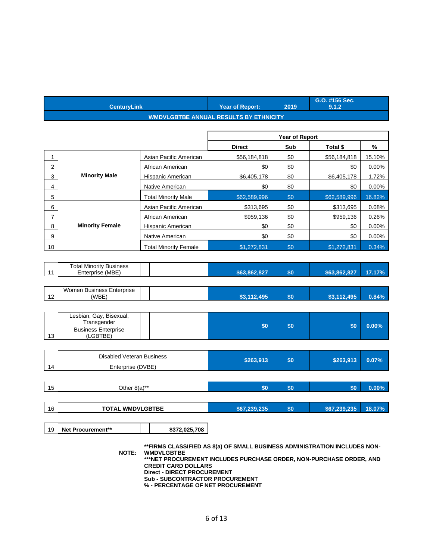|                | <b>CenturyLink</b>                                                   |                                       | <b>Year of Report:</b>                        | 2019           | G.O. #156 Sec.<br>9.1.2 |        |  |  |  |  |  |
|----------------|----------------------------------------------------------------------|---------------------------------------|-----------------------------------------------|----------------|-------------------------|--------|--|--|--|--|--|
|                |                                                                      |                                       | <b>WMDVLGBTBE ANNUAL RESULTS BY ETHNICITY</b> |                |                         |        |  |  |  |  |  |
|                |                                                                      |                                       |                                               |                |                         |        |  |  |  |  |  |
|                |                                                                      |                                       |                                               | Year of Report |                         |        |  |  |  |  |  |
|                |                                                                      | <b>Direct</b><br>Sub<br>Total \$<br>% |                                               |                |                         |        |  |  |  |  |  |
| 1              |                                                                      | Asian Pacific American                | \$56,184,818                                  | \$0            | \$56,184,818            | 15.10% |  |  |  |  |  |
| 2              |                                                                      | African American                      | \$0                                           | \$0            | \$0                     | 0.00%  |  |  |  |  |  |
| 3              | <b>Minority Male</b>                                                 | Hispanic American                     | \$6,405,178                                   | \$0            | \$6,405,178             | 1.72%  |  |  |  |  |  |
| 4              |                                                                      | Native American                       | \$0                                           | \$0            | \$0                     | 0.00%  |  |  |  |  |  |
| 5              |                                                                      | <b>Total Minority Male</b>            | \$62,589,996                                  | \$0            | \$62,589,996            | 16.82% |  |  |  |  |  |
| 6              |                                                                      | Asian Pacific American                | \$313,695                                     | \$0            | \$313,695               | 0.08%  |  |  |  |  |  |
| $\overline{7}$ |                                                                      | African American                      | \$959,136                                     | \$0            | \$959,136               | 0.26%  |  |  |  |  |  |
| 8              | <b>Minority Female</b>                                               | Hispanic American                     | \$0                                           | \$0            | \$0                     | 0.00%  |  |  |  |  |  |
| 9              |                                                                      | Native American                       | \$0                                           | \$0            | \$0                     | 0.00%  |  |  |  |  |  |
| 10             |                                                                      | <b>Total Minority Female</b>          | \$1,272,831                                   | \$0            | \$1,272,831             | 0.34%  |  |  |  |  |  |
|                |                                                                      |                                       |                                               |                |                         |        |  |  |  |  |  |
| 11             | <b>Total Minority Business</b><br>Enterprise (MBE)                   |                                       | \$63,862,827                                  | \$0            | \$63,862,827            | 17.17% |  |  |  |  |  |
|                |                                                                      |                                       |                                               |                |                         |        |  |  |  |  |  |
| 12             | Women Business Enterprise<br>(WBE)                                   |                                       | \$3,112,495                                   | \$0            | \$3,112,495             | 0.84%  |  |  |  |  |  |
|                |                                                                      |                                       |                                               |                |                         |        |  |  |  |  |  |
|                | Lesbian, Gay, Bisexual,<br>Transgender<br><b>Business Enterprise</b> |                                       | \$0                                           | \$0            | \$0                     | 0.00%  |  |  |  |  |  |

| 14 | <b>Disabled Veteran Business</b><br>Enterprise (DVBE) | \$263,913    | \$0 | \$263,913    | 0.07%    |
|----|-------------------------------------------------------|--------------|-----|--------------|----------|
| 15 | Other $8(a)$ **                                       | \$0          | \$0 | \$0          | $0.00\%$ |
| 16 | <b>TOTAL WMDVLGBTBE</b>                               | \$67,239,235 | \$0 | \$67,239,235 | 18.07%   |

19 **Net Procurement\*\* \$372,025,708**

(LGBTBE)

 $|13|$ 

**NOTE: WMDVLGBTBE \*\*FIRMS CLASSIFIED AS 8(a) OF SMALL BUSINESS ADMINISTRATION INCLUDES NON-**

**\*\*\*NET PROCUREMENT INCLUDES PURCHASE ORDER, NON-PURCHASE ORDER, AND CREDIT CARD DOLLARS**

**Direct - DIRECT PROCUREMENT**

**Sub - SUBCONTRACTOR PROCUREMENT % - PERCENTAGE OF NET PROCUREMENT**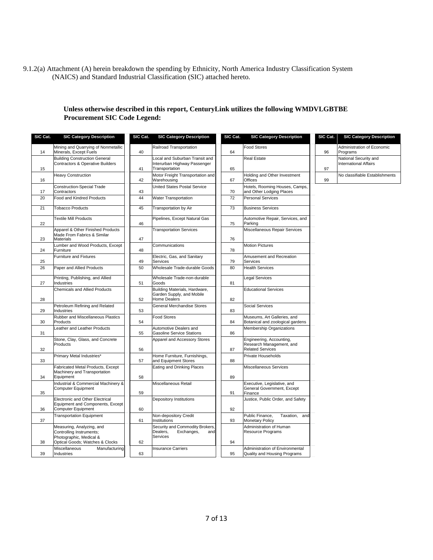9.1.2(a) Attachment (A) herein breakdown the spending by Ethnicity, North America Industry Classification System (NAICS) and Standard Industrial Classification (SIC) attached hereto.

#### **Unless otherwise described in this report, CenturyLink utilizes the following WMDVLGBTBE Procurement SIC Code Legend:**

| SIC Cat. | <b>SIC Category Description</b>                                                                                     | SIC Cat. | <b>SIC Category Description</b>                                                  | SIC Cat. | <b>SIC Category Description</b>                                                 | SIC Cat. | <b>SIC Category Description</b>                       |
|----------|---------------------------------------------------------------------------------------------------------------------|----------|----------------------------------------------------------------------------------|----------|---------------------------------------------------------------------------------|----------|-------------------------------------------------------|
| 14       | Mining and Quarrying of Nonmetallic<br>Minerals, Except Fuels                                                       | 40       | Railroad Transportation                                                          | 64       | Food Stores                                                                     | 96       | Administration of Economic<br>Programs                |
| 15       | <b>Building Construction General</b><br>Contractors & Operative Builders                                            | 41       | Local and Suburban Transit and<br>Interurban Highway Passenger<br>Transportation | 65       | Real Estate                                                                     | 97       | National Security and<br><b>International Affairs</b> |
| 16       | Heavy Construction                                                                                                  | 42       | Motor Freight Transportation and<br>Warehousing                                  | 67       | Holding and Other Investment<br>Offices                                         | 99       | No classifiable Establishments                        |
| 17       | <b>Construction-Special Trade</b><br>Contractors                                                                    | 43       | United States Postal Service                                                     | 70       | Hotels, Rooming Houses, Camps,<br>and Other Lodging Places                      |          |                                                       |
| 20       | Food and Kindred Products                                                                                           | 44       | <b>Water Transportation</b>                                                      | 72       | <b>Personal Services</b>                                                        |          |                                                       |
| 21       | <b>Tobacco Products</b>                                                                                             | 45       | Transportation by Air                                                            | 73       | <b>Business Services</b>                                                        |          |                                                       |
| 22       | <b>Textile Mill Products</b>                                                                                        | 46       | Pipelines, Except Natural Gas                                                    | 75       | Automotive Repair, Services, and<br>Parking                                     |          |                                                       |
| 23       | Apparel & Other Finished Products<br>Made From Fabrics & Similar<br>Materials                                       | 47       | <b>Transportation Services</b>                                                   | 76       | Miscellaneous Repair Services                                                   |          |                                                       |
| 24       | umber and Wood Products, Except<br>Furniture                                                                        | 48       | Communications                                                                   | 78       | <b>Motion Pictures</b>                                                          |          |                                                       |
| 25       | <b>Furniture and Fixtures</b>                                                                                       | 49       | Electric, Gas, and Sanitary<br>Services                                          | 79       | Amusement and Recreation<br>Services                                            |          |                                                       |
| 26       | Paper and Allied Products                                                                                           | 50       | Wholesale Trade-durable Goods                                                    | 80       | <b>Health Services</b>                                                          |          |                                                       |
| 27       | Printing, Publishing, and Allied<br>Industries                                                                      | 51       | Wholesale Trade-non-durable<br>Goods                                             | 81       | <b>Legal Services</b>                                                           |          |                                                       |
|          | <b>Chemicals and Allied Products</b>                                                                                |          | Building Materials, Hardware,<br>Garden Supply, and Mobile                       |          | <b>Educational Services</b>                                                     |          |                                                       |
| 28       | Petroleum Refining and Related                                                                                      | 52       | Home Dealers<br>General Merchandise Stores                                       | 82       | <b>Social Services</b>                                                          |          |                                                       |
| 29       | Industries                                                                                                          | 53       |                                                                                  | 83       |                                                                                 |          |                                                       |
| 30       | Rubber and Miscellaneous Plastics<br>Products                                                                       | 54       | <b>Food Stores</b>                                                               | 84       | Museums, Art Galleries, and<br>Botanical and zoological gardens                 |          |                                                       |
| 31       | eather and Leather Products                                                                                         | 55       | Automotive Dealers and<br><b>Gasoline Service Stations</b>                       | 86       | <b>Membership Organizations</b>                                                 |          |                                                       |
| 32       | Stone, Clay, Glass, and Concrete<br>Products                                                                        | 56       | Apparel and Accessory Stores                                                     | 87       | Engineering, Accounting,<br>Research Management, and<br><b>Related Services</b> |          |                                                       |
| 33       | Primary Metal Industries*                                                                                           | 57       | Home Furniture, Furnishings,<br>and Equipment Stores                             | 88       | Private Households                                                              |          |                                                       |
| 34       | Fabricated Metal Products, Except<br>Machinery and Transportation<br>Equipment                                      | 58       | <b>Eating and Drinking Places</b>                                                | 89       | Miscellaneous Services                                                          |          |                                                       |
| 35       | Industrial & Commercial Machinery &<br>Computer Equipment                                                           | 59       | Miscellaneous Retail                                                             | 91       | Executive, Legislative, and<br>General Government, Except<br>Finance            |          |                                                       |
|          | Electronic and Other Electrical<br><b>Equipment and Components, Except</b><br>Computer Equipment                    |          | Depository Institutions                                                          | 92       | Justice, Public Order, and Safety                                               |          |                                                       |
| 36<br>37 | <b>Transportation Equipment</b>                                                                                     | 60<br>61 | Non-depository Credit<br>Institutions                                            | 93       | Public Finance,<br>Taxation, and<br><b>Monetary Policy</b>                      |          |                                                       |
| 38       | Measuring, Analyzing, and<br>Controlling Instruments;<br>Photographic, Medical &<br>Optical Goods; Watches & Clocks | 62       | Security and Commodity Brokers,<br>Dealers.<br>Exchanges,<br>and<br>Services     | 94       | Administration of Human<br><b>Resource Programs</b>                             |          |                                                       |
|          | Miscellaneous<br>Manufacturing                                                                                      |          | <b>Insurance Carriers</b>                                                        |          | Administration of Environmental                                                 |          |                                                       |
| 39       | Industries                                                                                                          | 63       |                                                                                  | 95       | Quality and Housing Programs                                                    |          |                                                       |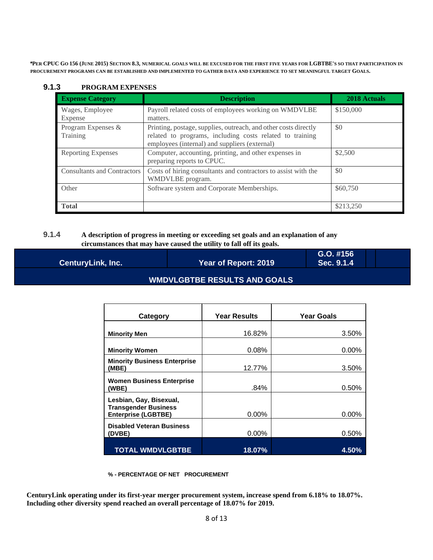\*PER CPUC Go 156 (JUNE 2015) SECTION 8.3, NUMERICAL GOALS WILL BE EXCUSED FOR THE FIRST FIVE YEARS FOR LGBTBE'S SO THAT PARTICIPATION IN **PROCUREMENT PROGRAMS CAN BE ESTABLISHED AND IMPLEMENTED TO GATHER DATA AND EXPERIENCE TO SET MEANINGFUL TARGET GOALS.**

| <b>Expense Category</b>            | <b>Description</b>                                                                                                                                                           | 2018 Actuals |
|------------------------------------|------------------------------------------------------------------------------------------------------------------------------------------------------------------------------|--------------|
| Wages, Employee<br>Expense         | Payroll related costs of employees working on WMDVLBE<br>matters.                                                                                                            | \$150,000    |
| Program Expenses &<br>Training     | Printing, postage, supplies, outreach, and other costs directly<br>related to programs, including costs related to training<br>employees (internal) and suppliers (external) | \$0          |
| <b>Reporting Expenses</b>          | Computer, accounting, printing, and other expenses in<br>preparing reports to CPUC.                                                                                          | \$2,500      |
| <b>Consultants and Contractors</b> | Costs of hiring consultants and contractors to assist with the<br>WMDVLBE program.                                                                                           | \$0          |
| Other                              | Software system and Corporate Memberships.                                                                                                                                   | \$60,750     |
| <b>Total</b>                       |                                                                                                                                                                              | \$213,250    |

#### **9.1.3 PROGRAM EXPENSES**

#### **9.1.4 A description of progress in meeting or exceeding set goals and an explanation of any circumstances that may have caused the utility to fall off its goals.**

| <b>CenturyLink, Inc.</b> | Year of Report: 2019           | $G.O.$ #156<br>Sec. 9.1.4 |
|--------------------------|--------------------------------|---------------------------|
|                          | WMDVLGBTBE RESULTS AND GOALS ( |                           |

| Category                                                                             | <b>Year Results</b> | <b>Year Goals</b> |
|--------------------------------------------------------------------------------------|---------------------|-------------------|
|                                                                                      |                     |                   |
| <b>Minority Men</b>                                                                  | 16.82%              | 3.50%             |
|                                                                                      |                     |                   |
| <b>Minority Women</b>                                                                | 0.08%               | $0.00\%$          |
| <b>Minority Business Enterprise</b><br>(MBE)                                         | 12.77%              | 3.50%             |
| <b>Women Business Enterprise</b><br>(WBE)                                            | .84%                | 0.50%             |
| Lesbian, Gay, Bisexual,<br><b>Transgender Business</b><br><b>Enterprise (LGBTBE)</b> | $0.00\%$            | 0.00%             |
| <b>Disabled Veteran Business</b><br>(DVBE)                                           | $0.00\%$            | 0.50%             |
| <b>TOTAL WMDVLGBTBE</b>                                                              | 18.07%              | 4.50%             |

#### **% - PERCENTAGE OF NET PROCUREMENT**

 **CenturyLink operating under its first-year merger procurement system, increase spend from 6.18% to 18.07%. Including other diversity spend reached an overall percentage of 18.07% for 2019.**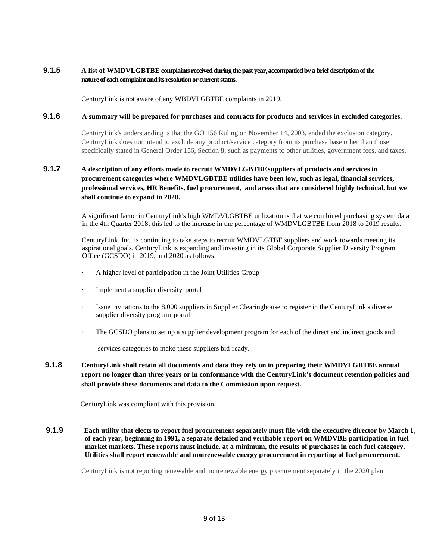#### **9.1.5 A list of WMDVLGBTBE complaints received during the past year,accompanied by a brief description of the nature of each complaint and its resolution or current status.**

CenturyLink is not aware of any WBDVLGBTBE complaints in 2019.

#### **9.1.6 A summary will be prepared for purchases and contracts for products and services in excluded categories.**

CenturyLink's understanding is that the GO 156 Ruling on November 14, 2003, ended the exclusion category. CenturyLink does not intend to exclude any product/service category from its purchase base other than those specifically stated in General Order 156, Section 8, such as payments to other utilities, government fees, and taxes.

#### **9.1.7 A description of any efforts made to recruit WMDVLGBTBEsuppliers of products and services in procurement categories where WMDVLGBTBE utilities have been low, such as legal, financial services, professional services, HR Benefits, fuel procurement, and areas that are considered highly technical, but we shall continue to expand in 2020.**

A significant factor in CenturyLink's high WMDVLGBTBE utilization is that we combined purchasing system data in the 4th Quarter 2018; this led to the increase in the percentage of WMDVLGBTBE from 2018 to 2019 results.

CenturyLink, Inc. is continuing to take steps to recruit WMDVLGTBE suppliers and work towards meeting its aspirational goals. CenturyLink is expanding and investing in its Global Corporate Supplier Diversity Program Office (GCSDO) in 2019, and 2020 as follows:

- A higher level of participation in the Joint Utilities Group
- Implement a supplier diversity portal
- Issue invitations to the 8,000 suppliers in Supplier Clearinghouse to register in the CenturyLink's diverse supplier diversity program portal
- The GCSDO plans to set up a supplier development program for each of the direct and indirect goods and

services categories to make these suppliers bid ready.

**9.1.8 CenturyLink shall retain all documents and data they rely on in preparing their WMDVLGBTBE annual report no longer than three years or in conformance with the CenturyLink's document retention policies and shall provide these documents and data to the Commission upon request.** 

CenturyLink was compliant with this provision.

**9.1.9 Each utility that elects to report fuel procurement separately must file with the executive director by March 1, of each year, beginning in 1991, a separate detailed and verifiable report on WMDVBE participation in fuel market markets. These reports must include, at a minimum, the results of purchases in each fuel category. Utilities shall report renewable and nonrenewable energy procurement in reporting of fuel procurement.** 

CenturyLink is not reporting renewable and nonrenewable energy procurement separately in the 2020 plan.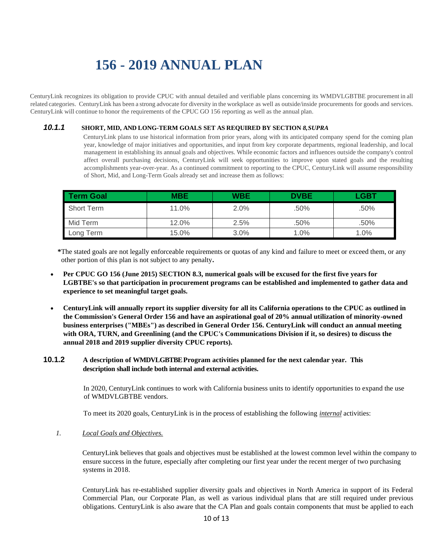# **156 - 2019 ANNUAL PLAN**

CenturyLink recognizes its obligation to provide CPUC with annual detailed and verifiable plans concerning its WMDVLGBTBE procurement in all related categories. CenturyLink has been a strong advocate for diversity in the workplace as well as outside/inside procurements for goods and services. CenturyLink will continue to honor the requirements of the CPUC GO 156 reporting as well as the annual plan.

#### *10.1.1* **SHORT, MID, AND LONG-TERM GOALS SET AS REQUIRED BY SECTION** *8,SUPRA*

CenturyLink plans to use historical information from prior years, along with its anticipated company spend for the coming plan year, knowledge of major initiatives and opportunities, and input from key corporate departments, regional leadership, and local management in establishing its annual goals and objectives. While economic factors and influences outside the company's control affect overall purchasing decisions, CenturyLink will seek opportunities to improve upon stated goals and the resulting accomplishments year-over-year. As a continued commitment to reporting to the CPUC, CenturyLink will assume responsibility of Short, Mid, and Long-Term Goals already set and increase them as follows:

| Term Goal         | <b>MBE</b> | <b>WBE</b> | <b>DVBE</b> | LGBT |
|-------------------|------------|------------|-------------|------|
| <b>Short Term</b> | 11.0%      | 2.0%       | .50%        | .50% |
| Mid Term          | 12.0%      | 2.5%       | .50%        | .50% |
| Long Term         | 15.0%      | $3.0\%$    | 1.0%        | 1.0% |

**\***The stated goals are not legally enforceable requirements or quotas of any kind and failure to meet or exceed them, or any other portion of this plan is not subject to any penalty**.**

- **Per CPUC GO 156 (June 2015) SECTION 8.3, numerical goals will be excused for the first five years for LGBTBE's so that participation in procurement programs can be established and implemented to gather data and experience to set meaningful target goals.**
- **CenturyLink will annually report its supplier diversity for all its California operations to the CPUC as outlined in the Commission's General Order 156 and have an aspirational goal of 20% annual utilization of minority-owned business enterprises ("MBEs") as described in General Order 156. CenturyLink will conduct an annual meeting with ORA, TURN, and Greenlining (and the CPUC's Communications Division if it, so desires) to discuss the annual 2018 and 2019 supplier diversity CPUC reports).**

#### **10.1.2 A description of WMDVLGBTBEProgram activities planned for the next calendar year. This description shall include both internal and external activities.**

In 2020, CenturyLink continues to work with California business units to identify opportunities to expand the use of WMDVLGBTBE vendors.

To meet its 2020 goals, CenturyLink is in the process of establishing the following *internal* activities:

*1. Local Goals and Objectives.*

CenturyLink believes that goals and objectives must be established at the lowest common level within the company to ensure success in the future, especially after completing our first year under the recent merger of two purchasing systems in 2018.

CenturyLink has re-established supplier diversity goals and objectives in North America in support of its Federal Commercial Plan, our Corporate Plan, as well as various individual plans that are still required under previous obligations. CenturyLink is also aware that the CA Plan and goals contain components that must be applied to each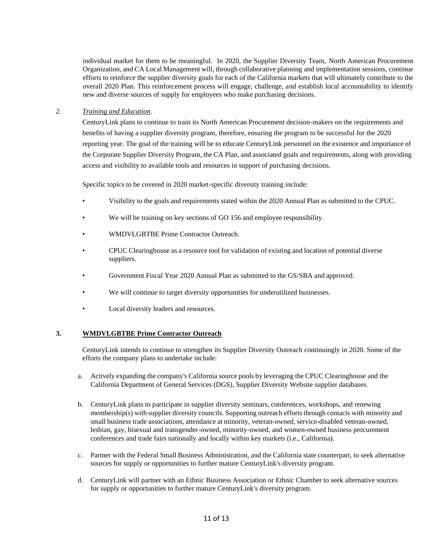individual market for them to be meaningful. In 2020, the Supplier Diversity Team, North American Procurement Organization, and CA Local Management will, through collaborative planning and implementation sessions, continue efforts to reinforce the supplier diversity goals for each of the California markets that will ultimately contribute to the overall 2020 Plan. This reinforcement process will engage, challenge, and establish local accountability to identify new and diverse sources of supply for employees who make purchasing decisions.

#### *2. Training and Education.*

CenturyLink plans to continue to train its North American Procurement decision-makers on the requirements and benefits of having a supplier diversity program, therefore, ensuring the program to be successful for the 2020 reporting year. The goal of the training will be to educate CenturyLink personnel on the existence and importance of the Corporate Supplier Diversity Program, the CA Plan, and associated goals and requirements, along with providing access and visibility to available tools and resources in support of purchasing decisions.

Specific topics to be covered in 2020 market-specific diversity training include:

- Visibility to the goals and requirements stated within the 2020 Annual Plan as submitted to the CPUC.
- We will be training on key sections of GO 156 and employee responsibility.
- WMDVLGBTBE Prime Contractor Outreach.
- CPUC Clearinghouse as a resource tool for validation of existing and location of potential diverse suppliers.
- Government Fiscal Year 2020 Annual Plan as submitted to the GS/SBA and approved.
- We will continue to target diversity opportunities for underutilized businesses.
- Local diversity leaders and resources.

#### **3. WMDVLGBTBE Prime Contractor Outreach**

CenturyLink intends to continue to strengthen its Supplier Diversity Outreach continuingly in 2020. Some of the efforts the company plans to undertake include:

- a. Actively expanding the company's California source pools by leveraging the CPUC Clearinghouse and the California Department of General Services (DGS), Supplier Diversity Website supplier databases.
- b. CenturyLink plans to participate in supplier diversity seminars, conferences, workshops, and renewing membership(s) with supplier diversity councils. Supporting outreach efforts through contacts with minority and small business trade associations, attendance at minority, veteran-owned, service-disabled veteran-owned, lesbian, gay, bisexual and transgender-owned, minority-owned, and women-owned business procurement conferences and trade fairs nationally and locally within key markets (i.e., California).
- c. Partner with the Federal Small Business Administration, and the California state counterpart, to seek alternative sources for supply or opportunities to further mature CenturyLink's diversity program.
- d. CenturyLink will partner with an Ethnic Business Association or Ethnic Chamber to seek alternative sources for supply or opportunities to further mature CenturyLink's diversity program.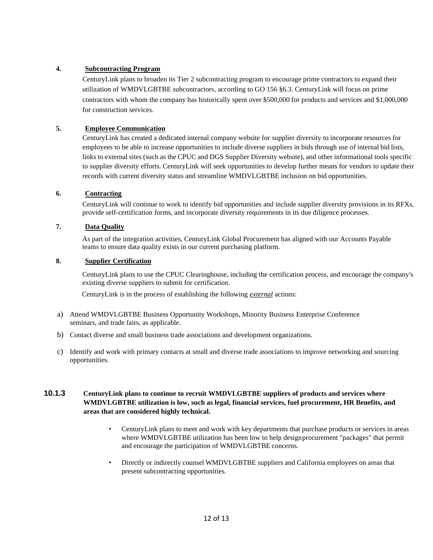#### **4. Subcontracting Program**

CenturyLink plans to broaden its Tier 2 subcontracting program to encourage prime contractors to expand their utilization of WMDVLGBTBE subcontractors, according to GO 156 §6.3. CenturyLink will focus on prime contractors with whom the company has historically spent over \$500,000 for products and services and \$1,000,000 for construction services.

#### **5. Employee Communication**

CenturyLink has created a dedicated internal company website for supplier diversity to incorporate resources for employees to be able to increase opportunities to include diverse suppliers in bids through use of internal bid lists, links to external sites (such as the CPUC and DGS Supplier Diversity website), and other informational tools specific to supplier diversity efforts. CenturyLink will seek opportunities to develop further means for vendors to update their records with current diversity status and streamline WMDVLGBTBE inclusion on bid opportunities.

#### **6. Contracting**

CenturyLink will continue to work to identify bid opportunities and include supplier diversity provisions in its RFXs, provide self-certification forms, and incorporate diversity requirements in its due diligence processes.

#### **7. Data Quality**

As part of the integration activities, CenturyLink Global Procurement has aligned with our Accounts Payable teams to ensure data quality exists in our current purchasing platform.

#### **8. Supplier Certification**

CenturyLink plans to use the CPUC Clearinghouse, including the certification process, and encourage the company's existing diverse suppliers to submit for certification.

CenturyLink is in the process of establishing the following *external* actions:

- a) Attend WMDVLGBTBE Business Opportunity Workshops, Minority Business Enterprise Conference seminars, and trade fairs, as applicable.
- b) Contact diverse and small business trade associations and development organizations.
- c) Identify and work with primary contacts at small and diverse trade associations to improve networking and sourcing opportunities.

#### **10.1.3 CenturyLink plans to continue to recruit WMDVLGBTBE suppliers of products and services where WMDVLGBTBE utilization is low, such as legal, financial services, fuel procurement, HR Benefits, and areas that are considered highly technical.**

- CenturyLink plans to meet and work with key departments that purchase products or services in areas where WMDVLGBTBE utilization has been low to help designprocurement "packages" that permit and encourage the participation of WMDVLGBTBE concerns.
- Directly or indirectly counsel WMDVLGBTBE suppliers and California employees on areas that present subcontracting opportunities.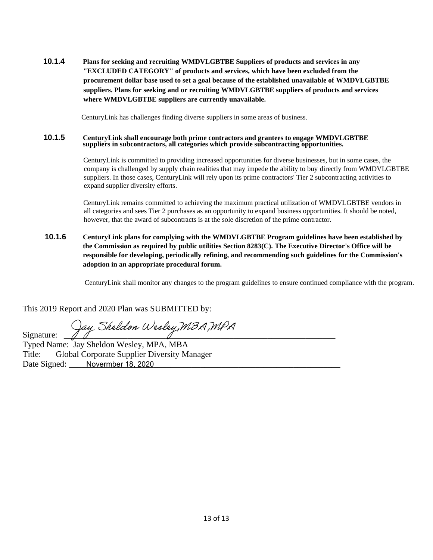**10.1.4 Plans for seeking and recruiting WMDVLGBTBE Suppliers of products and services in any "EXCLUDED CATEGORY" of products and services, which have been excluded from the procurement dollar base used to set a goal because of the established unavailable of WMDVLGBTBE suppliers. Plans for seeking and or recruiting WMDVLGBTBE suppliers of products and services where WMDVLGBTBE suppliers are currently unavailable.** 

CenturyLink has challenges finding diverse suppliers in some areas of business.

#### **10.1.5 CenturyLink shall encourage both prime contractors and grantees to engage WMDVLGBTBE suppliers in subcontractors, all categories which provide subcontracting opportunities.**

CenturyLink is committed to providing increased opportunities for diverse businesses, but in some cases, the company is challenged by supply chain realities that may impede the ability to buy directly from WMDVLGBTBE suppliers. In those cases, CenturyLink will rely upon its prime contractors' Tier 2 subcontracting activities to expand supplier diversity efforts.

CenturyLink remains committed to achieving the maximum practical utilization of WMDVLGBTBE vendors in all categories and sees Tier 2 purchases as an opportunity to expand business opportunities. It should be noted, however, that the award of subcontracts is at the sole discretion of the prime contractor.

**10.1.6 CenturyLink plans for complying with the WMDVLGBTBE Program guidelines have been established by the Commission as required by public utilities Section 8283(C). The Executive Director's Office will be responsible for developing, periodically refining, and recommending such guidelines for the Commission's adoption in an appropriate procedural forum.**

CenturyLink shall monitor any changes to the program guidelines to ensure continued compliance with the program.

This 2019 Report and 2020 Plan was SUBMITTED by:

Signature: Jay Sheldon Wesley, MBA, MPA

 Typed Name: Jay Sheldon Wesley, MPA, MBA Title: Global Corporate Supplier Diversity Manager Date Signed: Novermber 18, 2020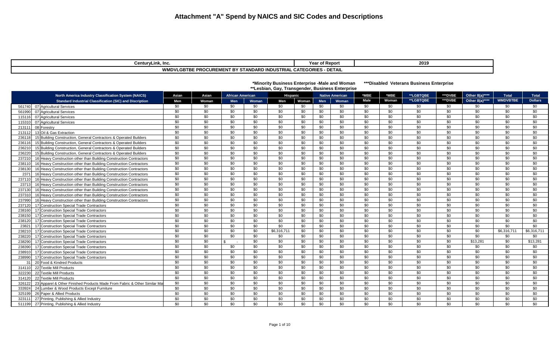| CenturvLink. Inc.                                                 | - -<br>r of Report<br>Yea. | 2019 |
|-------------------------------------------------------------------|----------------------------|------|
| WMDVLGBTBE PROCUREMENT BY STANDARD INDUSTRIAL CATEGORIES - DETAIL |                            |      |

|        |                                                                          |                 |                 |                         |       | *Minority Business Enterprise -Male and Woman<br>**Lesbian, Gay, Transgender, Business Enterprise |       |            |                        |         |       | ***Disabled Veterans Business Enterprise |         |                 |                 |                |
|--------|--------------------------------------------------------------------------|-----------------|-----------------|-------------------------|-------|---------------------------------------------------------------------------------------------------|-------|------------|------------------------|---------|-------|------------------------------------------|---------|-----------------|-----------------|----------------|
|        | North America Industry Classification System (NAICS)                     | Asian           | Asian           | <b>African American</b> |       | Hispanic                                                                                          |       |            | <b>Native American</b> | $*$ MBE | *MBE  | **LGBTQBE                                | ***DVBE | Other 8(a)****  | <b>Total</b>    | <b>Total</b>   |
|        | <b>Standard Industrial Classification (SIC) and Discription</b>          | Men             | Woman           | Men                     | Woman | Men                                                                                               | Woman | <b>Men</b> | Woman                  | Male    | Woman | **LGBTQBE                                | ***DVBE | Other 8(a)****  | <b>WMDVBTBE</b> | <b>Dollars</b> |
| 561740 | 07 Agricultural Services                                                 | \$0             | \$0             | \$0                     | \$0   | \$0                                                                                               | \$0   | \$0        | \$0                    | \$0     | \$0   | \$0                                      | \$0     | \$0             | \$0             | \$0            |
| 561990 | 07 Agricultural Services                                                 | \$0             | \$0             | \$0                     | \$0   | \$0                                                                                               | \$0   | \$0        | \$0                    | \$0     | \$0   | \$0                                      | \$0     | \$0             | \$0             | \$0            |
| 115116 | 07 Agricultural Services                                                 | \$0             | \$0             | \$0                     | \$0   | \$0                                                                                               | \$0   | \$0        | \$0                    | \$0     | \$0   | \$0                                      | \$0     | \$0             | \$0             | \$0            |
| 115310 | 07 Agricultural Services                                                 | \$0             | \$0             | \$0                     | \$0   | \$0                                                                                               | \$0   | \$0        | \$0                    | \$0     | \$0   | \$0                                      | \$0     | \$0             | \$0             | \$0            |
| 213111 | 08 Forestry                                                              | \$0             | \$0             | \$0                     | \$0   | \$0                                                                                               | \$0   | \$0        | \$0                    | \$0     | \$0   | \$0                                      | \$0     | \$0             | \$0             | \$0            |
| 213112 | 13 Oil & Gas Extraction                                                  | \$0             | \$0             | \$0                     | \$0   | \$0                                                                                               | \$0   | \$0        | \$0                    | \$0     | \$0   | \$0                                      | \$0     | \$0             | \$0             | \$0            |
| 236118 | 15 Building Construction, General Contractors & Operated Builders        | \$0             | \$0             | \$0                     | \$0   | \$0                                                                                               | \$0   | \$0        | \$0                    | \$0     | \$0   | \$0                                      | \$0     | \$0             | \$0             | \$0            |
| 236116 | 15 Building Construction, General Contractors & Operated Builders        | \$0             | \$0             | \$0                     | \$0   | \$0                                                                                               | \$0   | \$0        | \$0                    | \$0     | \$0   | \$0                                      | \$0     | \$0             | \$0             | \$0            |
| 236210 | 15 Building Construction, General Contractors & Operated Builders        | \$0             | \$0             | \$0                     | \$0   | \$0                                                                                               | \$0   | \$0        | \$0                    | \$0     | \$0   | \$0                                      | \$0     | \$0             | \$0             | \$0            |
| 236220 | 15 Building Construction, General Contractors & Operated Builders        | \$0             | \$0             | \$0                     | \$0   | \$0                                                                                               | \$0   | \$0        | \$0                    | \$0     | \$0   | \$0                                      | \$0     | \$0             | \$0             | \$0            |
| 237210 | 16 Heavy Construction other than Building Construction Contractors       | $\overline{50}$ | $\overline{30}$ | \$0                     | \$0   | \$0                                                                                               | \$0   | \$0        | \$0                    | \$0     | \$0   | $\overline{50}$                          | \$0     | $\overline{50}$ | $\overline{50}$ | \$0            |
| 238110 | 16 Heavy Construction other than Building Construction Contractors       | \$0             | \$0             | \$0                     | \$0   | \$0                                                                                               | \$0   | \$0        | \$0                    | \$0     | \$0   | \$0                                      | \$0     | \$0             | \$0             | \$0            |
| 238130 | 16 Heavy Construction other than Building Construction Contractors       | \$0             | \$0             | \$0                     | \$0   | \$0                                                                                               | \$0   | \$0        | \$0                    | \$0     | \$0   | \$0                                      | \$0     | \$0             | \$0             | \$0            |
| 2371   | 16 Heavy Construction other than Building Construction Contractors       | \$0             | \$0             | \$0                     | \$0   | \$0                                                                                               | \$0   | \$0        | \$0                    | \$0     | \$0   | \$0                                      | \$0     | \$0             | \$0             | \$0            |
| 237110 | 16 Heavy Construction other than Building Construction Contractors       | \$0             | \$0             | \$0                     | \$0   | \$0                                                                                               | \$0   | \$0        | \$0                    | \$0     | \$0   | \$0                                      | \$0     | \$0             | \$0             | \$0            |
| 23713  | 16 Heavy Construction other than Building Construction Contractors       | \$0             | \$0             | \$0                     | \$0   | \$0                                                                                               | \$0   | \$0        | \$0                    | \$0     | \$0   | \$0                                      | \$0     | \$0             | \$0             | \$0            |
| 237130 | 16 Heavy Construction other than Building Construction Contractors       | \$0             | \$0             | \$0                     | \$0   | \$0                                                                                               | \$0   | \$0        | \$0                    | \$0     | \$0   | \$0                                      | \$0     | \$0             | \$0             | \$0            |
| 237310 | 16 Heavy Construction other than Building Construction Contractors       | \$0             | \$0             | \$0                     | \$0   | \$0                                                                                               | \$0   | \$0        | \$0                    | \$0     | \$0   | \$0                                      | \$0     | \$0             | \$0             | \$0            |
| 237990 | 16 Heavy Construction other than Building Construction Contractors       | \$0             | \$0             | \$0                     | \$0   | \$0                                                                                               | \$0   | \$0        | \$0                    | \$0     | \$0   | \$0                                      | \$0     | \$0             | \$0             | \$0            |
| 237120 | 17 Construction Special Trade Contractors                                | \$0             | \$0             | \$0                     | \$0   | \$0                                                                                               | \$0   | \$0        | \$0                    | \$0     | \$0   | \$0                                      | \$0     | \$0             | \$0             | \$0            |
| 238160 | 17 Construction Special Trade Contractors                                | \$0             | \$0             | \$0                     | \$0   | \$0                                                                                               | \$0   | \$0        | \$0                    | \$0     | \$0   | \$0                                      | \$0     | \$0             | \$0             | \$0            |
| 238150 | 17 Construction Special Trade Contractors                                | \$0             | $\overline{30}$ | \$0                     | \$0   | \$0                                                                                               | \$0   | \$0        | \$0                    | \$0     | \$0   | $\overline{30}$                          | \$0     | \$0             | $\overline{30}$ | \$0            |
| 238120 | 17 Construction Special Trade Contractors                                | \$0             | \$0             | \$0                     | \$0   | \$0                                                                                               | \$0   | \$0        | \$0                    | \$0     | \$0   | \$0                                      | \$0     | \$0             | \$0             | \$0            |
| 23821  | 17 Construction Special Trade Contractors                                | \$0             | \$0             | \$0                     | \$0   | \$0                                                                                               | \$0   | \$0        | \$0                    | \$0     | \$0   | \$0                                      | \$0     | \$0             | \$0             | \$0            |
| 238210 | 17 Construction Special Trade Contractors                                | \$0             | \$0             | \$0                     | \$0   | \$6,316,711                                                                                       | \$0   | \$0        | \$0                    | \$0     | \$0   | \$0                                      | \$0     | \$0             | \$6,316,711     | \$6,316,711    |
| 238220 | 17 Construction Special Trade Contractors                                | \$0             | $\overline{50}$ | \$0                     | \$0   | \$0                                                                                               | \$0   | \$0        | \$0                    | \$0     | \$0   | $\overline{50}$                          | \$0     | \$0             | \$0             | \$0            |
| 238290 | 17 Construction Special Trade Contractors                                | \$0             | \$0             | ሮ<br>$\sim$             | \$0   | \$0                                                                                               | \$0   | \$0        | \$0                    | \$0     | \$0   | \$0                                      | \$0     | \$13,281        | \$0             | \$13,281       |
| 238390 | 17 Construction Special Trade Contractors                                | \$0             | \$0             | \$0                     | \$0   | \$0                                                                                               | \$0   | \$0        | \$0                    | \$0     | \$0   | \$0                                      | \$0     | \$0             | \$0             | \$0            |
| 238910 | 17 Construction Special Trade Contractors                                | \$0             | \$0             | \$0                     | \$0   | \$0                                                                                               | \$0   | \$0        | \$0                    | \$0     | \$0   | \$0                                      | \$0     | \$0             | \$0             | \$0            |
| 238990 | 17 Construction Special Trade Contractors                                | \$0             | \$0             | \$0                     | \$0   | \$0                                                                                               | \$0   | \$0        | \$0                    | \$0     | \$0   | \$0                                      | \$0     | \$0             | \$0             | \$0            |
| 31     | 20 Food & Kindred Products                                               | \$0             | \$0             | \$0                     | \$0   | \$0                                                                                               | \$0   | \$0        | \$0                    | \$0     | \$0   | \$0                                      | \$0     | \$0             | \$0             | \$0            |
| 314110 | 22 Textile Mill Products                                                 | \$0             | \$0             | \$0                     | \$0   | \$0                                                                                               | \$0   | \$0        | \$0                    | \$0     | \$0   | \$0                                      | \$0     | \$0             | \$0             | \$0            |
| 322230 | 22 Textile Mill Products                                                 | \$0             | \$0             | \$0                     | \$0   | \$0                                                                                               | \$0   | \$0        | \$0                    | \$0     | \$0   | \$0                                      | \$0     | \$0             | \$0             | \$0            |
| 314120 | 22 Textile Mill Products                                                 | \$0             | \$0             | \$0                     | \$0   | \$0                                                                                               | \$0   | \$0        | \$0                    | \$0     | \$0   | \$0                                      | \$0     | \$0             | \$0             | \$0            |
| 326122 | 23 Apparel & Other Finished Products Made From Fabric & Other Similar Ma | \$0             | \$0             | \$0                     | \$0   | \$0                                                                                               | \$0   | \$0        | \$0                    | \$0     | \$0   | \$0                                      | \$0     | \$0             | \$0             | \$0            |
| 333924 | 24 Lumber & Wood Products Except Furniture                               | \$0             | \$0             | \$0                     | \$0   | \$0                                                                                               | \$0   | \$0        | \$0                    | \$0     | \$0   | \$0                                      | \$0     | \$0             | \$0             | \$0            |
| 325199 | 26 Paper & Allied Products                                               | \$0             | \$0             | \$0                     | \$0   | \$0                                                                                               | \$0   | \$0        | \$0                    | \$0     | \$0   | \$0                                      | \$0     | \$0             | \$0             | \$0            |
| 323111 | 27 Printing, Publishing & Allied Industry                                | \$0             | \$0             | \$0                     | \$0   | \$0                                                                                               | \$0   | \$0        | \$0                    | \$0     | \$0   | \$0                                      | \$0     | \$0             | \$0             | \$0            |
| 511199 | 27 Printing, Publishing & Allied Industry                                | \$0             | \$0             | \$0                     | \$0   | \$0                                                                                               | \$0   | \$0        | \$0                    | \$0     | \$0   | \$0                                      | \$0     | \$0             | \$0             | \$0            |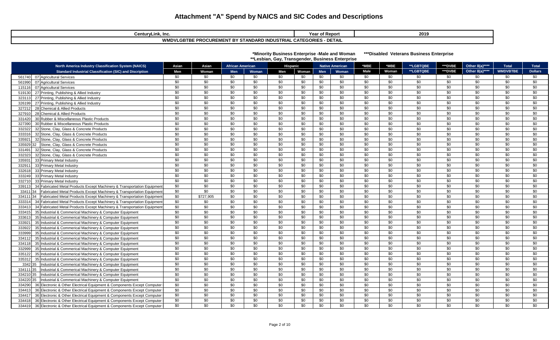| CenturyLink, Inc.                                                      | <b>Year of Report</b> | 2019 |  |  |  |  |  |
|------------------------------------------------------------------------|-----------------------|------|--|--|--|--|--|
| · DETAIL<br>WMDVLGBTBE PROCUREMENT BY STANDARD INDUSTRIAL CATEGORIES - |                       |      |  |  |  |  |  |

| *Minority Business Enterprise -Male and Woman    | ***Disabled V |
|--------------------------------------------------|---------------|
| **Lesbian, Gay, Transgender, Business Enterprise |               |

**/eterans Business Enterprise** 

| <b>North America Industry Classification System (NAICS)</b>                        | Asian           | Asian     | <b>African American</b> |                 |                 | <b>Hispanic</b> |                 | <b>Native American</b> | *MBE            | *MBE            | **LGBTQBE       | ***DVBE         | Other 8(a)****  | <b>Total</b>    | <b>Total</b>    |
|------------------------------------------------------------------------------------|-----------------|-----------|-------------------------|-----------------|-----------------|-----------------|-----------------|------------------------|-----------------|-----------------|-----------------|-----------------|-----------------|-----------------|-----------------|
| <b>Standard Industrial Classification (SIC) and Discription</b>                    | Men             | Woman     | Men                     | Woman           | Men             | Woman           | <b>Men</b>      | Woman                  | Male            | Woman           | **LGBTQBE       | ***DVBE         | Other 8(a)****  | <b>WMDVBTBE</b> | <b>Dollars</b>  |
| 07 Agricultural Services<br>561740                                                 | \$0             | \$0       | \$0                     | \$0             | \$0             | \$0             | \$0             | \$0                    | \$0             | \$0             | \$0             | \$0             | \$0             | \$0             | \$0             |
| 07 Agricultural Services<br>561990                                                 | \$0             | \$0       | \$0                     | \$0             | \$0             | \$0             | \$0             | \$0                    | \$0             | \$0             | \$0             | \$0             | \$0             | \$0             | \$0             |
| 07 Agricultural Services<br>115116                                                 | \$0             | \$0       | \$0                     | \$0             | \$0             | \$0             | \$0             | \$0                    | \$0             | \$0             | \$0             | \$0             | \$0             | \$0             | \$0             |
| 27 Printing, Publishing & Allied Industry<br>519130                                | \$0             | \$0       | \$0                     | \$0             | \$0             | \$0             | \$0             | \$0                    | \$0             | \$0             | \$0             | \$0             | \$0             | \$0             | \$0             |
| 27 Printing, Publishing & Allied Industry<br>323113                                | \$0             | \$0       | \$0                     | \$0             | \$0             | \$0             | \$0             | \$0                    | \$0             | \$0             | \$0             | \$0             | \$0             | \$0             | \$0             |
| 27 Printing, Publishing & Allied Industry<br>326199                                | \$0             | \$0       | \$0                     | \$0             | \$0             | \$0             | \$0             | \$0                    | \$0             | \$0             | \$0             | \$0             | \$0             | \$0             | \$0             |
| 28 Chemical & Allied Products<br>327212                                            | \$0             | \$0       | \$0                     | \$0             | \$0             | \$0             | \$0             | \$0                    | \$0             | \$0             | \$0             | \$0             | \$0             | \$0             | \$0             |
| 28 Chemical & Allied Products<br>327910                                            | \$0             | \$0       | \$0                     | \$0             | \$0             | \$0             | \$0             | \$0                    | \$0             | \$0             | \$0             | \$0             | \$0             | \$0             | \$0             |
| 30 Rubber & Miscellaneous Plastic Products<br>331420                               | \$0             | \$0       | \$0                     | \$0             | \$0             | \$0             | \$0             | \$0                    | \$0             | \$0             | \$0             | \$0             | \$0             | \$0             | \$0             |
| 327390<br>30 Rubber & Miscellaneous Plastic Products                               | \$0             | \$0       | \$0                     | \$0             | \$0             | \$0             | \$0             | \$0                    | \$0             | \$0             | \$0             | \$0             | \$0             | \$0             | \$0             |
| 332322<br>32 Stone, Clay, Glass & Concrete Products                                | \$0             | \$0       | \$0                     | \$0             | \$0             | \$0             | \$0             | \$0                    | \$0             | \$0             | \$0             | \$0             | \$0             | \$0             | \$0             |
| 333316<br>32 Stone, Clay, Glass & Concrete Products                                | \$0             | \$0       | \$0                     | \$0             | \$0             | \$0             | \$0             | \$0                    | \$0             | \$0             | \$0             | \$0             | \$0             | \$0             | \$0             |
| 335921<br>32 Stone, Clay, Glass & Concrete Products                                | \$0             | \$0       | \$0                     | \$0             | \$0             | \$0             | \$0             | \$0                    | \$0             | \$0             | \$0             | \$0             | \$0             | \$0             | \$0             |
| 335929 32 Stone, Clay, Glass & Concrete Products                                   | \$0             | \$0       | \$0                     | \$0             | \$0             | \$0             | \$0             | \$0                    | \$0             | \$0             | \$0             | \$0             | \$0             | \$0             | \$0             |
| 32 Stone, Clay, Glass & Concrete Products<br>331491                                | \$0             | \$0       | \$0                     | \$0             | \$0             | \$0             | \$0             | \$0                    | \$0             | \$0             | \$0             | \$0             | \$0             | \$0             | \$0             |
| 332323<br>32 Stone, Clay, Glass & Concrete Products                                | \$0             | \$0       | \$0                     | \$0             | \$0             | \$0             | \$0             | \$0                    | \$0             | \$0             | \$0             | \$0             | \$0             | \$0             | \$0             |
| 33 Primary Metal Industry<br>335931                                                | \$0             | \$0       | \$0                     | \$0             | \$0             | \$0             | \$0             | \$0                    | \$0             | \$0             | \$0             | \$0             | \$0             | \$0             | \$0             |
| 33 Primary Metal Industry<br>332911                                                | \$0             | \$0       | \$0                     | \$0             | \$0             | \$0             | \$0             | \$0                    | \$0             | \$0             | \$0             | \$0             | \$0             | \$0             | \$0             |
| 332618<br>33 Primary Metal Industry                                                | \$0             | \$0       | \$0                     | \$0             | \$0             | \$0             | \$0             | \$0                    | \$0             | \$0             | \$0             | \$0             | \$0             | $\overline{30}$ | \$0             |
| 33 Primary Metal Industry<br>333249                                                | \$0             | \$0       | \$0                     | \$0             | \$0             | \$0             | \$0             | \$0                    | \$0             | \$0             | \$0             | \$0             | \$0             | \$0             | \$0             |
| 332710<br>33 Primary Metal Industry                                                | \$0             | \$0       | \$0                     | \$0             | \$0             | \$0             | \$0             | \$0                    | \$0             | \$0             | \$0             | \$0             | \$0             | \$0             | \$0             |
| 339113<br>34 Fabricated Metal Products Except Machinery & Transportation Equipment | \$0             | \$0       | \$0                     | \$0             | \$0             | \$0             | \$0             | \$0                    | \$0             | \$0             | \$0             | \$0             | \$0             | \$0             | \$0             |
| 33411 34 Fabricated Metal Products Except Machinery & Transportation Equipment     | \$0             | \$0       | \$0                     | \$0             | \$0             | \$0             | \$0             | \$0                    | \$0             | \$0             | \$0             | \$0             | \$0             | \$0             | \$0             |
| 334111 34 Fabricated Metal Products Except Machinery & Transportation Equipmen     | $\overline{50}$ | \$727,905 | \$0                     | $\overline{30}$ | $\overline{30}$ | \$0             | $\overline{50}$ | $\overline{30}$        | $\overline{30}$ | $\overline{30}$ | $\overline{50}$ | $\overline{50}$ | $\overline{50}$ | $\overline{30}$ | $\overline{30}$ |
| 333314<br>34 Fabricated Metal Products Except Machinery & Transportation Equipment | \$0             | \$0       | \$0                     | \$0             | \$0             | \$0             | \$0             | \$0                    | \$0             | \$0             | \$0             | \$0             | \$0             | \$0             | \$0             |
| 34 Fabricated Metal Products Except Machinery & Transportation Equipment<br>333413 | \$0             | \$0       | \$0                     | \$0             | \$0             | \$0             | \$0             | \$0                    | \$0             | \$0             | \$0             | \$0             | \$0             | \$0             | \$0             |
| 35 Industrial & Commerical Machinery & Computer Equipment<br>333415                | \$0             | \$0       | \$0                     | \$0             | \$0             | \$0             | \$0             | \$0                    | \$0             | \$0             | \$0             | \$0             | \$0             | \$0             | \$0             |
| 333613<br>35 Industrial & Commerical Machinery & Computer Equipment                | \$0             | \$0       | \$0                     | \$0             | \$0             | \$0             | \$0             | \$0                    | \$0             | \$0             | \$0             | \$0             | \$0             | \$0             | \$0             |
| 35 Industrial & Commerical Machinery & Computer Equipment<br>333921                | \$0             | \$0       | \$0                     | \$0             | \$0             | \$0             | \$0             | \$0                    | \$0             | \$0             | \$0             | \$0             | \$0             | \$0             | \$0             |
| 333922<br>35 Industrial & Commerical Machinery & Computer Equipment                | \$0             | \$0       | \$0                     | \$0             | \$0             | \$0             | \$0             | \$0                    | \$0             | \$0             | \$0             | \$0             | \$0             | \$0             | \$0             |
| 333999<br>35 Industrial & Commerical Machinery & Computer Equipment                | \$0             | \$0       | \$0                     | \$0             | \$0             | \$0             | \$0             | \$0                    | \$0             | \$0             | \$0             | \$0             | \$0             | \$0             | \$0             |
| 334112<br>35 Industrial & Commerical Machinery & Computer Equipment                | \$0             | \$0       | \$0                     | \$0             | \$0             | \$0             | \$0             | \$0                    | \$0             | \$0             | \$0             | \$0             | \$0             | \$0             | \$0             |
| 334118<br>35 Industrial & Commerical Machinery & Computer Equipment                | \$0             | \$0       | \$0                     | \$0             | \$0             | \$0             | \$0             | \$0                    | \$0             | \$0             | \$0             | \$0             | \$0             | \$0             | \$0             |
| 35 Industrial & Commerical Machinery & Computer Equipment<br>332999                | \$0             | \$0       | \$0                     | \$0             | \$0             | \$0             | \$0             | \$0                    | \$0             | \$0             | \$0             | \$0             | \$0             | \$0             | \$0             |
| 35 Industrial & Commerical Machinery & Computer Equipment<br>335122                | \$0             | \$0       | \$0                     | \$0             | \$0             | \$0             | \$0             | \$0                    | \$0             | \$0             | \$0             | \$0             | \$0             | \$0             | \$0             |
| 335312<br>35 Industrial & Commerical Machinery & Computer Equipment                | \$0             | \$0       | \$0                     | \$0             | \$0             | \$0             | \$0             | \$0                    | \$0             | \$0             | \$0             | \$0             | \$0             | $\overline{30}$ | \$0             |
| 3342 35<br>Industrial & Commerical Machinery & Computer Equipment                  | \$0             | \$0       | \$0                     | \$0             | \$0             | \$0             | \$0             | \$0                    | \$0             | \$0             | \$0             | \$0             | \$0             | \$0             | \$0             |
| Industrial & Commerical Machinery & Computer Equipment<br>334111 35                | \$0             | \$0       | \$0                     | \$0             | \$0             | \$0             | \$0             | \$0                    | \$0             | \$0             | \$0             | \$0             | \$0             | \$0             | \$0             |
| Industrial & Commerical Machinery & Computer Equipment<br>334210 35                | \$0             | \$0       | \$0                     | \$0             | \$0             | \$0             | \$0             | \$0                    | \$0             | \$0             | \$0             | \$0             | \$0             | \$0             | \$0             |
| 334220 35   Industrial & Commerical Machinery & Computer Equipment                 | \$0             | \$0       | \$0                     | \$0             | \$0             | \$0             | \$0             | \$0                    | \$0             | \$0             | \$0             | \$0             | \$0             | \$0             | \$0             |
| 36 Electronic & Other Electrical Equipment & Components Except Computer<br>334290  | \$0             | \$0       | \$0                     | \$0             | \$0             | \$0             | \$0             | \$0                    | \$0             | \$0             | \$0             | \$0             | \$0             | \$0             | \$0             |
| 36 Electronic & Other Electrical Equipment & Components Except Computer<br>334413  | \$0             | \$0       | \$0                     | \$0             | \$0             | \$0             | \$0             | \$0                    | \$0             | \$0             | \$0             | \$0             | \$0             | \$0             | \$0             |
| 36 Electronic & Other Electrical Equipment & Components Except Computer<br>334417  | \$0             | \$0       | \$0                     | \$0             | \$0             | \$0             | \$0             | \$0                    | \$0             | \$0             | \$0             | \$0             | \$0             | \$0             | \$0             |
| 334418<br>36 Electronic & Other Electrical Equipment & Components Except Computer  | \$0             | \$0       | \$0                     | \$0             | \$0             | \$0             | \$0             | \$0                    | \$0             | \$0             | \$0             | \$0             | \$0             | \$0             | \$0             |
| 36 Electronic & Other Electrical Equipment & Components Except Computer<br>334419  | \$0             | \$0       | \$0                     | \$0             | \$0             | \$0             | \$0             | \$0                    | \$0             | \$0             | \$0             | \$0             | \$0             | \$0             | \$0             |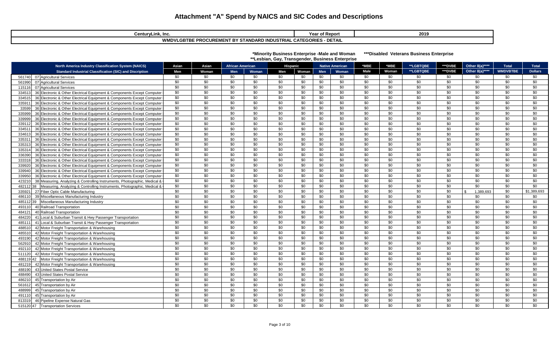| CenturyLink, Inc.                                                                       | Report<br>rear | 2019 |  |  |  |  |  |  |
|-----------------------------------------------------------------------------------------|----------------|------|--|--|--|--|--|--|
| E PROCUREMENT BY STANDARD INDUSTRIAL CATEGORIES<br><b>WMDVLGBTBE I</b><br><b>DETAIL</b> |                |      |  |  |  |  |  |  |

| *Minority Business Enterprise -Male and Woman    | ***Disable |
|--------------------------------------------------|------------|
| **Lesbian, Gay, Transgender, Business Enterprise |            |

 **Hed Veterans Business Enterprise** 

| <b>North America Industry Classification System (NAICS)</b>                          | Asian           | Asian           | <b>African American</b> |       | Hispanic        |       |            | <b>Native American</b> | *MBE | *MBE      | **LGBTQBE       | ***DVBE | Other 8(a)****            | <b>Total</b>    | <b>Total</b>   |
|--------------------------------------------------------------------------------------|-----------------|-----------------|-------------------------|-------|-----------------|-------|------------|------------------------|------|-----------|-----------------|---------|---------------------------|-----------------|----------------|
| <b>Standard Industrial Classification (SIC) and Discription</b>                      | Men             | Woman           | Men                     | Woman | Men             | Woman | <b>Men</b> | Woman                  | Male | Woman     | **LGBTQBE       | ***DVBE | Other 8(a)***             | <b>WMDVBTBE</b> | <b>Dollars</b> |
| 07 Agricultural Services<br>561740                                                   | \$0             | \$0             | \$0                     | \$0   | \$0             | \$0   | \$0        | \$0                    | \$0  | <b>SO</b> | \$0             | \$0     | \$0                       | \$0             | \$0            |
| 07 Agricultural Services<br>561990                                                   | \$0             | \$0             | \$0                     | \$0   | \$0             | \$0   | \$0        | \$0                    | \$0  | \$0       | \$0             | \$0     | \$0                       | \$0             | \$0            |
| 07 Agricultural Services<br>115116                                                   | \$0             | \$0             | \$0                     | \$0   | \$0             | \$0   | \$0        | \$0                    | \$0  | \$0       | \$0             | \$0     | \$0                       | \$0             | \$0            |
| 334513<br>36 Electronic & Other Electrical Equipment & Components Except Computer    | \$0             | \$0             | \$0                     | \$0   | \$0             | \$0   | \$0        | \$0                    | \$0  | \$0       | \$0             | \$0     | \$0                       | \$0             | \$0            |
| 36 Electronic & Other Electrical Equipment & Components Except Computer<br>334515    | \$0             | \$0             | \$0                     | \$0   | \$0             | \$0   | \$0        | \$0                    | \$0  | \$0       | \$0             | \$0     | \$0                       | \$0             | \$0            |
| 335911<br>36 Electronic & Other Electrical Equipment & Components Except Computer    | \$0             | \$0             | \$0                     | \$0   | \$0             | \$0   | \$0        | \$0                    | \$0  | \$0       | \$0             | \$0     | \$0                       | \$0             | \$0            |
| 33599<br>36 Electronic & Other Electrical Equipment & Components Except Computer     | \$0             | \$0             | \$0                     | \$0   | \$0             | \$0   | \$0        | \$0                    | \$0  | \$0       | \$0             | \$0     | \$0                       | \$0             | \$0            |
| 335999<br>36 Electronic & Other Electrical Equipment & Components Except Computer    | \$0             | \$0             | \$0                     | \$0   | \$0             | \$0   | \$0        | \$0                    | \$0  | \$0       | \$0             | \$0     | \$0                       | \$0             | \$0            |
| 36 Electronic & Other Electrical Equipment & Components Except Computer<br>339999    | \$0             | \$0             | \$0                     | \$0   | \$0             | \$0   | \$0        | \$0                    | \$0  | \$0       | \$0             | \$0     | \$0                       | \$0             | \$0            |
| 36 Electronic & Other Electrical Equipment & Components Except Computer<br>339112    | \$0             | \$0             | \$0                     | \$0   | \$0             | \$0   | \$0        | \$0                    | \$0  | \$0       | \$0             | \$0     | \$0                       | \$0             | \$0            |
| 36 Electronic & Other Electrical Equipment & Components Except Computer<br>334511    | \$0             | \$0             | \$0                     | \$0   | \$0             | \$0   | \$0        | \$0                    | \$0  | \$0       | \$0             | \$0     | \$0                       | \$0             | \$0            |
| 334613<br>36 Electronic & Other Electrical Equipment & Components Except Computer    | \$0             | \$0             | \$0                     | \$0   | \$0             | \$0   | \$0        | \$0                    | \$0  | \$0       | \$0             | \$0     | \$0                       | \$0             | \$0            |
| 335311<br>36 Electronic & Other Electrical Equipment & Components Except Computer    | \$0             | \$0             | \$0                     | \$0   | \$0             | \$0   | \$0        | \$0                    | \$0  | \$0       | \$0             | \$0     | \$0                       | \$0             | \$0            |
| 335313<br>36 Electronic & Other Electrical Equipment & Components Except Computer    | \$0             | \$0             | \$0                     | \$0   | \$0             | \$0   | \$0        | \$0                    | \$0  | \$0       | \$0             | \$0     | \$0                       | \$0             | \$0            |
| 335314<br>36 Electronic & Other Electrical Equipment & Components Except Computer    | \$0             | \$0             | \$0                     | \$0   | \$0             | \$0   | \$0        | \$0                    | \$0  | \$0       | \$0             | \$0     | \$0                       | \$0             | \$0            |
| 336390<br>36 Electronic & Other Electrical Equipment & Components Except Computer    | \$0             | \$0             | \$0                     | \$0   | \$0             | \$0   | \$0        | \$0                    | \$0  | \$0       | \$0             | \$0     | \$0                       | \$0             | \$0            |
| 36 Electronic & Other Electrical Equipment & Components Except Computer<br>333318    | \$0             | \$0             | \$0                     | \$0   | \$0             | \$0   | \$0        | \$0                    | \$0  | \$0       | \$0             | \$0     | \$0                       | \$0             | \$0            |
| 36 Electronic & Other Electrical Equipment & Components Except Computer<br>339920    | \$0             | \$0             | \$0                     | \$0   | \$0             | \$0   | \$0        | \$0                    | \$0  | \$0       | \$0             | \$0     | \$0                       | \$0             | \$0            |
| 339940<br>36 Electronic & Other Electrical Equipment & Components Except Computer    | $\overline{30}$ | $\overline{30}$ | $\overline{50}$         | \$0   | \$0             | \$0   | \$0        | \$0                    | \$0  | \$0       | $\overline{30}$ | \$0     | $\overline{30}$           | $\overline{30}$ | \$0            |
| 339950<br>36 Electronic & Other Electrical Equipment & Components Except Computer    | $\overline{30}$ | $\overline{30}$ | $\overline{30}$         | \$0   | \$0             | \$0   | \$0        | \$0                    | \$0  | \$0       | $\overline{30}$ | \$0     | \$0                       | $\overline{30}$ | \$0            |
| 38 Measuring, Analyzing & Controlling Instruments, Photographic, Medical &<br>423210 | $\overline{30}$ | \$0             | \$0                     | \$0   | \$0             | \$0   | \$0        | \$0                    | \$0  | \$0       | \$0             | \$0     | \$0                       | \$0             | \$0            |
| 48211238<br>Measuring, Analyzing & Controlling Instruments, Photographic, Medical &  | \$0             | \$0             | \$0                     | \$0   | \$0             | \$0   | \$0        | \$0                    | \$0  | \$0       | \$0             | \$0     | \$0                       | \$0             | \$0            |
| 27 Fiber Optic Cable Manufacturing<br>335921                                         | \$0             | $\overline{30}$ | \$0                     | \$0   | \$0             | \$0   | \$0        | \$0                    | \$0  | \$0       | \$0             | \$0     | 1.389.693<br>$\mathbf{R}$ | $\overline{30}$ | \$1,389,693    |
| 486110<br>39 Miscellaneous Manufacturing Industry                                    | \$0             | \$0             | \$0                     | \$0   | \$0             | \$0   | \$0        | \$0                    | \$0  | \$0       | \$0             | \$0     | \$0                       | \$0             | \$0            |
| Miscellaneous Manufacturing Industry<br>485112 39                                    | \$0             | \$0             | $\overline{30}$         | \$0   | $\overline{30}$ | \$0   | \$0        | \$0                    | \$0  | \$0       | \$0             | \$0     | \$0                       | \$0             | \$0            |
| 40 Railroad Transportation<br>493110                                                 | \$0             | \$0             | \$0                     | \$0   | \$0             | \$0   | \$0        | \$0                    | \$0  | \$0       | \$0             | \$0     | \$0                       | \$0             | \$0            |
| 484121<br>40 Railroad Transportation                                                 | \$0             | \$0             | \$0                     | \$0   | \$0             | \$0   | \$0        | \$0                    | \$0  | \$0       | \$0             | \$0     | \$0                       | \$0             | \$0            |
| 41 Local & Suburban Transit & Hwy Passenger Transportation<br>484220                 | \$0             | \$0             | \$0                     | \$0   | \$0             | \$0   | \$0        | \$0                    | \$0  | \$0       | \$0             | \$0     | \$0                       | \$0             | \$0            |
| 41 Local & Suburban Transit & Hwy Passenger Transportation<br>485111                 | \$0             | \$0             | \$0                     | \$0   | \$0             | \$0   | \$0        | \$0                    | \$0  | \$0       | \$0             | \$0     | \$0                       | \$0             | \$0            |
| 488510<br>42 Motor Freight Transportation & Warehousing                              | \$0             | \$0             | \$0                     | \$0   | \$0             | \$0   | \$0        | \$0                    | \$0  | \$0       | \$0             | \$0     | \$0                       | \$0             | \$0            |
| 485510<br>42 Motor Freight Transportation & Warehousing                              | \$0             | \$0             | \$0                     | \$0   | \$0             | \$0   | \$0        | \$0                    | \$0  | \$0       | \$0             | \$0     | \$0                       | \$0             | \$0            |
| 493190<br>42 Motor Freight Transportation & Warehousing                              | \$0             | \$0             | \$0                     | \$0   | \$0             | \$0   | \$0        | \$0                    | \$0  | \$0       | \$0             | \$0     | \$0                       | \$0             | \$0            |
| 562910<br>42 Motor Freight Transportation & Warehousing                              | \$0             | \$0             | \$0                     | \$0   | \$0             | \$0   | \$0        | \$0                    | \$0  | \$0       | \$0             | \$0     | \$0                       | \$0             | \$0            |
| 42 Motor Freight Transportation & Warehousing<br>492110                              | \$0             | \$0             | \$0                     | \$0   | \$0             | \$0   | \$0        | \$0                    | \$0  | \$0       | \$0             | \$0     | \$0                       | \$0             | \$0            |
| 42 Motor Freight Transportation & Warehousing<br>511120                              | \$0             | \$0             | \$0                     | \$0   | \$0             | \$0   | \$0        | \$0                    | \$0  | \$0       | \$0             | \$0     | \$0                       | \$0             | \$0            |
| 48811942<br>Motor Freight Transportation & Warehousing                               | \$0             | \$0             | \$0                     | \$0   | \$0             | \$0   | \$0        | \$0                    | \$0  | \$0       | \$0             | \$0     | \$0                       | \$0             | \$0            |
| 481219<br>42 Motor Freight Transportation & Warehousing                              | \$0             | \$0             | \$0                     | \$0   | \$0             | \$0   | \$0        | \$0                    | \$0  | \$0       | \$0             | \$0     | \$0                       | \$0             | \$0            |
| 43 United States Postal Service<br>488190                                            | \$0             | \$0             | \$0                     | \$0   | \$0             | \$0   | \$0        | \$0                    | \$0  | \$0       | \$0             | \$0     | \$0                       | \$0             | \$0            |
| 488490<br>43 United States Postal Service                                            | \$0             | \$0             | \$0                     | \$0   | \$0             | \$0   | \$0        | \$0                    | \$0  | \$0       | \$0             | \$0     | \$0                       | \$0             | \$0            |
| 45 Transportation by Air<br>486210                                                   | \$0             | \$0             | \$0                     | \$0   | \$0             | \$0   | \$0        | \$0                    | \$0  | \$0       | \$0             | \$0     | \$0                       | \$0             | \$0            |
| 561612<br>45 Transportation by Air                                                   | \$0             | \$0             | \$0                     | \$0   | \$0             | \$0   | \$0        | \$0                    | \$0  | \$0       | \$0             | \$0     | \$0                       | \$0             | \$0            |
| 488999<br>45 Transportation by Air                                                   | \$0             | \$0             | \$0                     | \$0   | \$0             | \$0   | \$0        | \$0                    | \$0  | \$0       | \$0             | \$0     | \$0                       | \$0             | \$0            |
| 45 Transportation by Air<br>491110                                                   | \$0             | \$0             | \$0                     | \$0   | \$0             | \$0   | \$0        | \$0                    | \$0  | \$0       | \$0             | \$0     | \$0                       | \$0             | \$0            |
| 813319<br>46 Pipeline Expense Natural Gas                                            | \$0             | \$0             | \$0                     | \$0   | \$0             | \$0   | \$0        | \$0                    | \$0  | \$0       | \$0             | \$0     | \$0                       | \$0             | \$0            |
| 515120 47 Transportation Services                                                    | \$0             | \$0             | \$0                     | \$0   | \$0             | \$0   | \$0        | \$0                    | \$0  | \$0       | \$0             | \$0     | \$0                       | \$0             | \$0            |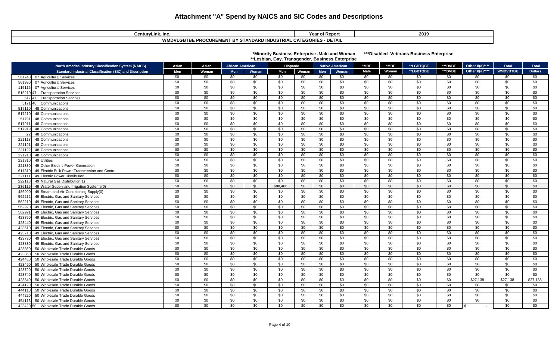| CenturyLink, Inc.                                                      | <b>Year of Report</b> | 2019 |  |  |  |  |  |  |
|------------------------------------------------------------------------|-----------------------|------|--|--|--|--|--|--|
| · DETAIL<br>WMDVLGBTBE PROCUREMENT BY STANDARD INDUSTRIAL CATEGORIES - |                       |      |  |  |  |  |  |  |

| *Minority Business Enterprise -Male and Woman    | ***Dis |
|--------------------------------------------------|--------|
| **Lesbian, Gay, Transgender, Business Enterprise |        |

sabled Veterans Business Enterprise

|           | <b>North America Industry Classification System (NAICS)</b>     | Asian           | Asian           | <b>African American</b> |       |                 | Hispanic        |     | <b>Native American</b> | *MBE            | *MBE            | **LGBTQBE       | ***DVBE         | Other 8(a)****  | <b>Total</b>    | <b>Total</b>    |
|-----------|-----------------------------------------------------------------|-----------------|-----------------|-------------------------|-------|-----------------|-----------------|-----|------------------------|-----------------|-----------------|-----------------|-----------------|-----------------|-----------------|-----------------|
|           | <b>Standard Industrial Classification (SIC) and Discription</b> | Men             | Woman           | Men                     | Woman | Men             | Woman           | Men | Woman                  | Male            | Woman           | **LGBTQBE       | ***DVBE         | Other 8(a)****  | <b>WMDVBTBE</b> | <b>Dollars</b>  |
|           | 561740 07 Agricultural Services                                 | \$0             | \$0             | \$0                     | \$0   | \$0             | \$0             | \$0 | \$0                    | \$0             | \$0             | \$0             | \$0             | \$0             | \$0             | \$0             |
| 561990    | 07 Agricultural Services                                        | \$0             | \$0             | \$0                     | \$0   | \$0             | \$0             | \$0 | \$0                    | \$0             | \$0             | \$0             | \$0             | \$0             | \$0             | \$0             |
| 115116    | 07 Agricultural Services                                        | \$0             | \$0             | \$0                     | \$0   | \$0             | \$0             | \$0 | \$0                    | \$0             | \$0             | \$0             | \$0             | \$0             | \$0             | \$0             |
| 515210 47 | <b>Transportation Services</b>                                  | \$0             | \$0             | \$0                     | \$0   | \$0             | \$0             | \$0 | \$0                    | \$0             | \$0             | \$0             | \$0             | \$0             | \$0             | \$0             |
| 517 47    | <b>Transportation Services</b>                                  | \$0             | \$0             | \$0                     | \$0   | \$0             | \$0             | \$0 | \$0                    | \$0             | \$0             | \$0             | \$0             | \$0             | \$0             | \$0             |
| 517148    | Communications                                                  | \$0             | \$0             | \$0                     | \$0   | \$0             | \$0             | \$0 | \$0                    | \$0             | \$0             | \$0             | \$0             | \$0             | \$0             | \$0             |
| 517110    | 48 Communications                                               | \$0             | \$0             | \$0                     | \$0   | \$0             | \$0             | \$0 | $\overline{50}$        | \$0             | \$0             | $\overline{50}$ | \$0             | \$0             | \$0             | \$0             |
| 517210    | 48 Communications                                               | \$0             | \$0             | \$0                     | \$0   | \$0             | \$0             | \$0 | \$0                    | \$0             | \$0             | \$0             | \$0             | \$0             | \$0             | \$0             |
| 51791     | 48 Communications                                               | $\sqrt{6}$      | $\sqrt{6}$      | $\overline{50}$         | \$0   | \$0             | \$0             | \$0 | \$0                    | \$0             | $\overline{50}$ | $\overline{50}$ | \$0             | \$0             | $\overline{50}$ | \$0             |
| 517911    | 48 Communications                                               | \$0             | \$0             | \$0                     | \$0   | \$0             | \$0             | \$0 | \$0                    | \$0             | \$0             | \$0             | \$0             | \$0             | \$0             | \$0             |
| 517919    | 48 Communications                                               | \$0             | \$0             | \$0                     | \$0   | \$0             | \$0             | \$0 | \$0                    | \$0             | \$0             | \$0             | \$0             | \$0             | \$0             | \$0             |
| 22        | 48 Communications                                               | $\overline{30}$ | $\sqrt{6}$      | $\overline{50}$         | \$0   | $\overline{50}$ | \$0             | \$0 | $\overline{50}$        | $\overline{50}$ | $\overline{50}$ | $\overline{50}$ | \$0             | \$0             | \$0             | $\sqrt{6}$      |
| 221118    | 48 Communications                                               | \$0             | \$0             | \$0                     | \$0   | \$0             | \$0             | \$0 | \$0                    | \$0             | \$0             | \$0             | \$0             | \$0             | \$0             | \$0             |
| 221121    | 48 Communications                                               | \$0             | \$0             | \$0                     | \$0   | \$0             | \$0             | \$0 | \$0                    | \$0             | \$0             | $\overline{50}$ | \$0             | \$0             | \$0             | \$0             |
| 221122    | 48 Communications                                               | \$0             | \$0             | \$0                     | \$0   | \$0             | \$0             | \$0 | \$0                    | \$0             | \$0             | \$0             | \$0             | \$0             | \$0             | \$0             |
| 221210    | 48 Communications                                               | \$0             | \$0             | \$0                     | \$0   | \$0             | \$0             | \$0 | \$0                    | \$0             | \$0             | \$0             | \$0             | \$0             | \$0             | \$0             |
| 221310    | 49 Utilities                                                    | \$0             | \$0             | \$0                     | \$0   | \$0             | \$0             | \$0 | $\sqrt{50}$            | \$0             | \$0             | $\overline{50}$ | \$0             | \$0             | \$0             | \$0             |
| 221330    | 49 Other Electric Power Generation                              | $\overline{30}$ | \$0             | \$0                     | \$0   | $\overline{50}$ | \$0             | \$0 | $\overline{50}$        | \$0             | $\overline{50}$ | $\overline{50}$ | $\overline{30}$ | \$0             | $\overline{30}$ | $\overline{30}$ |
| 611310    | 49 Electric Bulk Power Transmission and Control                 | $\overline{30}$ | $\overline{50}$ | \$0                     | \$0   | $\overline{50}$ | $\overline{30}$ | \$0 | \$0                    | \$0             | $\overline{30}$ | \$0             | \$0             | \$0             | \$0             | $\overline{60}$ |
| 221111    | 49 Electric Power Distribution                                  | \$0             | \$0             | \$0                     | \$0   | \$0             | \$0             | \$0 | \$0                    | \$0             | \$0             | \$0             | \$0             | \$0             | \$0             | \$0             |
| 222118    | 49 Natural Gas Distribution(1)                                  | $\sqrt{6}$      | \$0             | $\overline{50}$         | \$0   | $\overline{50}$ | \$0             | \$0 | $\sqrt{50}$            | \$0             | $\overline{50}$ | $\overline{50}$ | \$0             | \$0             | \$0             | $\frac{1}{20}$  |
| 236115    | 49 Water Supply and Irrigation Systems(0)                       | \$0             | \$0             | \$0                     | \$0   | \$88,466        | \$0             | \$0 | $\sqrt{60}$            | \$0             | \$0             | $\overline{50}$ | \$0             | \$0             | \$0             | $\frac{1}{20}$  |
| 486990    | 49 Steam and Air-Conditioning Supply(0)                         | \$0             | \$0             | \$0                     | \$0   | \$0             | \$0             | \$0 | $\overline{50}$        | \$0             | \$0             | \$0             | \$0             | \$0             | \$0             | \$0             |
| 562212    | 49 Electric, Gas and Sanitary Services                          | $\overline{30}$ | $\overline{50}$ | \$0                     | \$0   | $\overline{50}$ | $\overline{30}$ | \$0 | \$0                    | \$0             | $\overline{30}$ | \$0             | $\overline{30}$ | $\overline{30}$ | \$0             | $\overline{60}$ |
| 562219    | 49 Electric, Gas and Sanitary Services                          | \$0             | \$0             | \$0                     | \$0   | \$0             | \$0             | \$0 | $\sqrt{50}$            | \$0             | \$0             | $\overline{50}$ | \$0             | \$0             | \$0             | $\sqrt{6}$      |
| 562920    | 49 Electric, Gas and Sanitary Services                          | \$0             | \$0             | \$0                     | \$0   | \$0             | \$0             | \$0 | \$0                    | \$0             | \$0             | \$0             | \$0             | \$0             | \$0             | \$0             |
| 562991    | 49 Electric, Gas and Sanitary Services                          | \$0             | \$0             | \$0                     | \$0   | \$0             | \$0             | \$0 | \$0                    | \$0             | \$0             | \$0             | \$0             | \$0             | \$0             | $\sqrt{6}$      |
| 423390    | 49 Electric, Gas and Sanitary Services                          | \$0             | \$0             | \$0                     | \$0   | \$0             | \$0             | \$0 | \$0                    | \$0             | \$0             | \$0             | \$0             | \$0             | \$0             | \$0             |
| 423440    | 49 Electric, Gas and Sanitary Services                          | \$0             | \$0             | \$0                     | \$0   | \$0             | \$0             | \$0 | \$0                    | \$0             | \$0             | \$0             | \$0             | \$0             | \$0             | \$0             |
| 423510    | 49 Electric, Gas and Sanitary Services                          | \$0             | \$0             | \$0                     | \$0   | \$0             | \$0             | \$0 | \$0                    | \$0             | \$0             | \$0             | \$0             | \$0             | $\overline{50}$ | $\sqrt{6}$      |
| 423710    | 49 Electric, Gas and Sanitary Services                          | \$0             | \$0             | \$0                     | \$0   | \$0             | \$0             | \$0 | $\overline{50}$        | \$0             | \$0             | \$0             | \$0             | \$0             | \$0             | \$0             |
| 423730    | 49 Electric, Gas and Sanitary Services                          | \$0             | \$0             | \$0                     | \$0   | \$0             | \$0             | \$0 | \$0                    | \$0             | \$0             | \$0             | \$0             | \$0             | \$0             | \$0             |
| 423830    | 49 Electric, Gas and Sanitary Services                          | \$0             | \$0             | \$0                     | \$0   | \$0             | \$0             | \$0 | \$0                    | \$0             | \$0             | \$0             | \$0             | \$0             | \$0             | \$0             |
| 423850    | 50 Wholesale Trade Durable Goods                                | \$0             | \$0             | \$0                     | \$0   | \$0             | \$0             | \$0 | \$0                    | \$0             | \$0             | \$0             | \$0             | \$0             | \$0             | \$0             |
| 423860    | 50 Wholesale Trade Durable Goods                                | \$0             | \$0             | \$0                     | \$0   | \$0             | \$0             | \$0 | \$0                    | \$0             | \$0             | \$0             | \$0             | \$0             | \$0             | \$0             |
| 424480    | 50 Wholesale Trade Durable Goods                                | $\overline{30}$ | $\overline{50}$ | $\overline{50}$         | \$0   | $\overline{50}$ | $\overline{30}$ | \$0 | $\overline{50}$        | $\overline{30}$ | $\overline{30}$ | $\overline{30}$ | \$0             | $\overline{30}$ | \$0             | $\sqrt{6}$      |
| 423490    | 50 Wholesale Trade Durable Goods                                | \$0             | \$0             | \$0                     | \$0   | \$0             | \$0             | \$0 | \$0                    | \$0             | \$0             | \$0             | \$0             | \$0             | \$0             | \$0             |
| 423720    | 50 Wholesale Trade Durable Goods                                | \$0             | \$0             | \$0                     | \$0   | \$0             | \$0             | \$0 | \$0                    | \$0             | \$0             | \$0             | \$0             | \$0             | \$0             | \$0             |
| 423740    | 50 Wholesale Trade Durable Goods                                | \$0             | \$0             | \$0                     | \$0   | \$0             | \$0             | \$0 | \$0                    | \$0             | \$0             | \$0             | \$0             | \$0             | \$0             | \$0             |
| 423840    | 50 Wholesale Trade Durable Goods                                | \$0             | \$0             | \$0                     | \$0   | \$0             | \$0             | \$0 | \$0                    | \$0             | \$0             | \$0             | \$0             | \$27,138        | \$27,138        | \$27,138        |
| 424120    | 50 Wholesale Trade Durable Goods                                | \$0             | \$0             | \$0                     | \$0   | \$0             | \$0             | \$0 | $\overline{50}$        | \$0             | \$0             | $\overline{30}$ | \$0             | \$0             | \$0             | \$0             |
| 444110    | 50 Wholesale Trade Durable Goods                                | \$0             | \$0             | \$0                     | \$0   | \$0             | \$0             | \$0 | \$0                    | \$0             | \$0             | \$0             | \$0             | \$0             | \$0             | \$0             |
| 444220    | 50 Wholesale Trade Durable Goods                                | \$0             | \$0             | \$0                     | \$0   | \$0             | \$0             | \$0 | \$0                    | \$0             | \$0             | \$0             | \$0             | \$0             | \$0             | \$0             |
| 454113    | 50 Wholesale Trade Durable Goods                                | $\overline{30}$ | \$0             | \$0                     | \$0   | $\overline{50}$ | \$0             | \$0 | \$0                    | \$0             | $\overline{30}$ | \$0             | \$0             | $\overline{50}$ | $\overline{50}$ | $\sqrt{6}$      |
|           | 423420 50 Wholesale Trade Durable Goods                         | \$0             | \$0             | \$0                     | \$0   | \$0             | \$0             | \$0 | \$0                    | \$0             | \$0             | \$0             | \$0             | - \$            | \$0             | \$0             |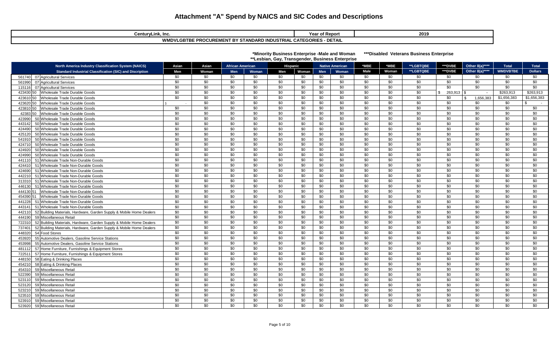| enturyLink, Incب                                                             | <b>Year of Report</b> | 2019 |  |  |  |  |  |
|------------------------------------------------------------------------------|-----------------------|------|--|--|--|--|--|
| - DETAIL<br>√LGBTBE PROCUREMENT BY STANDARD INDUSTRIAL CATEGORIES -<br>WMDVL |                       |      |  |  |  |  |  |

| CenturyLink, Inc.                                      | <b>rear or Report</b>                          | <b>ZU19</b> |
|--------------------------------------------------------|------------------------------------------------|-------------|
| <b>WMDVLGBTBE PROCUREMENT BY STANDARD INDUSTRIAL (</b> | <b>DETAIL</b><br>-----------<br>. CATEGORIES : |             |
|                                                        |                                                |             |

#### **\*Minority Business Enterprise -Male and Woman \*\*\*Disabled Veterans Business Enterprise \*\*Lesbian, Gay, Transgender, Business Enterprise**

| <b>North America Industry Classification System (NAICS)</b>                    | Asian           | Asian           | <b>African American</b> |                 | <b>Hispanic</b> |       |     | <b>Native American</b> | *MBE | *MBE  | **LGBTQBE       | ***DVBE         | Other 8(a)****  | <b>Total</b>    | <b>Total</b>     |
|--------------------------------------------------------------------------------|-----------------|-----------------|-------------------------|-----------------|-----------------|-------|-----|------------------------|------|-------|-----------------|-----------------|-----------------|-----------------|------------------|
| <b>Standard Industrial Classification (SIC) and Discription</b>                | Men             | Woman           | <b>Men</b>              | Woman           | Men             | Woman | Men | Woman                  | Male | Woman | **LGBTQBE       | ***DVBE         | Other 8(a)****  | <b>WMDVBTBE</b> | <b>Dollars</b>   |
| 561740<br>07 Agricultural Services                                             | \$0             | \$0             | \$0                     | \$0             | \$0             | \$0   | \$0 | \$0                    | \$0  | \$0   | \$0             | \$0             | \$0             | \$0             | \$0              |
| 07 Agricultural Services<br>561990                                             | \$0             | \$0             | \$0                     | \$0             | \$0             | \$0   | \$0 | \$0                    | \$0  | \$0   | \$0             | \$0             | \$0             | \$0             | \$0              |
| 115116<br>07 Agricultural Services                                             | \$0             | \$0             | \$0                     | \$0             | \$0             | \$0   | \$0 | \$0                    | \$0  | \$0   | \$0             | \$0             | \$0             | \$0             | \$0              |
| 423430<br>Wholesale Trade Durable Goods<br>50                                  | \$0             | \$0             | \$0                     | \$0             | \$0             | \$0   | \$0 | \$0                    | \$0  | \$0   | \$0             | 263.913         | $\blacksquare$  | \$263.913       | \$263.913        |
| 423610<br>Wholesale Trade Durable Goods<br>50                                  | \$0             | \$0             | \$0                     | \$0             | \$0             | \$0   | \$0 | \$0                    | \$0  | \$0   | \$0             | \$0             | 1,656,383       | \$1,656,383     | \$1,656,383      |
| 423620<br>Wholesale Trade Durable Goods<br>50                                  |                 | \$0             | \$0                     | \$0             | \$0             | \$0   | \$0 | \$0                    | \$0  | \$0   | \$0             | \$0             | \$0             | \$0             | \$<br>$\sim 100$ |
| 423810 50<br>Wholesale Trade Durable Goods                                     | \$0             | \$0             | \$0                     | \$0             | \$0             | \$0   | \$0 | \$0                    | \$0  | \$0   | \$0             | \$0             | \$0             | \$0             | \$0              |
| 42383<br>Wholesale Trade Durable Goods                                         | \$0             | \$0             | \$0                     | \$0             | \$0             | \$0   | \$0 | \$0                    | \$0  | \$0   | \$0             | \$0             | \$0             | \$0             | \$0              |
| 423990<br>50 Wholesale Trade Durable Goods                                     | \$0             | \$0             | \$0                     | \$0             | \$0             | \$0   | \$0 | \$0                    | \$0  | \$0   | \$0             | \$0             | \$0             | \$0             | \$0              |
| 50 Wholesale Trade Durable Goods<br>443142                                     | \$0             | $\overline{30}$ | \$0                     | \$0             | $\overline{30}$ | \$0   | \$0 | $\overline{50}$        | \$0  | \$0   | \$0             | \$0             | \$0             | \$0             | \$0              |
| 424490<br>50 Wholesale Trade Durable Goods                                     | \$0             | \$0             | \$0                     | \$0             | \$0             | \$0   | \$0 | \$0                    | \$0  | \$0   | \$0             | \$0             | \$0             | \$0             | \$0              |
| 50 Wholesale Trade Durable Goods<br>425120                                     | \$0             | \$0             | \$0                     | \$0             | \$0             | \$0   | \$0 | \$0                    | \$0  | \$0   | \$0             | \$0             | \$0             | \$0             | \$0              |
| 50 Wholesale Trade Durable Goods<br>541910                                     | \$0             | \$0             | \$0                     | \$0             | \$0             | \$0   | \$0 | $\overline{50}$        | \$0  | \$0   | \$0             | \$0             | \$0             | \$0             | \$0              |
| 424710<br>50 Wholesale Trade Durable Goods                                     | \$0             | \$0             | \$0                     | \$0             | \$0             | \$0   | \$0 | \$0                    | \$0  | \$0   | \$0             | \$0             | \$0             | \$0             | \$0              |
| 424920<br>50 Wholesale Trade Durable Goods                                     | \$0             | \$0             | \$0                     | \$0             | \$0             | \$0   | \$0 | \$0                    | \$0  | \$0   | \$0             | \$0             | \$0             | \$0             | \$0              |
| 424990<br>50 Wholesale Trade Durable Goods                                     | \$0             | \$0             | \$0                     | \$0             | \$0             | \$0   | \$0 | \$0                    | \$0  | \$0   | \$0             | \$0             | \$0             | \$0             | \$0              |
| 51 Wholesale Trade Non-Durable Goods<br>441110                                 | \$0             | \$0             | \$0                     | \$0             | \$0             | \$0   | \$0 | $\overline{50}$        | \$0  | \$0   | \$0             | \$0             | \$0             | \$0             | \$0              |
| 51 Wholesale Trade Non-Durable Goods<br>424410                                 | \$0             | \$0             | \$0                     | \$0             | \$0             | \$0   | \$0 | $\overline{50}$        | \$0  | \$0   | \$0             | \$0             | \$0             | \$0             | \$0              |
| 51 Wholesale Trade Non-Durable Goods<br>424690                                 | \$0             | \$0             | \$0                     | \$0             | \$0             | \$0   | \$0 | $\overline{50}$        | \$0  | \$0   | $\overline{50}$ | \$0             | \$0             | \$0             | \$0              |
| 51 Wholesale Trade Non-Durable Goods<br>442210                                 | \$0             | $\overline{50}$ | \$0                     | \$0             | \$0             | \$0   | \$0 | $\sqrt{50}$            | \$0  | \$0   | $\overline{50}$ | \$0             | \$0             | $\overline{30}$ | \$0              |
| 313310<br>51 Wholesale Trade Non-Durable Goods                                 | \$0             | \$0             | \$0                     | \$0             | \$0             | \$0   | \$0 | \$0                    | \$0  | \$0   | \$0             | \$0             | \$0             | \$0             | \$0              |
| 51 Wholesale Trade Non-Durable Goods<br>446130                                 | \$0             | \$0             | \$0                     | \$0             | \$0             | \$0   | \$0 | \$0                    | \$0  | \$0   | \$0             | \$0             | \$0             | \$0             | \$0              |
| 444130<br>Wholesale Trade Non-Durable Goods                                    | $\overline{50}$ | $\overline{50}$ | \$0                     | \$0             | \$0             | \$0   | \$0 | $\overline{50}$        | \$0  | \$0   | \$0             | \$0             | \$0             | $\overline{30}$ | \$0              |
| 454390 51<br>Wholesale Trade Non-Durable Goods                                 | $\overline{50}$ | $\overline{30}$ | \$0                     | $\overline{50}$ | $\overline{50}$ | \$0   | \$0 | $\overline{50}$        | \$0  | \$0   | $\overline{50}$ | $\overline{30}$ | $\overline{30}$ | $\overline{30}$ | $\overline{50}$  |
| 441228<br>51 Wholesale Trade Non-Durable Goods                                 | \$0             | \$0             | \$0                     | \$0             | \$0             | \$0   | \$0 | \$0                    | \$0  | \$0   | \$0             | \$0             | \$0             | \$0             | \$0              |
| 51 Wholesale Trade Non-Durable Goods<br>443141                                 | \$0             | \$0             | \$0                     | \$0             | \$0             | \$0   | \$0 | \$0                    | \$0  | \$0   | \$0             | \$0             | \$0             | \$0             | \$0              |
| 52 Building Materials, Hardware, Garden Supply & Mobile Home Dealers<br>442110 | \$0             | \$0             | \$0                     | \$0             | \$0             | \$0   | \$0 | \$0                    | \$0  | \$0   | \$0             | \$0             | \$0             | \$0             | \$0              |
| 444190<br>59 Miscellaneous Retail                                              | \$0             | \$0             | \$0                     | \$0             | \$0             | \$0   | \$0 | \$0                    | \$0  | \$0   | \$0             | \$0             | \$0             | \$0             | \$0              |
| 52 Building Materials, Hardware, Garden Supply & Mobile Home Dealers<br>722310 | \$0             | \$0             | \$0                     | \$0             | \$0             | \$0   | \$0 | \$0                    | \$0  | \$0   | \$0             | \$0             | \$0             | \$0             | \$0              |
| 52 Building Materials, Hardware, Garden Supply & Mobile Home Dealers<br>737401 | \$0             | \$0             | \$0                     | \$0             | \$0             | \$0   | \$0 | \$0                    | \$0  | \$0   | \$0             | \$0             | \$0             | \$0             | \$0              |
| 448320<br>54 Food Stores                                                       | \$0             | \$0             | \$0                     | \$0             | \$0             | \$0   | \$0 | $\overline{50}$        | \$0  | \$0   | \$0             | \$0             | \$0             | \$0             | \$0              |
| 55<br>453920<br>Automotive Dealers. Gasoline Service Stations                  | \$0             | \$0             | \$0                     | \$0             | \$0             | \$0   | \$0 | \$0                    | \$0  | \$0   | \$0             | \$0             | \$0             | \$0             | \$0              |
| 55 Automotive Dealers, Gasoline Service Stations<br>453998                     | \$0             | \$0             | \$0                     | \$0             | \$0             | \$0   | \$0 | \$0                    | \$0  | \$0   | \$0             | \$0             | \$0             | \$0             | \$0              |
| 481112<br>57 Home Furniture, Furnishings & Equipment Stores                    | \$0             | \$0             | \$0                     | \$0             | \$0             | \$0   | \$0 | \$0                    | \$0  | \$0   | \$0             | \$0             | \$0             | \$0             | \$0              |
| 722511<br>57 Home Furniture, Furnishings & Equipment Stores                    | \$0             | \$0             | \$0                     | \$0             | \$0             | \$0   | \$0 | \$0                    | \$0  | \$0   | \$0             | \$0             | \$0             | \$0             | \$0              |
| 58 Eating & Drinking Places<br>448150                                          | \$0             | \$0             | \$0                     | \$0             | \$0             | \$0   | \$0 | \$0                    | \$0  | \$0   | \$0             | \$0             | \$0             | \$0             | \$0              |
| 58 Eating & Drinking Places<br>454210                                          | \$0             | \$0             | \$0                     | \$0             | \$0             | \$0   | \$0 | $\overline{50}$        | \$0  | \$0   | \$0             | \$0             | \$0             | \$0             | \$0              |
| 454310<br>59 Miscellaneous Retail                                              | \$0             | \$0             | \$0                     | \$0             | \$0             | \$0   | \$0 | \$0                    | \$0  | \$0   | \$0             | \$0             | \$0             | \$0             | \$0              |
| 522390<br>59 Miscellaneous Retail                                              | \$0             | \$0             | \$0                     | \$0             | \$0             | \$0   | \$0 | \$0                    | \$0  | \$0   | \$0             | \$0             | \$0             | \$0             | \$0              |
| 59 Miscellaneous Retail<br>523110                                              | \$0             | \$0             | \$0                     | \$0             | \$0             | \$0   | \$0 | \$0                    | \$0  | \$0   | \$0             | \$0             | \$0             | \$0             | \$0              |
| 523120<br>59<br>Miscellaneous Retail                                           | \$0             | \$0             | \$0                     | \$0             | \$0             | \$0   | \$0 | \$0                    | \$0  | \$0   | \$0             | \$0             | \$0             | \$0             | \$0              |
| 523210<br>59<br>Miscellaneous Retail                                           | \$0             | \$0             | \$0                     | \$0             | \$0             | \$0   | \$0 | \$0                    | \$0  | \$0   | \$0             | \$0             | \$0             | \$0             | \$0              |
| 523510<br>59<br>Miscellaneous Retail                                           | \$0             | \$0             | \$0                     | \$0             | \$0             | \$0   | \$0 | \$0                    | \$0  | \$0   | \$0             | \$0             | \$0             | \$0             | \$0              |
| 59 Miscellaneous Retail<br>523910                                              | \$0             | \$0             | \$0                     | \$0             | \$0             | \$0   | \$0 | \$0                    | \$0  | \$0   | \$0             | \$0             | \$0             | \$0             | \$0              |
| 59 Miscellaneous Retail<br>523920                                              | \$0             | \$0             | \$0                     | \$0             | \$0             | \$0   | \$0 | \$0                    | \$0  | \$0   | \$0             | \$0             | \$0             | \$0             | \$0              |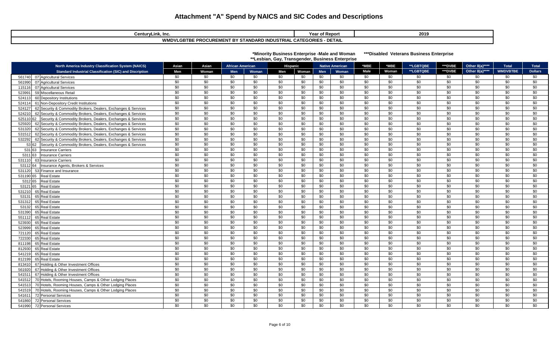| CenturyLink, Inc.                                                                                     | Year of Report | 2019 |  |  |  |  |  |  |
|-------------------------------------------------------------------------------------------------------|----------------|------|--|--|--|--|--|--|
| - DETAIL<br>WML<br>STANDARD INDUSTRIAL CATEGORIES<br><b>E PROCUREMENT BY ST</b><br>/LGBTBE<br>I ƏIANL |                |      |  |  |  |  |  |  |

| *Minority Business Enterprise -Male and Woman    | ***Disable |
|--------------------------------------------------|------------|
| **Lesbian, Gay, Transgender, Business Enterprise |            |

 **ed Veterans Business Enterprise** 

|        | <b>North America Industry Classification System (NAICS)</b>           | Asian           | Asian           | <b>African American</b> |                 | Hispanic        |                 |                 | <b>Native American</b> | *MBE            | *MBE            | **LGBTQBE       | ***DVBE         | Other 8(a)****  | <b>Total</b>    | <b>Total</b>    |
|--------|-----------------------------------------------------------------------|-----------------|-----------------|-------------------------|-----------------|-----------------|-----------------|-----------------|------------------------|-----------------|-----------------|-----------------|-----------------|-----------------|-----------------|-----------------|
|        | <b>Standard Industrial Classification (SIC) and Discription</b>       | Men             | Woman           | <b>Men</b>              | Woman           | Men             | Woman           | <b>Men</b>      | <b>Woman</b>           | <b>Male</b>     | Woman           | **LGBTQBE       | ***DVBE         | Other 8(a)****  | <b>WMDVBTBE</b> | <b>Dollars</b>  |
|        | 561740 07 Agricultural Services                                       | \$0             | \$0             | \$0                     | \$0             | \$0             | \$0             | \$0             | \$0                    | \$0             | \$0             | \$0             | \$0             | \$0             | \$0             | \$0             |
| 561990 | 07 Agricultural Services                                              | \$0             | \$0             | \$0                     | \$0             | \$0             | \$0             | \$0             | \$0                    | \$0             | \$0             | \$0             | \$0             | \$0             | \$0             | \$0             |
| 115116 | 07 Agricultural Services                                              | \$0             | \$0             | \$0                     | \$0             | \$0             | \$0             | \$0             | \$0                    | \$0             | \$0             | \$0             | \$0             | \$0             | \$0             | \$0             |
| 52399  | 59 Miscellaneous Retail                                               | \$0             | \$0             | \$0                     | \$0             | \$0             | \$0             | \$0             | \$0                    | \$0             | \$0             | \$0             | \$0             | \$0             | \$0             | \$0             |
| 524113 | 60 Depository Institutions                                            | \$0             | \$0             | \$0                     | \$0             | \$0             | \$0             | \$0             | \$0                    | \$0             | \$0             | \$0             | \$0             | \$0             | \$0             | \$0             |
| 524114 | 61 Non-Depository Credit Institutions                                 | \$0             | \$0             | \$0                     | \$0             | \$0             | \$0             | \$0             | \$0                    | \$0             | \$0             | \$0             | \$0             | \$0             | \$0             | \$0             |
| 524127 | 62 Security & Commodity Brokers, Dealers, Exchanges & Services        | \$0             | \$0             | \$0                     | \$0             | \$0             | \$0             | \$0             | \$0                    | \$0             | \$0             | \$0             | \$0             | \$0             | \$0             | \$0             |
| 524210 | 62 Security & Commodity Brokers, Dealers, Exchanges & Services        | \$0             | \$0             | \$0                     | \$0             | \$0             | \$0             | \$0             | \$0                    | \$0             | \$0             | \$0             | \$0             | \$0             | \$0             | \$0             |
|        | 525110 62 Security & Commodity Brokers, Dealers, Exchanges & Services | \$0             | \$0             | \$0                     | \$0             | \$0             | \$0             | \$0             | \$0                    | \$0             | \$0             | \$0             | \$0             | \$0             | \$0             | \$0             |
| 525920 | 62 Security & Commodity Brokers, Dealers, Exchanges & Services        | \$0             | \$0             | \$0                     | \$0             | \$0             | \$0             | \$0             | \$0                    | \$0             | \$0             | \$0             | \$0             | \$0             | \$0             | \$0             |
| 531320 | 62 Security & Commodity Brokers, Dealers, Exchanges & Services        | \$0             | \$0             | \$0                     | \$0             | \$0             | \$0             | \$0             | \$0                    | \$0             | \$0             | \$0             | \$0             | \$0             | \$0             | \$0             |
| 531512 | 62 Security & Commodity Brokers, Dealers, Exchanges & Services        | \$0             | \$0             | \$0                     | \$0             | \$0             | \$0             | \$0             | \$0                    | \$0             | \$0             | \$0             | \$0             | \$0             | \$0             | \$0             |
| 532292 | 62 Security & Commodity Brokers, Dealers, Exchanges & Services        | \$0             | \$0             | \$0                     | \$0             | \$0             | \$0             | \$0             | \$0                    | \$0             | \$0             | \$0             | \$0             | \$0             | \$0             | \$0             |
|        | 53 62 Security & Commodity Brokers, Dealers, Exchanges & Services     | \$0             | \$0             | \$0                     | \$0             | \$0             | \$0             | \$0             | \$0                    | \$0             | \$0             | \$0             | \$0             | \$0             | \$0             | \$0             |
|        | 531 63 Insurance Carriers                                             | \$0             | \$0             | \$0                     | \$0             | \$0             | \$0             | \$0             | \$0                    | \$0             | \$0             | \$0             | \$0             | \$0             | \$0             | \$0             |
|        | 5311 63 Insurance Carriers                                            | \$0             | \$0             | \$0                     | \$0             | \$0             | \$0             | \$0             | $\overline{50}$        | \$0             | \$0             | \$0             | \$0             | \$0             | \$0             | \$0             |
| 531110 | 63 Insurance Carriers                                                 | $\overline{30}$ | $\overline{30}$ | $\overline{30}$         | $\overline{30}$ | $\overline{30}$ | $\overline{30}$ | \$0             | \$0                    | $\overline{30}$ | $\overline{30}$ | $\overline{50}$ | $\overline{30}$ | \$0             | $\overline{30}$ | $\overline{30}$ |
|        | 53112 64 Insurance Agents, Brokers & Services                         | \$0             | \$0             | \$0                     | \$0             | \$0             | \$0             | \$0             | $\overline{50}$        | \$0             | \$0             | \$0             | $\overline{30}$ | $\overline{30}$ | \$0             | \$0             |
| 531120 | 53 Finance and Insurance                                              | $\overline{30}$ | \$0             | \$0                     | $\overline{50}$ | \$0             | \$0             | \$0             | $\sqrt{6}$             | \$0             | \$0             | $\overline{50}$ | $\overline{50}$ | $\overline{50}$ | \$0             | \$0             |
|        | 531190 65 Real Estate                                                 | $\overline{30}$ | $\overline{50}$ | $\overline{30}$         | $\overline{30}$ | $\overline{30}$ | \$0             | $\overline{50}$ | $\overline{50}$        | $\overline{30}$ | $\overline{30}$ | $\overline{50}$ | $\overline{50}$ | $\overline{50}$ | $\overline{50}$ | $\overline{30}$ |
|        | 5312 65 Real Estate                                                   | \$0             | \$0             | \$0                     | \$0             | \$0             | \$0             | \$0             | \$0                    | \$0             | \$0             | $\overline{50}$ | \$0             | \$0             | \$0             | \$0             |
|        | 53121 65 Real Estate                                                  | \$0             | \$0             | \$0                     | \$0             | \$0             | \$0             | \$0             | \$0                    | \$0             | \$0             | \$0             | \$0             | \$0             | \$0             | \$0             |
| 531210 | 65 Real Estate                                                        | \$0             | \$0             | \$0                     | \$0             | \$0             | \$0             | \$0             | \$0                    | \$0             | \$0             | \$0             | \$0             | \$0             | \$0             | \$0             |
| 53131  | 65 Real Estate                                                        | \$0             | $\overline{50}$ | $\overline{50}$         | $\overline{50}$ | $\overline{30}$ | $\overline{50}$ | $\overline{50}$ | $\overline{50}$        | \$0             | $\overline{30}$ | $\overline{50}$ | $\overline{30}$ | $\overline{50}$ | $\overline{50}$ | $\overline{30}$ |
| 531312 | 65 Real Estate                                                        | \$0             | \$0             | \$0                     | \$0             | \$0             | \$0             | \$0             | $\overline{50}$        | \$0             | \$0             | \$0             | \$0             | \$0             | \$0             | \$0             |
| 53132  | 65 Real Estate                                                        | \$0             | \$0             | \$0                     | \$0             | \$0             | \$0             | \$0             | \$0                    | \$0             | \$0             | \$0             | \$0             | \$0             | \$0             | \$0             |
| 531390 | 65 Real Estate                                                        | \$0             | \$0             | \$0                     | \$0             | \$0             | \$0             | \$0             | \$0                    | \$0             | \$0             | \$0             | \$0             | \$0             | \$0             | \$0             |
| 551112 | 65 Real Estate                                                        | \$0             | \$0             | \$0                     | \$0             | \$0             | \$0             | \$0             | \$0                    | \$0             | \$0             | \$0             | \$0             | \$0             | \$0             | \$0             |
| 523930 | 65 Real Estate                                                        | \$0             | \$0             | \$0                     | \$0             | \$0             | \$0             | \$0             | \$0                    | \$0             | \$0             | \$0             | \$0             | \$0             | \$0             | \$0             |
| 523999 | 65 Real Estate                                                        | \$0             | \$0             | \$0                     | \$0             | \$0             | \$0             | \$0             | \$0                    | \$0             | \$0             | \$0             | \$0             | \$0             | \$0             | \$0             |
| 721120 | 65 Real Estate                                                        | \$0             | \$0             | \$0                     | \$0             | \$0             | \$0             | \$0             | \$0                    | \$0             | \$0             | \$0             | \$0             | \$0             | \$0             | \$0             |
| 722330 | 65 Real Estate                                                        | \$0             | $\overline{30}$ | \$0                     | $\overline{30}$ | \$0             | \$0             | \$0             | $\overline{50}$        | \$0             | \$0             | \$0             | $\overline{30}$ | $\overline{30}$ | \$0             | $\overline{30}$ |
| 811198 | 65 Real Estate                                                        | \$0             | \$0             | \$0                     | \$0             | \$0             | \$0             | \$0             | \$0                    | \$0             | \$0             | $\overline{30}$ | \$0             | $\overline{30}$ | \$0             | \$0             |
| 812930 | 65 Real Estate                                                        | \$0             | \$0             | \$0                     | \$0             | \$0             | \$0             | \$0             | \$0                    | \$0             | \$0             | \$0             | \$0             | \$0             | \$0             | \$0             |
| 541219 | 65 Real Estate                                                        | \$0             | \$0             | \$0                     | \$0             | \$0             | \$0             | \$0             | \$0                    | \$0             | \$0             | \$0             | \$0             | \$0             | \$0             | \$0             |
| 812199 | 65 Real Estate                                                        | \$0             | \$0             | \$0                     | \$0             | \$0             | \$0             | \$0             | $\overline{50}$        | \$0             | \$0             | $\overline{50}$ | \$0             | \$0             | \$0             | \$0             |
| 813410 | 67 Holding & Other Investment Offices                                 | \$0             | \$0             | \$0                     | \$0             | \$0             | \$0             | \$0             | \$0                    | \$0             | \$0             | \$0             | \$0             | \$0             | \$0             | \$0             |
| 561920 | 67 Holding & Other Investment Offices                                 | \$0             | \$0             | \$0                     | \$0             | \$0             | \$0             | \$0             | \$0                    | \$0             | \$0             | \$0             | \$0             | \$0             | \$0             | \$0             |
| 54151  | 67 Holding & Other Investment Offices                                 | \$0             | \$0             | \$0                     | \$0             | \$0             | \$0             | \$0             | \$0                    | \$0             | \$0             | \$0             | \$0             | \$0             | \$0             | \$0             |
| 541512 | 70 Hotels, Rooming Houses, Camps & Other Lodging Places               | $\overline{30}$ | \$0             | \$0                     | \$0             | \$0             | \$0             | \$0             | $\overline{30}$        | \$0             | \$0             | \$0             | \$0             | $\overline{30}$ | \$0             | \$0             |
| 54151  | 70 Hotels, Rooming Houses, Camps & Other Lodging Places               | \$0             | \$0             | \$0                     | \$0             | \$0             | \$0             | \$0             | \$0                    | \$0             | \$0             | \$0             | \$0             | \$0             | \$0             | \$0             |
| 54151  | 70 Hotels, Rooming Houses, Camps & Other Lodging Places               | \$0             | \$0             | \$0                     | \$0             | \$0             | \$0             | \$0             | \$0                    | \$0             | \$0             | \$0             | \$0             | \$0             | \$0             | \$0             |
| 54161  | 72 Personal Services                                                  | \$0             | \$0             | \$0                     | \$0             | \$0             | \$0             | \$0             | \$0                    | \$0             | \$0             | \$0             | \$0             | \$0             | \$0             | \$0             |
| 541860 | 72 Personal Services                                                  | \$0             | \$0             | \$0                     | \$0             | \$0             | \$0             | \$0             | \$0                    | \$0             | \$0             | \$0             | \$0             | \$0             | \$0             | \$0             |
| 541990 | <b>72 Personal Services</b>                                           | \$0             | \$0             | \$0                     | \$0             | \$0             | \$0             | \$0             | \$0                    | \$0             | \$0             | \$0             | \$0             | \$0             | \$0             | \$0             |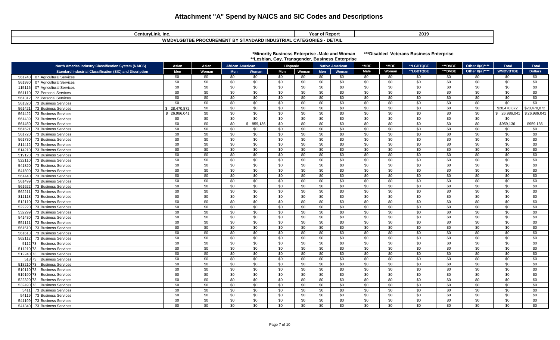| CenturyLink, Inc.                                                             | <b>Year of Report</b> | 2019 |  |  |  |  |  |  |  |  |
|-------------------------------------------------------------------------------|-----------------------|------|--|--|--|--|--|--|--|--|
| · DETAIL<br><b>WMDVLGBTBE PROCUREMENT BY STANDARD INDUSTRIAL CATEGORIES -</b> |                       |      |  |  |  |  |  |  |  |  |

|  | *Minority Business Enterprise -Male and Woman | ***Disabled Veterans Business Enterprise |
|--|-----------------------------------------------|------------------------------------------|
|  |                                               |                                          |

 **\*\*Lesbian, Gay, Transgender, Business Enterprise** 

| <b>North America Industry Classification System (NAICS)</b>                  | Asian                  | Asian                  | <b>African American</b> |                 | , ,<br><b>Hispanic</b> |                 |            | <b>Native American</b> | *MBE                   | *MBE            | **LGBTQBE              | ***DVBE                | Other 8(a)****  | <b>Total</b>        | <b>Total</b>    |
|------------------------------------------------------------------------------|------------------------|------------------------|-------------------------|-----------------|------------------------|-----------------|------------|------------------------|------------------------|-----------------|------------------------|------------------------|-----------------|---------------------|-----------------|
| <b>Standard Industrial Classification (SIC) and Discription</b>              | Men                    | Woman                  | Men                     | Woman           | Men                    | Woman           | Men        | Woman                  | Male                   | Woman           | **LGBTQBE              | ***DVBE                | Other 8(a)****  | <b>WMDVBTBE</b>     | <b>Dollars</b>  |
| 07 Agricultural Services<br>561740                                           | \$0                    | \$0                    | \$0                     | \$0             | \$0                    | \$0             | \$0        | \$0                    | \$0                    | \$0             | \$0                    | \$0                    | \$0             | \$0                 | \$0             |
| 07 Agricultural Services<br>561990                                           | \$0                    | \$0                    | \$0                     | \$0             | \$0                    | \$0             | \$0        | \$0                    | \$0                    | \$0             | \$0                    | \$0                    | \$0             | \$0                 | \$0             |
| 07 Agricultural Services<br>115116                                           | \$0                    | \$0                    | \$0                     | \$0             | \$0                    | \$0             | \$0        | \$0                    | \$0                    | \$0             | \$0                    | \$0                    | \$0             | \$0                 | \$0             |
| 72 Personal Services<br>561110                                               | \$0                    | \$0                    | \$0                     | \$0             | \$0                    | \$0             | \$0        | \$0                    | \$0                    | \$0             | \$0                    | \$0                    | \$0             | \$0                 | \$0             |
| 72 Personal Services<br>56131                                                | \$0                    | \$0                    | \$0                     | \$0             | \$0                    | \$0             | \$0        | \$0                    | \$0                    | \$0             | \$0                    | \$0                    | \$0             | \$0                 | \$0             |
| 73 Business Services<br>561320                                               | \$0                    | \$0                    | \$0                     | \$0             | \$0                    | \$0             | \$0        | \$0                    | \$0                    | \$0             | \$0                    | \$0                    | \$0             | \$0                 | \$0             |
| 73 Business Services<br>561421                                               | 28.470.872<br>\$       | \$0<br>\$0             | \$0                     | \$0             | \$0                    | \$0<br>\$0      | \$0        | $\overline{50}$<br>\$0 | \$0<br>\$0             | \$0<br>\$0      | \$0<br>\$0             | \$0<br>\$0             | \$0<br>\$0      | \$28,470,872        | \$28,470,872    |
| 73 Business Services<br>561422<br>73 Business Services<br>561439             | \$ 26,986,041<br>\$0   | \$0                    | \$0<br>\$0              | \$0<br>\$0      | \$0<br>\$0             | \$0             | \$0<br>\$0 | \$0                    | \$0                    | \$0             | \$0                    | \$0                    | \$0             | \$ 26,986,04<br>\$0 | \$26,986,041    |
| 73 Business Services<br>561450                                               | \$0                    | \$0                    | \$0                     | 959,136         | \$0                    | \$0             | \$0        | \$0                    | \$0                    | \$0             | \$0                    | \$0                    | \$0             | \$959,136           | \$959,136       |
| 73 Business Services<br>561621                                               | \$0                    | $\overline{30}$        | \$0                     | \$0             | \$0                    | \$0             | \$0        | \$0                    | \$0                    | \$0             | \$0                    | $\overline{50}$        | \$0             | \$0                 | \$0             |
| 73 Business Services<br>561720                                               | \$0                    | \$0                    | \$0                     | \$0             | \$0                    | \$0             | \$0        | \$0                    | \$0                    | \$0             | \$0                    | \$0                    | \$0             | \$0                 | \$0             |
| 73 Business Services<br>561730                                               | \$0                    | \$0                    | \$0                     | \$0             | \$0                    | \$0             | \$0        | \$0                    | \$0                    | \$0             | \$0                    | \$0                    | \$0             | \$0                 | \$0             |
| 73 Business Services<br>81141                                                | \$0                    | \$0                    | \$0                     | \$0             | \$0                    | \$0             | \$0        | \$0                    | \$0                    | \$0             | \$0                    | \$0                    | \$0             | \$0                 | \$0             |
| 514210<br>73 Business Services                                               | $\overline{50}$        | $\overline{30}$        | \$0                     | \$0             | \$0                    | \$0             | \$0        | $\overline{50}$        | $\overline{30}$        | \$0             | $\overline{30}$        | $\overline{30}$        | $\overline{50}$ | \$0                 | \$0             |
| 73 Business Services<br>519120                                               | \$0                    | \$0                    | \$0                     | \$0             | \$0                    | \$0             | \$0        | \$0                    | \$0                    | \$0             | \$0                    | \$0                    | \$0             | \$0                 | \$0             |
| 73 Business Services<br>522110                                               | \$0                    | $\overline{30}$        | \$0                     | $\overline{30}$ | \$0                    | \$0             | \$0        | $\overline{30}$        | $\overline{30}$        | \$0             | $\overline{30}$        | $\overline{30}$        | $\overline{30}$ | \$0                 | \$0             |
| 73 Business Services<br>541820                                               | \$0                    | \$0                    | \$0                     | \$0             | \$0                    | \$0             | \$0        | $\overline{50}$        | \$0                    | \$0             | \$0                    | \$0                    | \$0             | \$0                 | \$0             |
| 73 Business Services<br>541890                                               | $\overline{50}$        | $\overline{50}$        | $\overline{50}$         | $\overline{50}$ | $\overline{50}$        | $\overline{50}$ | \$0        | $\sqrt{6}$             | $\sqrt{6}$             | $\overline{30}$ | $\overline{50}$        | $\overline{50}$        | \$0             | $\overline{50}$     | $\overline{30}$ |
| 73 Business Services<br>561440                                               | $\overline{50}$        | \$0                    | $\overline{50}$         | $\overline{50}$ | $\overline{50}$        | \$0             | \$0        | \$0                    | $\overline{50}$        | $\overline{30}$ | \$0                    | $\overline{30}$        | $\overline{50}$ | $\overline{50}$     | $\overline{30}$ |
| 73 Business Services<br>561499                                               | \$0                    | \$0                    | \$0                     | \$0             | \$0                    | \$0             | \$0        | \$0                    | \$0                    | \$0             | \$0                    | \$0                    | \$0             | \$0                 | \$0             |
| 73 Business Services<br>561622                                               | $\sqrt{50}$            | $\sqrt{6}$             | \$0                     | \$0             | \$0                    | \$0             | \$0        | \$0                    | \$0                    | $\overline{50}$ | $\overline{50}$        | $\sqrt{50}$            | $\sqrt{6}$      | \$0                 | $\sqrt{6}$      |
| 73 Business Services<br>56221                                                | \$0<br>$\overline{50}$ | \$0<br>$\overline{50}$ | \$0<br>\$0              | \$0<br>\$0      | \$0                    | \$0<br>\$0      | \$0        | \$0<br>$\sqrt{6}$      | \$0<br>$\overline{50}$ | \$0<br>\$0      | \$0<br>$\overline{50}$ | \$0<br>$\overline{50}$ | \$0<br>\$0      | \$0<br>\$0          | \$0<br>\$0      |
| <b>73 Business Services</b><br>811118<br>73 Business Services                | \$0                    | \$0                    | \$0                     | \$0             | \$0<br>\$0             | \$0             | \$0<br>\$0 | \$0                    | \$0                    | \$0             | \$0                    | \$0                    | \$0             | \$0                 | \$0             |
| 512110<br>522220<br>73 Business Services                                     | \$0                    | \$0                    | \$0                     | \$0             | \$0                    | \$0             | \$0        | \$0                    | \$0                    | \$0             | \$0                    | \$0                    | \$0             | \$0                 | \$0             |
| 532299<br>73 Business Services                                               | \$0                    | \$0                    | \$0                     | \$0             | \$0                    | \$0             | \$0        | \$0                    | \$0                    | \$0             | \$0                    | \$0                    | \$0             | \$0                 | \$0             |
| 73 Business Services<br>541430                                               | \$0                    | \$0                    | \$0                     | \$0             | \$0                    | \$0             | \$0        | \$0                    | \$0                    | \$0             | \$0                    | \$0                    | \$0             | \$0                 | \$0             |
| 551111<br>73 Business Services                                               | \$0                    | \$0                    | \$0                     | \$0             | \$0                    | \$0             | \$0        | \$0                    | \$0                    | \$0             | \$0                    | \$0                    | \$0             | \$0                 | \$0             |
| 73 Business Services<br>56151                                                | \$0                    | \$0                    | \$0                     | \$0             | \$0                    | \$0             | \$0        | \$0                    | \$0                    | \$0             | \$0                    | \$0                    | \$0             | \$0                 | \$0             |
| 73 Business Services<br>56161                                                | \$0                    | \$0                    | \$0                     | \$0             | \$0                    | \$0             | \$0        | \$0                    | \$0                    | \$0             | \$0                    | \$0                    | \$0             | \$0                 | \$0             |
| <b>73 Business Services</b><br>562112                                        | \$0                    | \$0                    | \$0                     | \$0             | \$0                    | \$0             | \$0        | \$0                    | \$0                    | \$0             | \$0                    | \$0                    | \$0             | \$0                 | \$0             |
| 511273<br><b>Business Services</b>                                           | $\overline{50}$        | $\overline{30}$        | \$0                     | \$0             | \$0                    | \$0             | \$0        | $\overline{50}$        | \$0                    | \$0             | $\overline{50}$        | $\overline{30}$        | $\overline{50}$ | \$0                 | \$0             |
| 511210 73<br><b>Business Services</b>                                        | \$0                    | \$0                    | \$0                     | \$0             | \$0                    | \$0             | \$0        | \$0                    | \$0                    | \$0             | \$0                    | \$0                    | \$0             | \$0                 | \$0             |
| 512240 73<br><b>Business Services</b>                                        | \$0                    | \$0                    | \$0                     | \$0             | \$0                    | \$0             | \$0        | \$0                    | \$0                    | \$0             | \$0                    | \$0                    | \$0             | \$0                 | \$0             |
| 518 73<br><b>Business Services</b>                                           | \$0                    | \$0                    | \$0                     | \$0             | \$0                    | \$0             | \$0        | \$0                    | \$0                    | \$0             | \$0                    | \$0                    | \$0             | \$0                 | \$0             |
| 518210 73<br><b>Business Services</b>                                        | \$0                    | \$0                    | \$0                     | \$0             | \$0                    | \$0             | \$0        | $\overline{50}$        | \$0                    | \$0             | $\overline{50}$        | \$0                    | \$0             | \$0                 | \$0             |
| 519110 73<br><b>Business Services</b>                                        | \$0                    | \$0                    | \$0                     | \$0             | \$0                    | \$0             | \$0        | \$0                    | \$0                    | \$0             | \$0                    | \$0                    | \$0             | \$0                 | \$0             |
| 519190 73<br><b>Business Services</b>                                        | \$0                    | \$0<br>\$0             | \$0                     | \$0             | \$0                    | \$0             | \$0        | \$0                    | \$0<br>\$0             | \$0<br>\$0      | \$0<br>\$0             | \$0<br>\$0             | \$0<br>\$0      | \$0                 | \$0             |
| 522320 73<br><b>Business Services</b>                                        | \$0<br>\$0             | \$0                    | \$0<br>\$0              | \$0<br>\$0      | \$0<br>\$0             | \$0<br>\$0      | \$0<br>\$0 | \$0<br>$\overline{50}$ | \$0                    | \$0             | \$0                    | \$0                    | $\overline{50}$ | \$0<br>\$0          | \$0<br>\$0      |
| 532490 73<br><b>Business Services</b><br>5411<br><b>73 Business Services</b> | $\overline{30}$        | $\overline{30}$        | \$0                     | \$0             | \$0                    | \$0             | \$0        | $\overline{50}$        | \$0                    | \$0             | $\overline{30}$        | \$0                    | $\overline{50}$ | \$0                 | \$0             |
| 54119<br>73 Business Services                                                | \$0                    | \$0                    | \$0                     | \$0             | \$0                    | \$0             | \$0        | \$0                    | \$0                    | \$0             | \$0                    | \$0                    | \$0             | \$0                 | \$0             |
| 73 Business Services<br>541199                                               | \$0                    | \$0                    | \$0                     | \$0             | \$0                    | \$0             | \$0        | \$0                    | \$0                    | \$0             | \$0                    | \$0                    | \$0             | \$0                 | \$0             |
| 73 Business Services<br>541340                                               | \$0                    | \$0                    | \$0                     | \$0             | \$0                    | \$0             | \$0        | $\overline{30}$        | \$0                    | \$0             | \$0                    | \$0                    | \$0             | \$0                 | \$0             |
|                                                                              |                        |                        |                         |                 |                        |                 |            |                        |                        |                 |                        |                        |                 |                     |                 |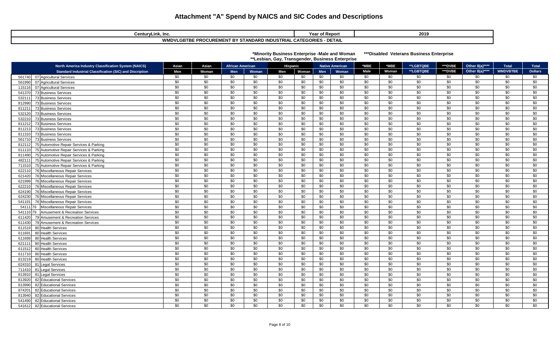| CenturyLink, Inc.                                                             | าf Reporเ<br>Year o. | 2019 |  |  |  |  |  |  |  |
|-------------------------------------------------------------------------------|----------------------|------|--|--|--|--|--|--|--|
| <b>WMDVLGBTBE PROCUREMENT BY STANDARD INDUSTRIAL CATEGORIES</b><br>` - DETAI∟ |                      |      |  |  |  |  |  |  |  |

| *Minority Business Enterprise -Male and Woman    | ***Disabled Veteran |  |
|--------------------------------------------------|---------------------|--|
| **Lesbian, Gav. Transgender, Business Enterprise |                     |  |

**IS Business Enterprise** 

#### **North America Industry Classification System (NAICS) Asian Asian African American Hispanic Native American \*MBE \*MBE \*\*LGBTQBE \*\*\*DVBE Other 8(a)\*\*\*\* Total Total** Standard Industrial Classification (SIC) and Discription | Men | Woman | Men | Woman | Men | Woman | Men | Woman | Male | Woman | \*\*LGBTQBE | \*\*\*DVBE | Other 8(a)\*\*\*\* | WMDVBTBE | Dollars 561740| 07|Agricultural Services | \$0 | \$0 | \$0 | \$0 | \$0 | \$0 | \$0 | \$0 | \$0 | \$0 | \$0 | \$0 | \$0 561990| 07|Agricultural Services | \$0 | \$0 | \$0 | \$0 | \$0 | \$0 | \$0 | \$0 | \$0 | \$0 | \$0 | \$0 | \$0 115116|07|Agricultural Services | \$0 | \$0 | \$0 | \$0 | \$0 | \$0 | \$0 | \$0 | \$0 | \$0 | \$0 | \$0 | \$0 541370 73 Business Services | \$0 | \$0 | \$0 | \$0 | \$0 | \$0 \$0 \$0 \$0 \$0 \$0 \$0 \$0 532111 73 Business Services | \$0 | \$0 | \$0 | \$0 | \$0 | \$0 | \$0 \$0 \$0 | \$0 | \$0 | \$0 | \$0 812990 73 Business Services | \$0 | \$0 | \$0 | \$0 | \$0 | \$0 | \$0 \$0 \$0 | \$0 | \$0 | \$0 | \$0 811211 73 Business Services | \$0 | \$0 | \$0 | \$0 | \$0 | \$0 | \$0 \$0 \$0 \$0 | \$0 | \$0 | \$0 532120 73 Business Services | \$0 | \$0 | \$0 | \$0 | \$0 | \$0 | \$0 \$0 \$0 \$0 \$0 \$0 \$0 532210 73 Business Services | \$0 | \$0 | \$0 | \$0 | \$0 | \$0 \$0 \$0 \$0 \$0 \$0 \$0 \$0 811212| 73|Business Services | \$0 | \$0 | \$0 | \$0 | \$0 | \$0 | \$0 | \$0 | \$0 | \$0 | \$0 | \$0 | \$0 811213| 73|Business Services | \$0 | \$0 | \$0 | \$0 | \$0 | \$0 | \$0 | \$0 | \$0 | \$0 | \$0 | \$0 | \$0 811310 73 Business Services | \$0 | \$0 | \$0 | \$0 | \$0 | \$0 \$0 \$0 \$0 \$0 561710 73 Business Services | \$0 | \$0 | \$0 | \$0 | \$0 | \$0 \$0 \$0 \$0 \$0 \$0 \$0 \$0 812112 75 Automotive Repair Services & Parking \$0 \$0 \$0 \$0 \$0 \$0 \$0 \$0 \$0 \$0 \$0 \$0 \$0 \$0 \$0 611110 75 Automotive Repair Services & Parking \$0 \$0 \$0 \$0 \$0 \$0 \$0 \$0 \$0 \$0 \$0 \$0 \$0 \$0 \$0 811490 75 Automotive Repair Services & Parking \$0 \$0 \$0 \$0 \$0 \$0 \$0 \$0 \$0 \$0 \$0 \$0 \$0 \$0 \$0 482111 75 Automotive Repair Services & Parking \$0 \$0 \$0 \$0 \$0 \$0 \$0 \$0 \$0 \$0 \$0 \$0 \$0 \$0 \$0 711510 75 Automotive Repair Services & Parking \$0 \$0 \$0 \$0 \$0 \$0 \$0 \$0 \$0 \$0 \$0 \$0 \$0 \$0 \$0 622110 76 Miscellaneous Repair Services \$0 \$0 \$0 \$0 \$0 \$0 \$0 \$0 \$0 \$0 \$0 \$0 \$0 \$0 \$0 621420 76 Miscellaneous Repair Services \$0 \$0 \$0 \$0 \$0 \$0 \$0 \$0 \$0 \$0 \$0 \$0 \$0 \$0 \$0 621999| 76|Miscellaneous Repair Services \$0 | \$0 | \$0 | \$0 | \$0 | \$0 | \$0 | \$0 | \$0 | \$0 | \$0 | \$0 | \$0 | \$0 622210 76 Miscellaneous Repair Services \$0 \$0 \$0 \$0 \$0 \$0 \$0 \$0 \$0 \$0 \$0 \$0 \$0 \$0 \$0 624190| 76|Miscellaneous Repair Services \$0 | \$0 | \$0 | \$0 | \$0 | \$0 | \$0 | \$0 | \$0 | \$0 | \$0 | \$0 | \$0 | \$0 624230 76 Miscellaneous Repair Services \$0 \$0 \$0 \$0 \$0 \$0 \$0 \$0 \$0 \$0 \$0 \$0 \$0 \$0 \$0 541191|76|Miscellaneous Repair Services \$0 | \$0 | \$0 | \$0 | \$0 | \$0 | \$0 | \$0 | \$0 | \$0 | \$0 | \$0 | \$0 54111|76 |Miscellaneous Repair Services | \$0 | \$0 | \$0 | \$0 | \$0 | \$0 | \$0 | \$0 | \$0 | \$0 | \$0 | \$0 | \$0 | \$0 | \$0 | \$0 | \$0 541110 79 Amusement & Recreation Services \$0 \$0 \$0 \$0 \$0 \$0 \$0 \$0 \$0 \$0 \$0 \$0 \$0 \$0 \$0 611420 79 Amusement & Recreation Services \$0 \$0 \$0 \$0 \$0 \$0 \$0 \$0 \$0 \$0 \$0 \$0 \$0 \$0 \$0 611430 79 Amusement & Recreation Services \$0 \$0 \$0 \$0 \$0 \$0 \$0 \$0 \$0 \$0 \$0 \$0 \$0 \$0 \$0 611519|80|Health Services | \$0 | \$0 | \$0 | \$0 | \$0 | \$0 | \$0 | \$0 | \$0 | \$0 | \$0 | \$0 | \$0 | \$0 611691 80 Health Services | \$0 | \$0 | \$0 | \$0 | \$0 | \$0 | \$0 | \$0 | \$0 | \$0 | \$0 | \$0 611699|80|Health Services | \$0 | \$0 | \$0 | \$0 | \$0 | \$0 | \$0 | \$0 | \$0 | \$0 | \$0 | \$0 | \$0 | \$0 621111 80 Health Services | \$0 | \$0 | \$0 | \$0 | \$0 | \$0 | \$0 \$0 \$0 | \$0 | \$0 | \$0 | \$0 | \$0 611512 80 Health Services | \$0 | \$0 | \$0 | \$0 | \$0 | \$0 | \$0 | \$0 | \$0 | \$0 | \$0 | \$0 | \$0 | \$0 611710 80 Health Services | \$0 | \$0 | \$0 | \$0 | \$0 | \$0 | \$0 \$0 \$0 \$0 \$0 \$0 \$0 813219|80|Health Services | \$0 | \$0 | \$0 | \$0 | \$0 | \$0 | \$0 | \$0 | \$0 | \$0 | \$0 | \$0 | \$0 624310 81 Legal Services | \$0 | \$0 | \$0 | \$0 | \$0 | \$0 | \$0 \$0 \$0 | \$0 | \$0 | \$0 | \$0 | \$0 | \$0 | \$0 | \$0 | \$0 | \$0 | \$0 | \$0 | \$0 | 711410|81|Legal Services | \$0 | \$0 | \$0 | \$0 | \$0 | \$0 | \$0 | \$0 | \$0 | \$0 | \$0 | \$0 | \$0 | \$0 813910 81 Legal Services | \$0 | \$0 | \$0 | \$0 | \$0 | \$0 | \$0 | \$0 | \$0 | \$0 | \$0 | \$0 | \$0 | \$0 | \$0 | \$0 | \$0 | \$0 | \$0 | \$0 | \$0 | \$0 | \$0 | 813920| 82|Educational Services | \$0 | \$0 | \$0 | \$0 | \$0 | \$0 | \$0 | \$0 | \$0 | \$0 | \$0 | \$0 | \$0 | \$0 813990| 82|Educational Services | \$0 | \$0 | \$0 | \$0 | \$0 | \$0 | \$0 | \$0 | \$0 | \$0 | \$0 | \$0 | \$0 | \$0 874201| 82|Educational Services | \$0 | \$0 | \$0 | \$0 | \$0 | \$0 | \$0 | \$0 | \$0 | \$0 | \$0 | \$0 | \$0 813940| 82|Educational Services | \$0 | \$0 | \$0 | \$0 | \$0 | \$0 | \$0 | \$0 | \$0 | \$0 | \$0 | \$0 | \$0 | \$0 541490| 82|Educational Services | \$0 | \$0 | \$0 | \$0 | \$0 | \$0 | \$0 | \$0 | \$0 | \$0 | \$0 | \$0 | \$0 | \$0

541612| 82|Educational Services | \$0 | \$0 | \$0 | \$0 | \$0 | \$0 | \$0 | \$0 | \$0 | \$0 | \$0 | \$0 | \$0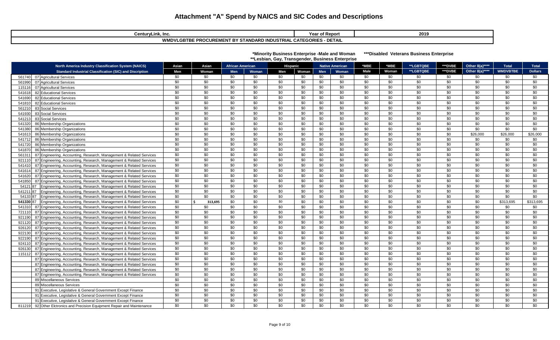| CenturyLink, Inc.                                                                                     | Year of Report | 2019 |  |  |  |  |  |  |  |
|-------------------------------------------------------------------------------------------------------|----------------|------|--|--|--|--|--|--|--|
| - DETAIL<br>WML<br>STANDARD INDUSTRIAL CATEGORIES<br><b>E PROCUREMENT BY ST</b><br>/LGBTBE<br>I ƏIANL |                |      |  |  |  |  |  |  |  |

| *Minority Business Enterprise -Male and Woman    | ***Disab |
|--------------------------------------------------|----------|
| **Lesbian, Gay, Transgender, Business Enterprise |          |

**bled Veterans Business Enterprise** 

| <b>WMDVBTBE</b><br>Male<br>**LGBTQBE<br>***DVBE<br>Other 8(a)****<br><b>Dollars</b><br>Woman<br>Men<br><b>Standard Industrial Classification (SIC) and Discription</b><br>Men<br>Woman<br>Men<br>Woman<br>Men<br>Woman<br>Woman<br>\$0<br>\$0<br>\$0<br>\$0<br>\$0<br>\$0<br>\$0<br>\$0<br>\$0<br>\$0<br>\$0<br>\$0<br>\$0<br>\$0<br>\$0<br>561740<br>07 Agricultural Services<br>\$0<br>\$0<br>\$0<br>\$0<br>\$0<br>\$0<br>\$0<br>\$0<br>\$0<br>\$0<br>\$0<br>\$0<br>\$0<br>\$0<br>\$0<br>07 Agricultural Services<br>561990<br>\$0<br>\$0<br>\$0<br>\$0<br>\$0<br>\$0<br>\$0<br>\$0<br>\$0<br>\$0<br>\$0<br>\$0<br>\$0<br>\$0<br>\$0<br>07 Agricultural Services<br>115116<br>\$0<br>\$0<br>\$0<br>\$0<br>\$0<br>\$0<br>\$0<br>\$0<br>\$0<br>\$0<br>\$0<br>\$0<br>\$0<br>\$0<br>\$0<br>82 Educational Services<br>541618<br>\$0<br>\$0<br>\$0<br>\$0<br>\$0<br>\$0<br>\$0<br>\$0<br>\$0<br>\$0<br>\$0<br>\$0<br>\$0<br>\$0<br>\$0<br>82 Educational Services<br>541690<br>\$0<br>\$0<br>\$0<br>\$0<br>\$0<br>\$0<br>\$0<br>\$0<br>\$0<br>\$0<br>\$0<br>\$0<br>\$0<br>\$0<br>\$0<br>541810<br>82 Educational Services<br>\$0<br>\$0<br>\$0<br>\$0<br>\$0<br>\$0<br>\$0<br>\$0<br>\$0<br>\$0<br>\$0<br>\$0<br>\$0<br>\$0<br>\$0<br>83 Social Services<br>561210<br>\$0<br>\$0<br>\$0<br>\$0<br>\$0<br>\$0<br>\$0<br>\$0<br>\$0<br>\$0<br>\$0<br>\$0<br>\$0<br>\$0<br>\$0<br>83 Social Services<br>541930<br>\$0<br>\$0<br>\$0<br>\$0<br>\$0<br>\$0<br>\$0<br>\$0<br>\$0<br>\$0<br>\$0<br>\$0<br>\$0<br>\$0<br>\$0<br>83 Social Services<br>541213<br>\$0<br>\$0<br>\$0<br>\$0<br>\$0<br>\$0<br>\$0<br>\$0<br>\$0<br>\$0<br>\$0<br>\$0<br>\$0<br>\$0<br>\$0<br>86 Membership Organizations<br>541320<br>\$0<br>\$0<br>\$0<br>\$0<br>\$0<br>\$0<br>\$0<br>\$0<br>\$0<br>\$0<br>\$0<br>\$0<br>\$0<br>\$0<br>\$0<br>541380<br>86 Membership Organizations<br>\$0<br>\$0<br>\$0<br>\$0<br>\$0<br>\$0<br>\$0<br>\$0<br>\$0<br>\$0<br>\$0<br>\$0<br>\$26,000<br>\$26,000<br>\$26,000<br>541613<br>86 Membership Organizations<br>\$0<br>\$0<br>\$0<br>\$0<br>\$0<br>\$0<br>\$0<br>\$0<br>\$0<br>\$0<br>\$0<br>\$0<br>\$0<br>\$0<br>\$0<br>86 Membership Organizations<br>541712<br>\$0<br>\$0<br>\$0<br>\$0<br>\$0<br>\$0<br>\$0<br>\$0<br>\$0<br>\$0<br>\$0<br>\$0<br>\$0<br>\$0<br>\$0<br>86 Membership Organizations<br>541720<br>\$0<br>\$0<br>\$0<br>\$0<br>\$0<br>\$0<br>\$0<br>\$0<br>\$0<br>\$0<br>\$0<br>\$0<br>\$0<br>\$0<br>\$0<br>86 Membership Organizations<br>541870<br>\$0<br>\$0<br>\$0<br>\$0<br>\$0<br>\$0<br>\$0<br>\$0<br>\$0<br>\$0<br>\$0<br>\$0<br>\$0<br>\$0<br>\$0<br>87 Engineering, Accounting, Research, Management & Related Services<br>561311<br>$\overline{50}$<br>$\overline{50}$<br>$\overline{50}$<br>\$0<br>\$0<br>\$0<br>\$0<br>\$0<br>\$0<br>\$0<br>\$0<br>\$0<br>\$0<br>\$0<br>\$0<br>87 Engineering, Accounting, Research, Management & Related Services<br>921110<br>$\overline{50}$<br>\$0<br>$\overline{30}$<br>$\overline{50}$<br>$\overline{50}$<br>$\overline{30}$<br>$\overline{30}$<br>\$0<br>\$0<br>\$0<br>\$0<br>\$0<br>\$0<br>\$0<br>\$0<br>87 Engineering, Accounting, Research, Management & Related Services<br>541410<br>\$0<br>\$0<br>\$0<br>\$0<br>\$0<br>\$0<br>\$0<br>\$0<br>\$0<br>\$0<br>\$0<br>\$0<br>\$0<br>\$0<br>\$0<br>87 Engineering, Accounting, Research, Management & Related Services<br>541614<br>\$0<br>\$0<br>\$0<br>\$0<br>\$0<br>\$0<br>\$0<br>\$0<br>\$0<br>\$0<br>\$0<br>\$0<br>\$0<br>\$0<br>\$0<br>87 Engineering, Accounting, Research, Management & Related Services<br>541620<br>$\overline{50}$<br>$\overline{30}$<br>\$0<br>\$0<br>\$0<br>\$0<br>\$0<br>\$0<br>\$0<br>\$0<br>\$0<br>\$0<br>\$0<br>\$0<br>\$0<br>87 Engineering, Accounting, Research, Management & Related Services<br>541850<br>$\overline{50}$<br>\$0<br>\$0<br>\$0<br>\$0<br>\$0<br>\$0<br>\$0<br>\$0<br>\$0<br>\$0<br>\$0<br>\$0<br>\$0<br>\$0<br>Engineering, Accounting, Research, Management & Related Services<br>54121<br>87<br>\$0<br>\$0<br>\$0<br>\$0<br>\$0<br>\$0<br>\$0<br>\$0<br>\$0<br>\$0<br>\$0<br>\$0<br>\$0<br>\$0<br>\$0<br>541211 87<br>Engineering, Accounting, Research, Management & Related Services<br>\$0<br>\$0<br>\$0<br>\$0<br>\$0<br>\$0<br>\$0<br>\$0<br>\$0<br>\$0<br>\$0<br>\$0<br>\$0<br>\$0<br>\$0<br>54133 87<br>Engineering, Accounting, Research, Management & Related Services<br>$\sqrt{6}$<br>$\overline{30}$<br>$\overline{50}$<br>\$313,695<br>Engineering, Accounting, Research, Management & Related Services<br>\$0<br>\$0<br>\$0<br>\$0<br>\$0<br>\$0<br>\$313,695<br>313,695<br>\$0<br>\$0<br>\$0<br>541330 87<br>Š.<br>\$0<br>\$0<br>\$0<br>\$0<br>\$0<br>\$0<br>\$0<br>\$0<br>\$0<br>\$0<br>\$0<br>\$0<br>\$0<br>\$0<br>\$0<br>87 Engineering, Accounting, Research, Management & Related Services<br>541310<br>\$0<br>\$0<br>\$0<br>\$0<br>\$0<br>\$0<br>\$0<br>\$0<br>\$0<br>\$0<br>\$0<br>\$0<br>\$0<br>\$0<br>\$0<br>87 Engineering, Accounting, Research, Management & Related Services<br>721110<br>\$0<br>\$0<br>\$0<br>\$0<br>\$0<br>\$0<br>\$0<br>\$0<br>\$0<br>\$0<br>\$0<br>\$0<br>\$0<br>\$0<br>\$0<br>87 Engineering, Accounting, Research, Management & Related Services<br>921190<br>\$0<br>\$0<br>\$0<br>\$0<br>\$0<br>\$0<br>\$0<br>\$0<br>\$0<br>\$0<br>\$0<br>\$0<br>\$0<br>\$0<br>\$0<br>87 Engineering, Accounting, Research, Management & Related Services<br>921120<br>\$0<br>\$0<br>\$0<br>\$0<br>\$0<br>\$0<br>\$0<br>\$0<br>\$0<br>\$0<br>\$0<br>\$0<br>\$0<br>\$0<br>\$0<br>87 Engineering, Accounting, Research, Management & Related Services<br>926120<br>\$0<br>\$0<br>\$0<br>\$0<br>\$0<br>\$0<br>\$0<br>\$0<br>\$0<br>\$0<br>\$0<br>\$0<br>\$0<br>\$0<br>\$0<br>87 Engineering, Accounting, Research, Management & Related Services<br>922130<br>\$0<br>\$0<br>\$0<br>\$0<br>\$0<br>\$0<br>\$0<br>\$0<br>\$0<br>\$0<br>\$0<br>\$0<br>\$0<br>\$0<br>87 Engineering, Accounting, Research, Management & Related Services<br>\$0<br>922190<br>\$0<br>\$0<br>\$0<br>\$0<br>\$0<br>\$0<br>\$0<br>\$0<br>\$0<br>\$0<br>\$0<br>\$0<br>\$0<br>\$0<br>\$0<br>87 Engineering, Accounting, Research, Management & Related Services<br>924110<br>\$0<br>\$0<br>\$0<br>\$0<br>\$0<br>\$0<br>\$0<br>\$0<br>\$0<br>\$0<br>\$0<br>\$0<br>\$0<br>\$0<br>87 Engineering, Accounting, Research, Management & Related Services<br>\$0<br>926130<br>\$0<br>\$0<br>\$0<br>\$0<br>\$0<br>\$0<br>\$0<br>\$0<br>\$0<br>\$0<br>\$0<br>\$0<br>\$0<br>\$0<br>\$0<br>87 Engineering, Accounting, Research, Management & Related Services<br>115112<br>\$0<br>\$0<br>\$0<br>\$0<br>\$0<br>\$0<br>\$0<br>\$0<br>\$0<br>\$0<br>\$0<br>\$0<br>\$0<br>\$0<br>\$0<br>87 Engineering, Accounting, Research, Management & Related Services<br>\$0<br>\$0<br>\$0<br>\$0<br>\$0<br>\$0<br>\$0<br>\$0<br>\$0<br>\$0<br>\$0<br>87 Engineering, Accounting, Research, Management & Related Services<br>\$0<br>\$0<br>\$0<br>\$0<br>\$0<br>\$0<br>\$0<br>\$0<br>\$0<br>\$0<br>\$0<br>\$0<br>\$0<br>\$0<br>\$0<br>\$0<br>\$0<br>\$0<br>\$0<br>87 Engineering, Accounting, Research, Management & Related Services<br>\$0<br>\$0<br>\$0<br>\$0<br>\$0<br>\$0<br>\$0<br>\$0<br>\$0<br>\$0<br>\$0<br>\$0<br>\$0<br>\$0<br>\$0<br>87 Engineering, Accounting, Research, Management & Related Services<br>\$0<br>\$0<br>\$0<br>\$0<br>\$0<br>\$0<br>\$0<br>\$0<br>\$0<br>\$0<br>\$0<br>\$0<br>\$0<br>\$0<br>\$0<br>89 Miscellaneous Services<br>\$0<br>\$0<br>\$0<br>\$0<br>\$0<br>\$0<br>\$0<br>\$0<br>\$0<br>\$0<br>\$0<br>\$0<br>\$0<br>\$0<br>\$0<br>89 Miscellaneous Services<br>\$0<br>\$0<br>\$0<br>\$0<br>\$0<br>\$0<br>\$0<br>\$0<br>\$0<br>\$0<br>\$0<br>\$0<br>\$0<br>\$0<br>\$0<br>91 Executive, Legislative & General Government Except Finance<br>\$0<br>\$0<br>\$0<br>\$0<br>\$0<br>\$0<br>\$0<br>\$0<br>\$0<br>\$0<br>\$0<br>\$0<br>\$0<br>\$0<br>\$0<br>91 Executive, Legislative & General Government Except Finance<br>\$0<br>\$0<br>\$0<br>\$0<br>\$0<br>\$0<br>\$0<br>\$0<br>\$0<br>\$0<br>\$0<br>\$0<br>\$0<br>\$0<br>\$0<br>91 Executive, Legislative & General Government Except Finance<br>\$0<br>\$0<br>\$0<br>\$0<br>\$0<br>\$0<br>\$0<br>\$0<br>\$0<br>\$0<br>\$0<br>\$0<br>811219 92 Other Elctronics and Precision Equipment Repair and Maintenance<br>\$0<br>\$0<br>\$0 | <b>North America Industry Classification System (NAICS)</b> | Asian | Asian | <b>African American</b> |  | <b>Hispanic</b> | <b>Native American</b> | *MBE | *MBE | **LGBTQBE | ***DVBE | Other 8(a)**** | <b>Total</b> | <b>Total</b> |
|--------------------------------------------------------------------------------------------------------------------------------------------------------------------------------------------------------------------------------------------------------------------------------------------------------------------------------------------------------------------------------------------------------------------------------------------------------------------------------------------------------------------------------------------------------------------------------------------------------------------------------------------------------------------------------------------------------------------------------------------------------------------------------------------------------------------------------------------------------------------------------------------------------------------------------------------------------------------------------------------------------------------------------------------------------------------------------------------------------------------------------------------------------------------------------------------------------------------------------------------------------------------------------------------------------------------------------------------------------------------------------------------------------------------------------------------------------------------------------------------------------------------------------------------------------------------------------------------------------------------------------------------------------------------------------------------------------------------------------------------------------------------------------------------------------------------------------------------------------------------------------------------------------------------------------------------------------------------------------------------------------------------------------------------------------------------------------------------------------------------------------------------------------------------------------------------------------------------------------------------------------------------------------------------------------------------------------------------------------------------------------------------------------------------------------------------------------------------------------------------------------------------------------------------------------------------------------------------------------------------------------------------------------------------------------------------------------------------------------------------------------------------------------------------------------------------------------------------------------------------------------------------------------------------------------------------------------------------------------------------------------------------------------------------------------------------------------------------------------------------------------------------------------------------------------------------------------------------------------------------------------------------------------------------------------------------------------------------------------------------------------------------------------------------------------------------------------------------------------------------------------------------------------------------------------------------------------------------------------------------------------------------------------------------------------------------------------------------------------------------------------------------------------------------------------------------------------------------------------------------------------------------------------------------------------------------------------------------------------------------------------------------------------------------------------------------------------------------------------------------------------------------------------------------------------------------------------------------------------------------------------------------------------------------------------------------------------------------------------------------------------------------------------------------------------------------------------------------------------------------------------------------------------------------------------------------------------------------------------------------------------------------------------------------------------------------------------------------------------------------------------------------------------------------------------------------------------------------------------------------------------------------------------------------------------------------------------------------------------------------------------------------------------------------------------------------------------------------------------------------------------------------------------------------------------------------------------------------------------------------------------------------------------------------------------------------------------------------------------------------------------------------------------------------------------------------------------------------------------------------------------------------------------------------------------------------------------------------------------------------------------------------------------------------------------------------------------------------------------------------------------------------------------------------------------------------------------------------------------------------------------------------------------------------------------------------------------------------------------------------------------------------------------------------------------------------------------------------------------------------------------------------------------------------------------------------------------------------------------------------------------------------------------------------------------------------------------------------------------------------------------------------------------------------------------------------------------------------------------------------------------------------------------------------------------------------------------------------------------------------------------------------------------------------------------------------------------------------------------------------------------------------------------------------------------------------------------------------------------------------------------------------------------------------------------------------------------------------------------------------------------------------------------------------------------------------------------------------------------------------------------------------------------------------------------------------------------------------------------------------------------------------------------------------------------------------------------------------------------------------------------------------------------------------------------------------------------------------------------------------------------------------------------------------------------------------------------------------------------------------------------------------------------------------------------------------------------------------------------------------------------------------------------------------------------------------------------------------------------------------------------------------------------------------------------------------------------------------------------------------------------------------------------------------------------------------------------------------------------------------------------------------------------------------------------------------------------------------------------------------------------------------------------------------|-------------------------------------------------------------|-------|-------|-------------------------|--|-----------------|------------------------|------|------|-----------|---------|----------------|--------------|--------------|
|                                                                                                                                                                                                                                                                                                                                                                                                                                                                                                                                                                                                                                                                                                                                                                                                                                                                                                                                                                                                                                                                                                                                                                                                                                                                                                                                                                                                                                                                                                                                                                                                                                                                                                                                                                                                                                                                                                                                                                                                                                                                                                                                                                                                                                                                                                                                                                                                                                                                                                                                                                                                                                                                                                                                                                                                                                                                                                                                                                                                                                                                                                                                                                                                                                                                                                                                                                                                                                                                                                                                                                                                                                                                                                                                                                                                                                                                                                                                                                                                                                                                                                                                                                                                                                                                                                                                                                                                                                                                                                                                                                                                                                                                                                                                                                                                                                                                                                                                                                                                                                                                                                                                                                                                                                                                                                                                                                                                                                                                                                                                                                                                                                                                                                                                                                                                                                                                                                                                                                                                                                                                                                                                                                                                                                                                                                                                                                                                                                                                                                                                                                                                                                                                                                                                                                                                                                                                                                                                                                                                                                                                                                                                                                                                                                                                                                                                                                                                                                                                                                                                                                                                                                                                                                                                                                                                                                                                                                                                                                                                                                                                                                                                                                                                                                                                                            |                                                             |       |       |                         |  |                 |                        |      |      |           |         |                |              |              |
|                                                                                                                                                                                                                                                                                                                                                                                                                                                                                                                                                                                                                                                                                                                                                                                                                                                                                                                                                                                                                                                                                                                                                                                                                                                                                                                                                                                                                                                                                                                                                                                                                                                                                                                                                                                                                                                                                                                                                                                                                                                                                                                                                                                                                                                                                                                                                                                                                                                                                                                                                                                                                                                                                                                                                                                                                                                                                                                                                                                                                                                                                                                                                                                                                                                                                                                                                                                                                                                                                                                                                                                                                                                                                                                                                                                                                                                                                                                                                                                                                                                                                                                                                                                                                                                                                                                                                                                                                                                                                                                                                                                                                                                                                                                                                                                                                                                                                                                                                                                                                                                                                                                                                                                                                                                                                                                                                                                                                                                                                                                                                                                                                                                                                                                                                                                                                                                                                                                                                                                                                                                                                                                                                                                                                                                                                                                                                                                                                                                                                                                                                                                                                                                                                                                                                                                                                                                                                                                                                                                                                                                                                                                                                                                                                                                                                                                                                                                                                                                                                                                                                                                                                                                                                                                                                                                                                                                                                                                                                                                                                                                                                                                                                                                                                                                                                            |                                                             |       |       |                         |  |                 |                        |      |      |           |         |                |              |              |
|                                                                                                                                                                                                                                                                                                                                                                                                                                                                                                                                                                                                                                                                                                                                                                                                                                                                                                                                                                                                                                                                                                                                                                                                                                                                                                                                                                                                                                                                                                                                                                                                                                                                                                                                                                                                                                                                                                                                                                                                                                                                                                                                                                                                                                                                                                                                                                                                                                                                                                                                                                                                                                                                                                                                                                                                                                                                                                                                                                                                                                                                                                                                                                                                                                                                                                                                                                                                                                                                                                                                                                                                                                                                                                                                                                                                                                                                                                                                                                                                                                                                                                                                                                                                                                                                                                                                                                                                                                                                                                                                                                                                                                                                                                                                                                                                                                                                                                                                                                                                                                                                                                                                                                                                                                                                                                                                                                                                                                                                                                                                                                                                                                                                                                                                                                                                                                                                                                                                                                                                                                                                                                                                                                                                                                                                                                                                                                                                                                                                                                                                                                                                                                                                                                                                                                                                                                                                                                                                                                                                                                                                                                                                                                                                                                                                                                                                                                                                                                                                                                                                                                                                                                                                                                                                                                                                                                                                                                                                                                                                                                                                                                                                                                                                                                                                                            |                                                             |       |       |                         |  |                 |                        |      |      |           |         |                |              |              |
|                                                                                                                                                                                                                                                                                                                                                                                                                                                                                                                                                                                                                                                                                                                                                                                                                                                                                                                                                                                                                                                                                                                                                                                                                                                                                                                                                                                                                                                                                                                                                                                                                                                                                                                                                                                                                                                                                                                                                                                                                                                                                                                                                                                                                                                                                                                                                                                                                                                                                                                                                                                                                                                                                                                                                                                                                                                                                                                                                                                                                                                                                                                                                                                                                                                                                                                                                                                                                                                                                                                                                                                                                                                                                                                                                                                                                                                                                                                                                                                                                                                                                                                                                                                                                                                                                                                                                                                                                                                                                                                                                                                                                                                                                                                                                                                                                                                                                                                                                                                                                                                                                                                                                                                                                                                                                                                                                                                                                                                                                                                                                                                                                                                                                                                                                                                                                                                                                                                                                                                                                                                                                                                                                                                                                                                                                                                                                                                                                                                                                                                                                                                                                                                                                                                                                                                                                                                                                                                                                                                                                                                                                                                                                                                                                                                                                                                                                                                                                                                                                                                                                                                                                                                                                                                                                                                                                                                                                                                                                                                                                                                                                                                                                                                                                                                                                            |                                                             |       |       |                         |  |                 |                        |      |      |           |         |                |              |              |
|                                                                                                                                                                                                                                                                                                                                                                                                                                                                                                                                                                                                                                                                                                                                                                                                                                                                                                                                                                                                                                                                                                                                                                                                                                                                                                                                                                                                                                                                                                                                                                                                                                                                                                                                                                                                                                                                                                                                                                                                                                                                                                                                                                                                                                                                                                                                                                                                                                                                                                                                                                                                                                                                                                                                                                                                                                                                                                                                                                                                                                                                                                                                                                                                                                                                                                                                                                                                                                                                                                                                                                                                                                                                                                                                                                                                                                                                                                                                                                                                                                                                                                                                                                                                                                                                                                                                                                                                                                                                                                                                                                                                                                                                                                                                                                                                                                                                                                                                                                                                                                                                                                                                                                                                                                                                                                                                                                                                                                                                                                                                                                                                                                                                                                                                                                                                                                                                                                                                                                                                                                                                                                                                                                                                                                                                                                                                                                                                                                                                                                                                                                                                                                                                                                                                                                                                                                                                                                                                                                                                                                                                                                                                                                                                                                                                                                                                                                                                                                                                                                                                                                                                                                                                                                                                                                                                                                                                                                                                                                                                                                                                                                                                                                                                                                                                                            |                                                             |       |       |                         |  |                 |                        |      |      |           |         |                |              |              |
|                                                                                                                                                                                                                                                                                                                                                                                                                                                                                                                                                                                                                                                                                                                                                                                                                                                                                                                                                                                                                                                                                                                                                                                                                                                                                                                                                                                                                                                                                                                                                                                                                                                                                                                                                                                                                                                                                                                                                                                                                                                                                                                                                                                                                                                                                                                                                                                                                                                                                                                                                                                                                                                                                                                                                                                                                                                                                                                                                                                                                                                                                                                                                                                                                                                                                                                                                                                                                                                                                                                                                                                                                                                                                                                                                                                                                                                                                                                                                                                                                                                                                                                                                                                                                                                                                                                                                                                                                                                                                                                                                                                                                                                                                                                                                                                                                                                                                                                                                                                                                                                                                                                                                                                                                                                                                                                                                                                                                                                                                                                                                                                                                                                                                                                                                                                                                                                                                                                                                                                                                                                                                                                                                                                                                                                                                                                                                                                                                                                                                                                                                                                                                                                                                                                                                                                                                                                                                                                                                                                                                                                                                                                                                                                                                                                                                                                                                                                                                                                                                                                                                                                                                                                                                                                                                                                                                                                                                                                                                                                                                                                                                                                                                                                                                                                                                            |                                                             |       |       |                         |  |                 |                        |      |      |           |         |                |              |              |
|                                                                                                                                                                                                                                                                                                                                                                                                                                                                                                                                                                                                                                                                                                                                                                                                                                                                                                                                                                                                                                                                                                                                                                                                                                                                                                                                                                                                                                                                                                                                                                                                                                                                                                                                                                                                                                                                                                                                                                                                                                                                                                                                                                                                                                                                                                                                                                                                                                                                                                                                                                                                                                                                                                                                                                                                                                                                                                                                                                                                                                                                                                                                                                                                                                                                                                                                                                                                                                                                                                                                                                                                                                                                                                                                                                                                                                                                                                                                                                                                                                                                                                                                                                                                                                                                                                                                                                                                                                                                                                                                                                                                                                                                                                                                                                                                                                                                                                                                                                                                                                                                                                                                                                                                                                                                                                                                                                                                                                                                                                                                                                                                                                                                                                                                                                                                                                                                                                                                                                                                                                                                                                                                                                                                                                                                                                                                                                                                                                                                                                                                                                                                                                                                                                                                                                                                                                                                                                                                                                                                                                                                                                                                                                                                                                                                                                                                                                                                                                                                                                                                                                                                                                                                                                                                                                                                                                                                                                                                                                                                                                                                                                                                                                                                                                                                                            |                                                             |       |       |                         |  |                 |                        |      |      |           |         |                |              |              |
|                                                                                                                                                                                                                                                                                                                                                                                                                                                                                                                                                                                                                                                                                                                                                                                                                                                                                                                                                                                                                                                                                                                                                                                                                                                                                                                                                                                                                                                                                                                                                                                                                                                                                                                                                                                                                                                                                                                                                                                                                                                                                                                                                                                                                                                                                                                                                                                                                                                                                                                                                                                                                                                                                                                                                                                                                                                                                                                                                                                                                                                                                                                                                                                                                                                                                                                                                                                                                                                                                                                                                                                                                                                                                                                                                                                                                                                                                                                                                                                                                                                                                                                                                                                                                                                                                                                                                                                                                                                                                                                                                                                                                                                                                                                                                                                                                                                                                                                                                                                                                                                                                                                                                                                                                                                                                                                                                                                                                                                                                                                                                                                                                                                                                                                                                                                                                                                                                                                                                                                                                                                                                                                                                                                                                                                                                                                                                                                                                                                                                                                                                                                                                                                                                                                                                                                                                                                                                                                                                                                                                                                                                                                                                                                                                                                                                                                                                                                                                                                                                                                                                                                                                                                                                                                                                                                                                                                                                                                                                                                                                                                                                                                                                                                                                                                                                            |                                                             |       |       |                         |  |                 |                        |      |      |           |         |                |              |              |
|                                                                                                                                                                                                                                                                                                                                                                                                                                                                                                                                                                                                                                                                                                                                                                                                                                                                                                                                                                                                                                                                                                                                                                                                                                                                                                                                                                                                                                                                                                                                                                                                                                                                                                                                                                                                                                                                                                                                                                                                                                                                                                                                                                                                                                                                                                                                                                                                                                                                                                                                                                                                                                                                                                                                                                                                                                                                                                                                                                                                                                                                                                                                                                                                                                                                                                                                                                                                                                                                                                                                                                                                                                                                                                                                                                                                                                                                                                                                                                                                                                                                                                                                                                                                                                                                                                                                                                                                                                                                                                                                                                                                                                                                                                                                                                                                                                                                                                                                                                                                                                                                                                                                                                                                                                                                                                                                                                                                                                                                                                                                                                                                                                                                                                                                                                                                                                                                                                                                                                                                                                                                                                                                                                                                                                                                                                                                                                                                                                                                                                                                                                                                                                                                                                                                                                                                                                                                                                                                                                                                                                                                                                                                                                                                                                                                                                                                                                                                                                                                                                                                                                                                                                                                                                                                                                                                                                                                                                                                                                                                                                                                                                                                                                                                                                                                                            |                                                             |       |       |                         |  |                 |                        |      |      |           |         |                |              |              |
|                                                                                                                                                                                                                                                                                                                                                                                                                                                                                                                                                                                                                                                                                                                                                                                                                                                                                                                                                                                                                                                                                                                                                                                                                                                                                                                                                                                                                                                                                                                                                                                                                                                                                                                                                                                                                                                                                                                                                                                                                                                                                                                                                                                                                                                                                                                                                                                                                                                                                                                                                                                                                                                                                                                                                                                                                                                                                                                                                                                                                                                                                                                                                                                                                                                                                                                                                                                                                                                                                                                                                                                                                                                                                                                                                                                                                                                                                                                                                                                                                                                                                                                                                                                                                                                                                                                                                                                                                                                                                                                                                                                                                                                                                                                                                                                                                                                                                                                                                                                                                                                                                                                                                                                                                                                                                                                                                                                                                                                                                                                                                                                                                                                                                                                                                                                                                                                                                                                                                                                                                                                                                                                                                                                                                                                                                                                                                                                                                                                                                                                                                                                                                                                                                                                                                                                                                                                                                                                                                                                                                                                                                                                                                                                                                                                                                                                                                                                                                                                                                                                                                                                                                                                                                                                                                                                                                                                                                                                                                                                                                                                                                                                                                                                                                                                                                            |                                                             |       |       |                         |  |                 |                        |      |      |           |         |                |              |              |
|                                                                                                                                                                                                                                                                                                                                                                                                                                                                                                                                                                                                                                                                                                                                                                                                                                                                                                                                                                                                                                                                                                                                                                                                                                                                                                                                                                                                                                                                                                                                                                                                                                                                                                                                                                                                                                                                                                                                                                                                                                                                                                                                                                                                                                                                                                                                                                                                                                                                                                                                                                                                                                                                                                                                                                                                                                                                                                                                                                                                                                                                                                                                                                                                                                                                                                                                                                                                                                                                                                                                                                                                                                                                                                                                                                                                                                                                                                                                                                                                                                                                                                                                                                                                                                                                                                                                                                                                                                                                                                                                                                                                                                                                                                                                                                                                                                                                                                                                                                                                                                                                                                                                                                                                                                                                                                                                                                                                                                                                                                                                                                                                                                                                                                                                                                                                                                                                                                                                                                                                                                                                                                                                                                                                                                                                                                                                                                                                                                                                                                                                                                                                                                                                                                                                                                                                                                                                                                                                                                                                                                                                                                                                                                                                                                                                                                                                                                                                                                                                                                                                                                                                                                                                                                                                                                                                                                                                                                                                                                                                                                                                                                                                                                                                                                                                                            |                                                             |       |       |                         |  |                 |                        |      |      |           |         |                |              |              |
|                                                                                                                                                                                                                                                                                                                                                                                                                                                                                                                                                                                                                                                                                                                                                                                                                                                                                                                                                                                                                                                                                                                                                                                                                                                                                                                                                                                                                                                                                                                                                                                                                                                                                                                                                                                                                                                                                                                                                                                                                                                                                                                                                                                                                                                                                                                                                                                                                                                                                                                                                                                                                                                                                                                                                                                                                                                                                                                                                                                                                                                                                                                                                                                                                                                                                                                                                                                                                                                                                                                                                                                                                                                                                                                                                                                                                                                                                                                                                                                                                                                                                                                                                                                                                                                                                                                                                                                                                                                                                                                                                                                                                                                                                                                                                                                                                                                                                                                                                                                                                                                                                                                                                                                                                                                                                                                                                                                                                                                                                                                                                                                                                                                                                                                                                                                                                                                                                                                                                                                                                                                                                                                                                                                                                                                                                                                                                                                                                                                                                                                                                                                                                                                                                                                                                                                                                                                                                                                                                                                                                                                                                                                                                                                                                                                                                                                                                                                                                                                                                                                                                                                                                                                                                                                                                                                                                                                                                                                                                                                                                                                                                                                                                                                                                                                                                            |                                                             |       |       |                         |  |                 |                        |      |      |           |         |                |              |              |
|                                                                                                                                                                                                                                                                                                                                                                                                                                                                                                                                                                                                                                                                                                                                                                                                                                                                                                                                                                                                                                                                                                                                                                                                                                                                                                                                                                                                                                                                                                                                                                                                                                                                                                                                                                                                                                                                                                                                                                                                                                                                                                                                                                                                                                                                                                                                                                                                                                                                                                                                                                                                                                                                                                                                                                                                                                                                                                                                                                                                                                                                                                                                                                                                                                                                                                                                                                                                                                                                                                                                                                                                                                                                                                                                                                                                                                                                                                                                                                                                                                                                                                                                                                                                                                                                                                                                                                                                                                                                                                                                                                                                                                                                                                                                                                                                                                                                                                                                                                                                                                                                                                                                                                                                                                                                                                                                                                                                                                                                                                                                                                                                                                                                                                                                                                                                                                                                                                                                                                                                                                                                                                                                                                                                                                                                                                                                                                                                                                                                                                                                                                                                                                                                                                                                                                                                                                                                                                                                                                                                                                                                                                                                                                                                                                                                                                                                                                                                                                                                                                                                                                                                                                                                                                                                                                                                                                                                                                                                                                                                                                                                                                                                                                                                                                                                                            |                                                             |       |       |                         |  |                 |                        |      |      |           |         |                |              |              |
|                                                                                                                                                                                                                                                                                                                                                                                                                                                                                                                                                                                                                                                                                                                                                                                                                                                                                                                                                                                                                                                                                                                                                                                                                                                                                                                                                                                                                                                                                                                                                                                                                                                                                                                                                                                                                                                                                                                                                                                                                                                                                                                                                                                                                                                                                                                                                                                                                                                                                                                                                                                                                                                                                                                                                                                                                                                                                                                                                                                                                                                                                                                                                                                                                                                                                                                                                                                                                                                                                                                                                                                                                                                                                                                                                                                                                                                                                                                                                                                                                                                                                                                                                                                                                                                                                                                                                                                                                                                                                                                                                                                                                                                                                                                                                                                                                                                                                                                                                                                                                                                                                                                                                                                                                                                                                                                                                                                                                                                                                                                                                                                                                                                                                                                                                                                                                                                                                                                                                                                                                                                                                                                                                                                                                                                                                                                                                                                                                                                                                                                                                                                                                                                                                                                                                                                                                                                                                                                                                                                                                                                                                                                                                                                                                                                                                                                                                                                                                                                                                                                                                                                                                                                                                                                                                                                                                                                                                                                                                                                                                                                                                                                                                                                                                                                                                            |                                                             |       |       |                         |  |                 |                        |      |      |           |         |                |              |              |
|                                                                                                                                                                                                                                                                                                                                                                                                                                                                                                                                                                                                                                                                                                                                                                                                                                                                                                                                                                                                                                                                                                                                                                                                                                                                                                                                                                                                                                                                                                                                                                                                                                                                                                                                                                                                                                                                                                                                                                                                                                                                                                                                                                                                                                                                                                                                                                                                                                                                                                                                                                                                                                                                                                                                                                                                                                                                                                                                                                                                                                                                                                                                                                                                                                                                                                                                                                                                                                                                                                                                                                                                                                                                                                                                                                                                                                                                                                                                                                                                                                                                                                                                                                                                                                                                                                                                                                                                                                                                                                                                                                                                                                                                                                                                                                                                                                                                                                                                                                                                                                                                                                                                                                                                                                                                                                                                                                                                                                                                                                                                                                                                                                                                                                                                                                                                                                                                                                                                                                                                                                                                                                                                                                                                                                                                                                                                                                                                                                                                                                                                                                                                                                                                                                                                                                                                                                                                                                                                                                                                                                                                                                                                                                                                                                                                                                                                                                                                                                                                                                                                                                                                                                                                                                                                                                                                                                                                                                                                                                                                                                                                                                                                                                                                                                                                                            |                                                             |       |       |                         |  |                 |                        |      |      |           |         |                |              |              |
|                                                                                                                                                                                                                                                                                                                                                                                                                                                                                                                                                                                                                                                                                                                                                                                                                                                                                                                                                                                                                                                                                                                                                                                                                                                                                                                                                                                                                                                                                                                                                                                                                                                                                                                                                                                                                                                                                                                                                                                                                                                                                                                                                                                                                                                                                                                                                                                                                                                                                                                                                                                                                                                                                                                                                                                                                                                                                                                                                                                                                                                                                                                                                                                                                                                                                                                                                                                                                                                                                                                                                                                                                                                                                                                                                                                                                                                                                                                                                                                                                                                                                                                                                                                                                                                                                                                                                                                                                                                                                                                                                                                                                                                                                                                                                                                                                                                                                                                                                                                                                                                                                                                                                                                                                                                                                                                                                                                                                                                                                                                                                                                                                                                                                                                                                                                                                                                                                                                                                                                                                                                                                                                                                                                                                                                                                                                                                                                                                                                                                                                                                                                                                                                                                                                                                                                                                                                                                                                                                                                                                                                                                                                                                                                                                                                                                                                                                                                                                                                                                                                                                                                                                                                                                                                                                                                                                                                                                                                                                                                                                                                                                                                                                                                                                                                                                            |                                                             |       |       |                         |  |                 |                        |      |      |           |         |                |              |              |
|                                                                                                                                                                                                                                                                                                                                                                                                                                                                                                                                                                                                                                                                                                                                                                                                                                                                                                                                                                                                                                                                                                                                                                                                                                                                                                                                                                                                                                                                                                                                                                                                                                                                                                                                                                                                                                                                                                                                                                                                                                                                                                                                                                                                                                                                                                                                                                                                                                                                                                                                                                                                                                                                                                                                                                                                                                                                                                                                                                                                                                                                                                                                                                                                                                                                                                                                                                                                                                                                                                                                                                                                                                                                                                                                                                                                                                                                                                                                                                                                                                                                                                                                                                                                                                                                                                                                                                                                                                                                                                                                                                                                                                                                                                                                                                                                                                                                                                                                                                                                                                                                                                                                                                                                                                                                                                                                                                                                                                                                                                                                                                                                                                                                                                                                                                                                                                                                                                                                                                                                                                                                                                                                                                                                                                                                                                                                                                                                                                                                                                                                                                                                                                                                                                                                                                                                                                                                                                                                                                                                                                                                                                                                                                                                                                                                                                                                                                                                                                                                                                                                                                                                                                                                                                                                                                                                                                                                                                                                                                                                                                                                                                                                                                                                                                                                                            |                                                             |       |       |                         |  |                 |                        |      |      |           |         |                |              |              |
|                                                                                                                                                                                                                                                                                                                                                                                                                                                                                                                                                                                                                                                                                                                                                                                                                                                                                                                                                                                                                                                                                                                                                                                                                                                                                                                                                                                                                                                                                                                                                                                                                                                                                                                                                                                                                                                                                                                                                                                                                                                                                                                                                                                                                                                                                                                                                                                                                                                                                                                                                                                                                                                                                                                                                                                                                                                                                                                                                                                                                                                                                                                                                                                                                                                                                                                                                                                                                                                                                                                                                                                                                                                                                                                                                                                                                                                                                                                                                                                                                                                                                                                                                                                                                                                                                                                                                                                                                                                                                                                                                                                                                                                                                                                                                                                                                                                                                                                                                                                                                                                                                                                                                                                                                                                                                                                                                                                                                                                                                                                                                                                                                                                                                                                                                                                                                                                                                                                                                                                                                                                                                                                                                                                                                                                                                                                                                                                                                                                                                                                                                                                                                                                                                                                                                                                                                                                                                                                                                                                                                                                                                                                                                                                                                                                                                                                                                                                                                                                                                                                                                                                                                                                                                                                                                                                                                                                                                                                                                                                                                                                                                                                                                                                                                                                                                            |                                                             |       |       |                         |  |                 |                        |      |      |           |         |                |              |              |
|                                                                                                                                                                                                                                                                                                                                                                                                                                                                                                                                                                                                                                                                                                                                                                                                                                                                                                                                                                                                                                                                                                                                                                                                                                                                                                                                                                                                                                                                                                                                                                                                                                                                                                                                                                                                                                                                                                                                                                                                                                                                                                                                                                                                                                                                                                                                                                                                                                                                                                                                                                                                                                                                                                                                                                                                                                                                                                                                                                                                                                                                                                                                                                                                                                                                                                                                                                                                                                                                                                                                                                                                                                                                                                                                                                                                                                                                                                                                                                                                                                                                                                                                                                                                                                                                                                                                                                                                                                                                                                                                                                                                                                                                                                                                                                                                                                                                                                                                                                                                                                                                                                                                                                                                                                                                                                                                                                                                                                                                                                                                                                                                                                                                                                                                                                                                                                                                                                                                                                                                                                                                                                                                                                                                                                                                                                                                                                                                                                                                                                                                                                                                                                                                                                                                                                                                                                                                                                                                                                                                                                                                                                                                                                                                                                                                                                                                                                                                                                                                                                                                                                                                                                                                                                                                                                                                                                                                                                                                                                                                                                                                                                                                                                                                                                                                                            |                                                             |       |       |                         |  |                 |                        |      |      |           |         |                |              |              |
|                                                                                                                                                                                                                                                                                                                                                                                                                                                                                                                                                                                                                                                                                                                                                                                                                                                                                                                                                                                                                                                                                                                                                                                                                                                                                                                                                                                                                                                                                                                                                                                                                                                                                                                                                                                                                                                                                                                                                                                                                                                                                                                                                                                                                                                                                                                                                                                                                                                                                                                                                                                                                                                                                                                                                                                                                                                                                                                                                                                                                                                                                                                                                                                                                                                                                                                                                                                                                                                                                                                                                                                                                                                                                                                                                                                                                                                                                                                                                                                                                                                                                                                                                                                                                                                                                                                                                                                                                                                                                                                                                                                                                                                                                                                                                                                                                                                                                                                                                                                                                                                                                                                                                                                                                                                                                                                                                                                                                                                                                                                                                                                                                                                                                                                                                                                                                                                                                                                                                                                                                                                                                                                                                                                                                                                                                                                                                                                                                                                                                                                                                                                                                                                                                                                                                                                                                                                                                                                                                                                                                                                                                                                                                                                                                                                                                                                                                                                                                                                                                                                                                                                                                                                                                                                                                                                                                                                                                                                                                                                                                                                                                                                                                                                                                                                                                            |                                                             |       |       |                         |  |                 |                        |      |      |           |         |                |              |              |
|                                                                                                                                                                                                                                                                                                                                                                                                                                                                                                                                                                                                                                                                                                                                                                                                                                                                                                                                                                                                                                                                                                                                                                                                                                                                                                                                                                                                                                                                                                                                                                                                                                                                                                                                                                                                                                                                                                                                                                                                                                                                                                                                                                                                                                                                                                                                                                                                                                                                                                                                                                                                                                                                                                                                                                                                                                                                                                                                                                                                                                                                                                                                                                                                                                                                                                                                                                                                                                                                                                                                                                                                                                                                                                                                                                                                                                                                                                                                                                                                                                                                                                                                                                                                                                                                                                                                                                                                                                                                                                                                                                                                                                                                                                                                                                                                                                                                                                                                                                                                                                                                                                                                                                                                                                                                                                                                                                                                                                                                                                                                                                                                                                                                                                                                                                                                                                                                                                                                                                                                                                                                                                                                                                                                                                                                                                                                                                                                                                                                                                                                                                                                                                                                                                                                                                                                                                                                                                                                                                                                                                                                                                                                                                                                                                                                                                                                                                                                                                                                                                                                                                                                                                                                                                                                                                                                                                                                                                                                                                                                                                                                                                                                                                                                                                                                                            |                                                             |       |       |                         |  |                 |                        |      |      |           |         |                |              |              |
|                                                                                                                                                                                                                                                                                                                                                                                                                                                                                                                                                                                                                                                                                                                                                                                                                                                                                                                                                                                                                                                                                                                                                                                                                                                                                                                                                                                                                                                                                                                                                                                                                                                                                                                                                                                                                                                                                                                                                                                                                                                                                                                                                                                                                                                                                                                                                                                                                                                                                                                                                                                                                                                                                                                                                                                                                                                                                                                                                                                                                                                                                                                                                                                                                                                                                                                                                                                                                                                                                                                                                                                                                                                                                                                                                                                                                                                                                                                                                                                                                                                                                                                                                                                                                                                                                                                                                                                                                                                                                                                                                                                                                                                                                                                                                                                                                                                                                                                                                                                                                                                                                                                                                                                                                                                                                                                                                                                                                                                                                                                                                                                                                                                                                                                                                                                                                                                                                                                                                                                                                                                                                                                                                                                                                                                                                                                                                                                                                                                                                                                                                                                                                                                                                                                                                                                                                                                                                                                                                                                                                                                                                                                                                                                                                                                                                                                                                                                                                                                                                                                                                                                                                                                                                                                                                                                                                                                                                                                                                                                                                                                                                                                                                                                                                                                                                            |                                                             |       |       |                         |  |                 |                        |      |      |           |         |                |              |              |
|                                                                                                                                                                                                                                                                                                                                                                                                                                                                                                                                                                                                                                                                                                                                                                                                                                                                                                                                                                                                                                                                                                                                                                                                                                                                                                                                                                                                                                                                                                                                                                                                                                                                                                                                                                                                                                                                                                                                                                                                                                                                                                                                                                                                                                                                                                                                                                                                                                                                                                                                                                                                                                                                                                                                                                                                                                                                                                                                                                                                                                                                                                                                                                                                                                                                                                                                                                                                                                                                                                                                                                                                                                                                                                                                                                                                                                                                                                                                                                                                                                                                                                                                                                                                                                                                                                                                                                                                                                                                                                                                                                                                                                                                                                                                                                                                                                                                                                                                                                                                                                                                                                                                                                                                                                                                                                                                                                                                                                                                                                                                                                                                                                                                                                                                                                                                                                                                                                                                                                                                                                                                                                                                                                                                                                                                                                                                                                                                                                                                                                                                                                                                                                                                                                                                                                                                                                                                                                                                                                                                                                                                                                                                                                                                                                                                                                                                                                                                                                                                                                                                                                                                                                                                                                                                                                                                                                                                                                                                                                                                                                                                                                                                                                                                                                                                                            |                                                             |       |       |                         |  |                 |                        |      |      |           |         |                |              |              |
|                                                                                                                                                                                                                                                                                                                                                                                                                                                                                                                                                                                                                                                                                                                                                                                                                                                                                                                                                                                                                                                                                                                                                                                                                                                                                                                                                                                                                                                                                                                                                                                                                                                                                                                                                                                                                                                                                                                                                                                                                                                                                                                                                                                                                                                                                                                                                                                                                                                                                                                                                                                                                                                                                                                                                                                                                                                                                                                                                                                                                                                                                                                                                                                                                                                                                                                                                                                                                                                                                                                                                                                                                                                                                                                                                                                                                                                                                                                                                                                                                                                                                                                                                                                                                                                                                                                                                                                                                                                                                                                                                                                                                                                                                                                                                                                                                                                                                                                                                                                                                                                                                                                                                                                                                                                                                                                                                                                                                                                                                                                                                                                                                                                                                                                                                                                                                                                                                                                                                                                                                                                                                                                                                                                                                                                                                                                                                                                                                                                                                                                                                                                                                                                                                                                                                                                                                                                                                                                                                                                                                                                                                                                                                                                                                                                                                                                                                                                                                                                                                                                                                                                                                                                                                                                                                                                                                                                                                                                                                                                                                                                                                                                                                                                                                                                                                            |                                                             |       |       |                         |  |                 |                        |      |      |           |         |                |              |              |
|                                                                                                                                                                                                                                                                                                                                                                                                                                                                                                                                                                                                                                                                                                                                                                                                                                                                                                                                                                                                                                                                                                                                                                                                                                                                                                                                                                                                                                                                                                                                                                                                                                                                                                                                                                                                                                                                                                                                                                                                                                                                                                                                                                                                                                                                                                                                                                                                                                                                                                                                                                                                                                                                                                                                                                                                                                                                                                                                                                                                                                                                                                                                                                                                                                                                                                                                                                                                                                                                                                                                                                                                                                                                                                                                                                                                                                                                                                                                                                                                                                                                                                                                                                                                                                                                                                                                                                                                                                                                                                                                                                                                                                                                                                                                                                                                                                                                                                                                                                                                                                                                                                                                                                                                                                                                                                                                                                                                                                                                                                                                                                                                                                                                                                                                                                                                                                                                                                                                                                                                                                                                                                                                                                                                                                                                                                                                                                                                                                                                                                                                                                                                                                                                                                                                                                                                                                                                                                                                                                                                                                                                                                                                                                                                                                                                                                                                                                                                                                                                                                                                                                                                                                                                                                                                                                                                                                                                                                                                                                                                                                                                                                                                                                                                                                                                                            |                                                             |       |       |                         |  |                 |                        |      |      |           |         |                |              |              |
|                                                                                                                                                                                                                                                                                                                                                                                                                                                                                                                                                                                                                                                                                                                                                                                                                                                                                                                                                                                                                                                                                                                                                                                                                                                                                                                                                                                                                                                                                                                                                                                                                                                                                                                                                                                                                                                                                                                                                                                                                                                                                                                                                                                                                                                                                                                                                                                                                                                                                                                                                                                                                                                                                                                                                                                                                                                                                                                                                                                                                                                                                                                                                                                                                                                                                                                                                                                                                                                                                                                                                                                                                                                                                                                                                                                                                                                                                                                                                                                                                                                                                                                                                                                                                                                                                                                                                                                                                                                                                                                                                                                                                                                                                                                                                                                                                                                                                                                                                                                                                                                                                                                                                                                                                                                                                                                                                                                                                                                                                                                                                                                                                                                                                                                                                                                                                                                                                                                                                                                                                                                                                                                                                                                                                                                                                                                                                                                                                                                                                                                                                                                                                                                                                                                                                                                                                                                                                                                                                                                                                                                                                                                                                                                                                                                                                                                                                                                                                                                                                                                                                                                                                                                                                                                                                                                                                                                                                                                                                                                                                                                                                                                                                                                                                                                                                            |                                                             |       |       |                         |  |                 |                        |      |      |           |         |                |              |              |
|                                                                                                                                                                                                                                                                                                                                                                                                                                                                                                                                                                                                                                                                                                                                                                                                                                                                                                                                                                                                                                                                                                                                                                                                                                                                                                                                                                                                                                                                                                                                                                                                                                                                                                                                                                                                                                                                                                                                                                                                                                                                                                                                                                                                                                                                                                                                                                                                                                                                                                                                                                                                                                                                                                                                                                                                                                                                                                                                                                                                                                                                                                                                                                                                                                                                                                                                                                                                                                                                                                                                                                                                                                                                                                                                                                                                                                                                                                                                                                                                                                                                                                                                                                                                                                                                                                                                                                                                                                                                                                                                                                                                                                                                                                                                                                                                                                                                                                                                                                                                                                                                                                                                                                                                                                                                                                                                                                                                                                                                                                                                                                                                                                                                                                                                                                                                                                                                                                                                                                                                                                                                                                                                                                                                                                                                                                                                                                                                                                                                                                                                                                                                                                                                                                                                                                                                                                                                                                                                                                                                                                                                                                                                                                                                                                                                                                                                                                                                                                                                                                                                                                                                                                                                                                                                                                                                                                                                                                                                                                                                                                                                                                                                                                                                                                                                                            |                                                             |       |       |                         |  |                 |                        |      |      |           |         |                |              |              |
|                                                                                                                                                                                                                                                                                                                                                                                                                                                                                                                                                                                                                                                                                                                                                                                                                                                                                                                                                                                                                                                                                                                                                                                                                                                                                                                                                                                                                                                                                                                                                                                                                                                                                                                                                                                                                                                                                                                                                                                                                                                                                                                                                                                                                                                                                                                                                                                                                                                                                                                                                                                                                                                                                                                                                                                                                                                                                                                                                                                                                                                                                                                                                                                                                                                                                                                                                                                                                                                                                                                                                                                                                                                                                                                                                                                                                                                                                                                                                                                                                                                                                                                                                                                                                                                                                                                                                                                                                                                                                                                                                                                                                                                                                                                                                                                                                                                                                                                                                                                                                                                                                                                                                                                                                                                                                                                                                                                                                                                                                                                                                                                                                                                                                                                                                                                                                                                                                                                                                                                                                                                                                                                                                                                                                                                                                                                                                                                                                                                                                                                                                                                                                                                                                                                                                                                                                                                                                                                                                                                                                                                                                                                                                                                                                                                                                                                                                                                                                                                                                                                                                                                                                                                                                                                                                                                                                                                                                                                                                                                                                                                                                                                                                                                                                                                                                            |                                                             |       |       |                         |  |                 |                        |      |      |           |         |                |              |              |
|                                                                                                                                                                                                                                                                                                                                                                                                                                                                                                                                                                                                                                                                                                                                                                                                                                                                                                                                                                                                                                                                                                                                                                                                                                                                                                                                                                                                                                                                                                                                                                                                                                                                                                                                                                                                                                                                                                                                                                                                                                                                                                                                                                                                                                                                                                                                                                                                                                                                                                                                                                                                                                                                                                                                                                                                                                                                                                                                                                                                                                                                                                                                                                                                                                                                                                                                                                                                                                                                                                                                                                                                                                                                                                                                                                                                                                                                                                                                                                                                                                                                                                                                                                                                                                                                                                                                                                                                                                                                                                                                                                                                                                                                                                                                                                                                                                                                                                                                                                                                                                                                                                                                                                                                                                                                                                                                                                                                                                                                                                                                                                                                                                                                                                                                                                                                                                                                                                                                                                                                                                                                                                                                                                                                                                                                                                                                                                                                                                                                                                                                                                                                                                                                                                                                                                                                                                                                                                                                                                                                                                                                                                                                                                                                                                                                                                                                                                                                                                                                                                                                                                                                                                                                                                                                                                                                                                                                                                                                                                                                                                                                                                                                                                                                                                                                                            |                                                             |       |       |                         |  |                 |                        |      |      |           |         |                |              |              |
|                                                                                                                                                                                                                                                                                                                                                                                                                                                                                                                                                                                                                                                                                                                                                                                                                                                                                                                                                                                                                                                                                                                                                                                                                                                                                                                                                                                                                                                                                                                                                                                                                                                                                                                                                                                                                                                                                                                                                                                                                                                                                                                                                                                                                                                                                                                                                                                                                                                                                                                                                                                                                                                                                                                                                                                                                                                                                                                                                                                                                                                                                                                                                                                                                                                                                                                                                                                                                                                                                                                                                                                                                                                                                                                                                                                                                                                                                                                                                                                                                                                                                                                                                                                                                                                                                                                                                                                                                                                                                                                                                                                                                                                                                                                                                                                                                                                                                                                                                                                                                                                                                                                                                                                                                                                                                                                                                                                                                                                                                                                                                                                                                                                                                                                                                                                                                                                                                                                                                                                                                                                                                                                                                                                                                                                                                                                                                                                                                                                                                                                                                                                                                                                                                                                                                                                                                                                                                                                                                                                                                                                                                                                                                                                                                                                                                                                                                                                                                                                                                                                                                                                                                                                                                                                                                                                                                                                                                                                                                                                                                                                                                                                                                                                                                                                                                            |                                                             |       |       |                         |  |                 |                        |      |      |           |         |                |              |              |
|                                                                                                                                                                                                                                                                                                                                                                                                                                                                                                                                                                                                                                                                                                                                                                                                                                                                                                                                                                                                                                                                                                                                                                                                                                                                                                                                                                                                                                                                                                                                                                                                                                                                                                                                                                                                                                                                                                                                                                                                                                                                                                                                                                                                                                                                                                                                                                                                                                                                                                                                                                                                                                                                                                                                                                                                                                                                                                                                                                                                                                                                                                                                                                                                                                                                                                                                                                                                                                                                                                                                                                                                                                                                                                                                                                                                                                                                                                                                                                                                                                                                                                                                                                                                                                                                                                                                                                                                                                                                                                                                                                                                                                                                                                                                                                                                                                                                                                                                                                                                                                                                                                                                                                                                                                                                                                                                                                                                                                                                                                                                                                                                                                                                                                                                                                                                                                                                                                                                                                                                                                                                                                                                                                                                                                                                                                                                                                                                                                                                                                                                                                                                                                                                                                                                                                                                                                                                                                                                                                                                                                                                                                                                                                                                                                                                                                                                                                                                                                                                                                                                                                                                                                                                                                                                                                                                                                                                                                                                                                                                                                                                                                                                                                                                                                                                                            |                                                             |       |       |                         |  |                 |                        |      |      |           |         |                |              |              |
|                                                                                                                                                                                                                                                                                                                                                                                                                                                                                                                                                                                                                                                                                                                                                                                                                                                                                                                                                                                                                                                                                                                                                                                                                                                                                                                                                                                                                                                                                                                                                                                                                                                                                                                                                                                                                                                                                                                                                                                                                                                                                                                                                                                                                                                                                                                                                                                                                                                                                                                                                                                                                                                                                                                                                                                                                                                                                                                                                                                                                                                                                                                                                                                                                                                                                                                                                                                                                                                                                                                                                                                                                                                                                                                                                                                                                                                                                                                                                                                                                                                                                                                                                                                                                                                                                                                                                                                                                                                                                                                                                                                                                                                                                                                                                                                                                                                                                                                                                                                                                                                                                                                                                                                                                                                                                                                                                                                                                                                                                                                                                                                                                                                                                                                                                                                                                                                                                                                                                                                                                                                                                                                                                                                                                                                                                                                                                                                                                                                                                                                                                                                                                                                                                                                                                                                                                                                                                                                                                                                                                                                                                                                                                                                                                                                                                                                                                                                                                                                                                                                                                                                                                                                                                                                                                                                                                                                                                                                                                                                                                                                                                                                                                                                                                                                                                            |                                                             |       |       |                         |  |                 |                        |      |      |           |         |                |              |              |
|                                                                                                                                                                                                                                                                                                                                                                                                                                                                                                                                                                                                                                                                                                                                                                                                                                                                                                                                                                                                                                                                                                                                                                                                                                                                                                                                                                                                                                                                                                                                                                                                                                                                                                                                                                                                                                                                                                                                                                                                                                                                                                                                                                                                                                                                                                                                                                                                                                                                                                                                                                                                                                                                                                                                                                                                                                                                                                                                                                                                                                                                                                                                                                                                                                                                                                                                                                                                                                                                                                                                                                                                                                                                                                                                                                                                                                                                                                                                                                                                                                                                                                                                                                                                                                                                                                                                                                                                                                                                                                                                                                                                                                                                                                                                                                                                                                                                                                                                                                                                                                                                                                                                                                                                                                                                                                                                                                                                                                                                                                                                                                                                                                                                                                                                                                                                                                                                                                                                                                                                                                                                                                                                                                                                                                                                                                                                                                                                                                                                                                                                                                                                                                                                                                                                                                                                                                                                                                                                                                                                                                                                                                                                                                                                                                                                                                                                                                                                                                                                                                                                                                                                                                                                                                                                                                                                                                                                                                                                                                                                                                                                                                                                                                                                                                                                                            |                                                             |       |       |                         |  |                 |                        |      |      |           |         |                |              |              |
|                                                                                                                                                                                                                                                                                                                                                                                                                                                                                                                                                                                                                                                                                                                                                                                                                                                                                                                                                                                                                                                                                                                                                                                                                                                                                                                                                                                                                                                                                                                                                                                                                                                                                                                                                                                                                                                                                                                                                                                                                                                                                                                                                                                                                                                                                                                                                                                                                                                                                                                                                                                                                                                                                                                                                                                                                                                                                                                                                                                                                                                                                                                                                                                                                                                                                                                                                                                                                                                                                                                                                                                                                                                                                                                                                                                                                                                                                                                                                                                                                                                                                                                                                                                                                                                                                                                                                                                                                                                                                                                                                                                                                                                                                                                                                                                                                                                                                                                                                                                                                                                                                                                                                                                                                                                                                                                                                                                                                                                                                                                                                                                                                                                                                                                                                                                                                                                                                                                                                                                                                                                                                                                                                                                                                                                                                                                                                                                                                                                                                                                                                                                                                                                                                                                                                                                                                                                                                                                                                                                                                                                                                                                                                                                                                                                                                                                                                                                                                                                                                                                                                                                                                                                                                                                                                                                                                                                                                                                                                                                                                                                                                                                                                                                                                                                                                            |                                                             |       |       |                         |  |                 |                        |      |      |           |         |                |              |              |
|                                                                                                                                                                                                                                                                                                                                                                                                                                                                                                                                                                                                                                                                                                                                                                                                                                                                                                                                                                                                                                                                                                                                                                                                                                                                                                                                                                                                                                                                                                                                                                                                                                                                                                                                                                                                                                                                                                                                                                                                                                                                                                                                                                                                                                                                                                                                                                                                                                                                                                                                                                                                                                                                                                                                                                                                                                                                                                                                                                                                                                                                                                                                                                                                                                                                                                                                                                                                                                                                                                                                                                                                                                                                                                                                                                                                                                                                                                                                                                                                                                                                                                                                                                                                                                                                                                                                                                                                                                                                                                                                                                                                                                                                                                                                                                                                                                                                                                                                                                                                                                                                                                                                                                                                                                                                                                                                                                                                                                                                                                                                                                                                                                                                                                                                                                                                                                                                                                                                                                                                                                                                                                                                                                                                                                                                                                                                                                                                                                                                                                                                                                                                                                                                                                                                                                                                                                                                                                                                                                                                                                                                                                                                                                                                                                                                                                                                                                                                                                                                                                                                                                                                                                                                                                                                                                                                                                                                                                                                                                                                                                                                                                                                                                                                                                                                                            |                                                             |       |       |                         |  |                 |                        |      |      |           |         |                |              |              |
|                                                                                                                                                                                                                                                                                                                                                                                                                                                                                                                                                                                                                                                                                                                                                                                                                                                                                                                                                                                                                                                                                                                                                                                                                                                                                                                                                                                                                                                                                                                                                                                                                                                                                                                                                                                                                                                                                                                                                                                                                                                                                                                                                                                                                                                                                                                                                                                                                                                                                                                                                                                                                                                                                                                                                                                                                                                                                                                                                                                                                                                                                                                                                                                                                                                                                                                                                                                                                                                                                                                                                                                                                                                                                                                                                                                                                                                                                                                                                                                                                                                                                                                                                                                                                                                                                                                                                                                                                                                                                                                                                                                                                                                                                                                                                                                                                                                                                                                                                                                                                                                                                                                                                                                                                                                                                                                                                                                                                                                                                                                                                                                                                                                                                                                                                                                                                                                                                                                                                                                                                                                                                                                                                                                                                                                                                                                                                                                                                                                                                                                                                                                                                                                                                                                                                                                                                                                                                                                                                                                                                                                                                                                                                                                                                                                                                                                                                                                                                                                                                                                                                                                                                                                                                                                                                                                                                                                                                                                                                                                                                                                                                                                                                                                                                                                                                            |                                                             |       |       |                         |  |                 |                        |      |      |           |         |                |              |              |
|                                                                                                                                                                                                                                                                                                                                                                                                                                                                                                                                                                                                                                                                                                                                                                                                                                                                                                                                                                                                                                                                                                                                                                                                                                                                                                                                                                                                                                                                                                                                                                                                                                                                                                                                                                                                                                                                                                                                                                                                                                                                                                                                                                                                                                                                                                                                                                                                                                                                                                                                                                                                                                                                                                                                                                                                                                                                                                                                                                                                                                                                                                                                                                                                                                                                                                                                                                                                                                                                                                                                                                                                                                                                                                                                                                                                                                                                                                                                                                                                                                                                                                                                                                                                                                                                                                                                                                                                                                                                                                                                                                                                                                                                                                                                                                                                                                                                                                                                                                                                                                                                                                                                                                                                                                                                                                                                                                                                                                                                                                                                                                                                                                                                                                                                                                                                                                                                                                                                                                                                                                                                                                                                                                                                                                                                                                                                                                                                                                                                                                                                                                                                                                                                                                                                                                                                                                                                                                                                                                                                                                                                                                                                                                                                                                                                                                                                                                                                                                                                                                                                                                                                                                                                                                                                                                                                                                                                                                                                                                                                                                                                                                                                                                                                                                                                                            |                                                             |       |       |                         |  |                 |                        |      |      |           |         |                |              |              |
|                                                                                                                                                                                                                                                                                                                                                                                                                                                                                                                                                                                                                                                                                                                                                                                                                                                                                                                                                                                                                                                                                                                                                                                                                                                                                                                                                                                                                                                                                                                                                                                                                                                                                                                                                                                                                                                                                                                                                                                                                                                                                                                                                                                                                                                                                                                                                                                                                                                                                                                                                                                                                                                                                                                                                                                                                                                                                                                                                                                                                                                                                                                                                                                                                                                                                                                                                                                                                                                                                                                                                                                                                                                                                                                                                                                                                                                                                                                                                                                                                                                                                                                                                                                                                                                                                                                                                                                                                                                                                                                                                                                                                                                                                                                                                                                                                                                                                                                                                                                                                                                                                                                                                                                                                                                                                                                                                                                                                                                                                                                                                                                                                                                                                                                                                                                                                                                                                                                                                                                                                                                                                                                                                                                                                                                                                                                                                                                                                                                                                                                                                                                                                                                                                                                                                                                                                                                                                                                                                                                                                                                                                                                                                                                                                                                                                                                                                                                                                                                                                                                                                                                                                                                                                                                                                                                                                                                                                                                                                                                                                                                                                                                                                                                                                                                                                            |                                                             |       |       |                         |  |                 |                        |      |      |           |         |                |              |              |
|                                                                                                                                                                                                                                                                                                                                                                                                                                                                                                                                                                                                                                                                                                                                                                                                                                                                                                                                                                                                                                                                                                                                                                                                                                                                                                                                                                                                                                                                                                                                                                                                                                                                                                                                                                                                                                                                                                                                                                                                                                                                                                                                                                                                                                                                                                                                                                                                                                                                                                                                                                                                                                                                                                                                                                                                                                                                                                                                                                                                                                                                                                                                                                                                                                                                                                                                                                                                                                                                                                                                                                                                                                                                                                                                                                                                                                                                                                                                                                                                                                                                                                                                                                                                                                                                                                                                                                                                                                                                                                                                                                                                                                                                                                                                                                                                                                                                                                                                                                                                                                                                                                                                                                                                                                                                                                                                                                                                                                                                                                                                                                                                                                                                                                                                                                                                                                                                                                                                                                                                                                                                                                                                                                                                                                                                                                                                                                                                                                                                                                                                                                                                                                                                                                                                                                                                                                                                                                                                                                                                                                                                                                                                                                                                                                                                                                                                                                                                                                                                                                                                                                                                                                                                                                                                                                                                                                                                                                                                                                                                                                                                                                                                                                                                                                                                                            |                                                             |       |       |                         |  |                 |                        |      |      |           |         |                |              |              |
|                                                                                                                                                                                                                                                                                                                                                                                                                                                                                                                                                                                                                                                                                                                                                                                                                                                                                                                                                                                                                                                                                                                                                                                                                                                                                                                                                                                                                                                                                                                                                                                                                                                                                                                                                                                                                                                                                                                                                                                                                                                                                                                                                                                                                                                                                                                                                                                                                                                                                                                                                                                                                                                                                                                                                                                                                                                                                                                                                                                                                                                                                                                                                                                                                                                                                                                                                                                                                                                                                                                                                                                                                                                                                                                                                                                                                                                                                                                                                                                                                                                                                                                                                                                                                                                                                                                                                                                                                                                                                                                                                                                                                                                                                                                                                                                                                                                                                                                                                                                                                                                                                                                                                                                                                                                                                                                                                                                                                                                                                                                                                                                                                                                                                                                                                                                                                                                                                                                                                                                                                                                                                                                                                                                                                                                                                                                                                                                                                                                                                                                                                                                                                                                                                                                                                                                                                                                                                                                                                                                                                                                                                                                                                                                                                                                                                                                                                                                                                                                                                                                                                                                                                                                                                                                                                                                                                                                                                                                                                                                                                                                                                                                                                                                                                                                                                            |                                                             |       |       |                         |  |                 |                        |      |      |           |         |                |              |              |
|                                                                                                                                                                                                                                                                                                                                                                                                                                                                                                                                                                                                                                                                                                                                                                                                                                                                                                                                                                                                                                                                                                                                                                                                                                                                                                                                                                                                                                                                                                                                                                                                                                                                                                                                                                                                                                                                                                                                                                                                                                                                                                                                                                                                                                                                                                                                                                                                                                                                                                                                                                                                                                                                                                                                                                                                                                                                                                                                                                                                                                                                                                                                                                                                                                                                                                                                                                                                                                                                                                                                                                                                                                                                                                                                                                                                                                                                                                                                                                                                                                                                                                                                                                                                                                                                                                                                                                                                                                                                                                                                                                                                                                                                                                                                                                                                                                                                                                                                                                                                                                                                                                                                                                                                                                                                                                                                                                                                                                                                                                                                                                                                                                                                                                                                                                                                                                                                                                                                                                                                                                                                                                                                                                                                                                                                                                                                                                                                                                                                                                                                                                                                                                                                                                                                                                                                                                                                                                                                                                                                                                                                                                                                                                                                                                                                                                                                                                                                                                                                                                                                                                                                                                                                                                                                                                                                                                                                                                                                                                                                                                                                                                                                                                                                                                                                                            |                                                             |       |       |                         |  |                 |                        |      |      |           |         |                |              |              |
|                                                                                                                                                                                                                                                                                                                                                                                                                                                                                                                                                                                                                                                                                                                                                                                                                                                                                                                                                                                                                                                                                                                                                                                                                                                                                                                                                                                                                                                                                                                                                                                                                                                                                                                                                                                                                                                                                                                                                                                                                                                                                                                                                                                                                                                                                                                                                                                                                                                                                                                                                                                                                                                                                                                                                                                                                                                                                                                                                                                                                                                                                                                                                                                                                                                                                                                                                                                                                                                                                                                                                                                                                                                                                                                                                                                                                                                                                                                                                                                                                                                                                                                                                                                                                                                                                                                                                                                                                                                                                                                                                                                                                                                                                                                                                                                                                                                                                                                                                                                                                                                                                                                                                                                                                                                                                                                                                                                                                                                                                                                                                                                                                                                                                                                                                                                                                                                                                                                                                                                                                                                                                                                                                                                                                                                                                                                                                                                                                                                                                                                                                                                                                                                                                                                                                                                                                                                                                                                                                                                                                                                                                                                                                                                                                                                                                                                                                                                                                                                                                                                                                                                                                                                                                                                                                                                                                                                                                                                                                                                                                                                                                                                                                                                                                                                                                            |                                                             |       |       |                         |  |                 |                        |      |      |           |         |                |              |              |
|                                                                                                                                                                                                                                                                                                                                                                                                                                                                                                                                                                                                                                                                                                                                                                                                                                                                                                                                                                                                                                                                                                                                                                                                                                                                                                                                                                                                                                                                                                                                                                                                                                                                                                                                                                                                                                                                                                                                                                                                                                                                                                                                                                                                                                                                                                                                                                                                                                                                                                                                                                                                                                                                                                                                                                                                                                                                                                                                                                                                                                                                                                                                                                                                                                                                                                                                                                                                                                                                                                                                                                                                                                                                                                                                                                                                                                                                                                                                                                                                                                                                                                                                                                                                                                                                                                                                                                                                                                                                                                                                                                                                                                                                                                                                                                                                                                                                                                                                                                                                                                                                                                                                                                                                                                                                                                                                                                                                                                                                                                                                                                                                                                                                                                                                                                                                                                                                                                                                                                                                                                                                                                                                                                                                                                                                                                                                                                                                                                                                                                                                                                                                                                                                                                                                                                                                                                                                                                                                                                                                                                                                                                                                                                                                                                                                                                                                                                                                                                                                                                                                                                                                                                                                                                                                                                                                                                                                                                                                                                                                                                                                                                                                                                                                                                                                                            |                                                             |       |       |                         |  |                 |                        |      |      |           |         |                |              |              |
|                                                                                                                                                                                                                                                                                                                                                                                                                                                                                                                                                                                                                                                                                                                                                                                                                                                                                                                                                                                                                                                                                                                                                                                                                                                                                                                                                                                                                                                                                                                                                                                                                                                                                                                                                                                                                                                                                                                                                                                                                                                                                                                                                                                                                                                                                                                                                                                                                                                                                                                                                                                                                                                                                                                                                                                                                                                                                                                                                                                                                                                                                                                                                                                                                                                                                                                                                                                                                                                                                                                                                                                                                                                                                                                                                                                                                                                                                                                                                                                                                                                                                                                                                                                                                                                                                                                                                                                                                                                                                                                                                                                                                                                                                                                                                                                                                                                                                                                                                                                                                                                                                                                                                                                                                                                                                                                                                                                                                                                                                                                                                                                                                                                                                                                                                                                                                                                                                                                                                                                                                                                                                                                                                                                                                                                                                                                                                                                                                                                                                                                                                                                                                                                                                                                                                                                                                                                                                                                                                                                                                                                                                                                                                                                                                                                                                                                                                                                                                                                                                                                                                                                                                                                                                                                                                                                                                                                                                                                                                                                                                                                                                                                                                                                                                                                                                            |                                                             |       |       |                         |  |                 |                        |      |      |           |         |                |              |              |
|                                                                                                                                                                                                                                                                                                                                                                                                                                                                                                                                                                                                                                                                                                                                                                                                                                                                                                                                                                                                                                                                                                                                                                                                                                                                                                                                                                                                                                                                                                                                                                                                                                                                                                                                                                                                                                                                                                                                                                                                                                                                                                                                                                                                                                                                                                                                                                                                                                                                                                                                                                                                                                                                                                                                                                                                                                                                                                                                                                                                                                                                                                                                                                                                                                                                                                                                                                                                                                                                                                                                                                                                                                                                                                                                                                                                                                                                                                                                                                                                                                                                                                                                                                                                                                                                                                                                                                                                                                                                                                                                                                                                                                                                                                                                                                                                                                                                                                                                                                                                                                                                                                                                                                                                                                                                                                                                                                                                                                                                                                                                                                                                                                                                                                                                                                                                                                                                                                                                                                                                                                                                                                                                                                                                                                                                                                                                                                                                                                                                                                                                                                                                                                                                                                                                                                                                                                                                                                                                                                                                                                                                                                                                                                                                                                                                                                                                                                                                                                                                                                                                                                                                                                                                                                                                                                                                                                                                                                                                                                                                                                                                                                                                                                                                                                                                                            |                                                             |       |       |                         |  |                 |                        |      |      |           |         |                |              |              |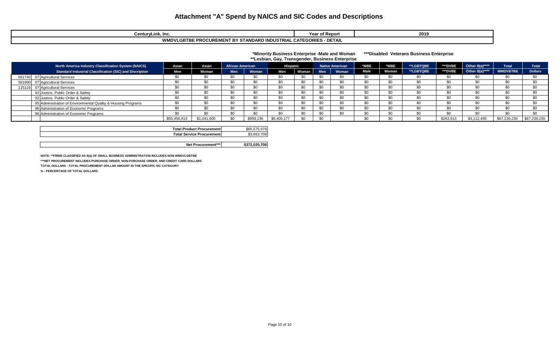| <b>CenturyLink, Inc.</b><br>vc.                                                                  | Year of Report | 2019 |  |  |  |  |  |  |  |
|--------------------------------------------------------------------------------------------------|----------------|------|--|--|--|--|--|--|--|
| 'LGBTBE PROCUREMENT BY STANDARD INDUSTRIAL CATEGORIES <sub>'</sub><br>- DETAIL<br><b>WMDVLGL</b> |                |      |  |  |  |  |  |  |  |

#### **\*Minority Business Enterprise -Male and Woman \*\*\*Disabled Veterans Business Enterprise \*\*Lesbian, Gay, Transgender, Business Enterprise**

| North America Industry Classification System (NAICS)          | Asian        | Asian       | <b>African American</b> |           | <b>Hispanic</b> |              |                | <b>Native American</b> | *MBE        | MBE.         | **LGBTQBE        | **DVBE    | Other 8(a)**** | <b>Total</b>    | <b>Total</b>   |
|---------------------------------------------------------------|--------------|-------------|-------------------------|-----------|-----------------|--------------|----------------|------------------------|-------------|--------------|------------------|-----------|----------------|-----------------|----------------|
| Standard Industrial Classification (SIC) and Discription      | <b>Men</b>   | Voman       | <b>Men</b>              | Woman     | Men             | <b>Woman</b> | <b>Men</b>     | Woman                  | <b>Male</b> | <b>Woman</b> | <b>**LGBTQBE</b> | **DVBE    | Other 8(a)**** | <b>WMDVBTBE</b> | <b>Dollars</b> |
| 561740 07 Agricultural Services                               | \$0          |             |                         |           |                 |              |                | ¢Λ                     |             |              |                  |           |                |                 |                |
| 561990 07 Agricultural Services                               |              |             |                         | \$0       | \$C             |              |                | ሶሳ                     | \$0         | ¢∩           |                  | 80        |                | \$0             |                |
| 115116 07 Agricultural Services                               |              |             |                         |           |                 |              | ¢η             |                        |             | ¢∩           |                  |           |                |                 |                |
| 92 Justice, Public Order & Safety                             |              |             |                         | \$0       | \$C             |              | \$0            | ሶሳ                     | \$0         | \$0          |                  |           |                |                 | ¢Λ             |
| 92 Justice, Public Order & Safety                             |              |             |                         | \$0       | \$C             |              | \$0            | ጣ                      | \$0         | ¢∩           |                  |           |                | 80.             |                |
| 95 Administration of Environmental Quality & Housing Programs |              |             |                         | \$0       | -30             |              | C <sub>0</sub> | ሶሳ                     | \$0         | ¢∩           |                  |           |                | \$0             |                |
| 96 Administration of Economic Programs                        | \$0          |             |                         | \$0       | \$0             |              | \$0            | $\mathbf{C}$           | \$0         | \$0          |                  |           |                | \$0             | ¢η             |
| 96 Administration of Economic Programs                        |              |             |                         | \$0       | \$0             |              | \$0            | ጣ                      | \$0         | ¢Λ           |                  | 80        |                | \$0             |                |
|                                                               | \$55,456,913 | \$1,041,600 | \$0                     | \$959,136 | \$6,405,177     |              | \$0            |                        | \$0         | ሶሳ           |                  | \$263,913 | \$3,112,495    | \$67,239,235    | \$67,239,235   |

| Total Product Procurementl       | $\sim$<br>\$65<br>--- |
|----------------------------------|-----------------------|
| <b>Total Service Procurement</b> | \$3<br>08'<br>. 661   |
|                                  |                       |

**\$372,020,708 Net Procurement\*\*\***

**NOTE: \*\*FIRMS CLASSIFIED AS 8(a) OF SMALL BUSINESS ADMINISTRATION INCLUDES NON-WMDVLGBTBE**

**\*\*\*NET PROCUREMENT INCLUDES PURCHASE ORDER, NON-PURCHASE ORDER, AND CREDIT CARD DOLLARS**

**TOTAL DOLLARS - TOTAL PROCUREMENT DOLLAR AMOUNT IN THE SPECIFIC SIC CATEGORY** 

**% - PERCENTAGE OF TOTAL DOLLARS**